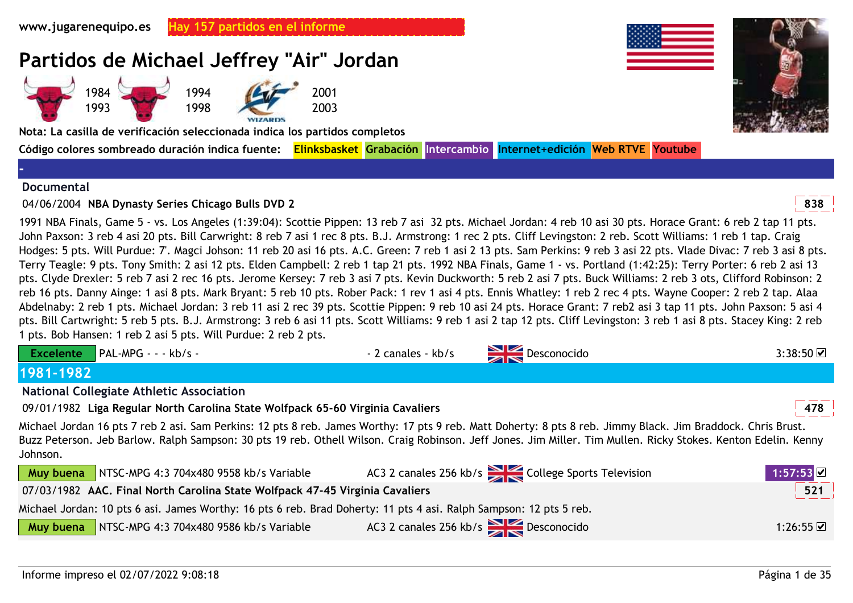

#### **Documental**

# 04/06/2004 **<sup>838</sup>NBA Dynasty Series Chicago Bulls DVD 2**

1991 NBA Finals, Game 5 - vs. Los Angeles (1:39:04): Scottie Pippen: 13 reb 7 asi 32 pts. Michael Jordan: 4 reb 10 asi 30 pts. Horace Grant: 6 reb 2 tap 11 pts. John Paxson: 3 reb 4 asi 20 pts. Bill Carwright: 8 reb 7 asi 1 rec 8 pts. B.J. Armstrong: 1 rec 2 pts. Cliff Levingston: 2 reb. Scott Williams: 1 reb 1 tap. Craig Hodges: 5 pts. Will Purdue: 7'. Magci Johson: 11 reb 20 asi 16 pts. A.C. Green: 7 reb 1 asi 2 13 pts. Sam Perkins: 9 reb 3 asi 22 pts. Vlade Divac: 7 reb 3 asi 8 pts. Terry Teagle: 9 pts. Tony Smith: 2 asi 12 pts. Elden Campbell: 2 reb 1 tap 21 pts. 1992 NBA Finals, Game 1 - vs. Portland (1:42:25): Terry Porter: 6 reb 2 asi 13 pts. Clyde Drexler: 5 reb 7 asi 2 rec 16 pts. Jerome Kersey: 7 reb 3 asi 7 pts. Kevin Duckworth: 5 reb 2 asi 7 pts. Buck Williams: 2 reb 3 ots, Clifford Robinson: 2 reb 16 pts. Danny Ainge: 1 asi 8 pts. Mark Bryant: 5 reb 10 pts. Rober Pack: 1 rev 1 asi 4 pts. Ennis Whatley: 1 reb 2 rec 4 pts. Wayne Cooper: 2 reb 2 tap. Alaa Abdelnaby: 2 reb 1 pts. Michael Jordan: 3 reb 11 asi 2 rec 39 pts. Scottie Pippen: 9 reb 10 asi 24 pts. Horace Grant: 7 reb2 asi 3 tap 11 pts. John Paxson: 5 asi 4 pts. Bill Cartwright: 5 reb 5 pts. B.J. Armstrong: 3 reb 6 asi 11 pts. Scott Williams: 9 reb 1 asi 2 tap 12 pts. Cliff Levingston: 3 reb 1 asi 8 pts. Stacey King: 2 reb 1 pts. Bob Hansen: 1 reb 2 asi 5 pts. Will Purdue: 2 reb 2 pts.

| <b>Excelente</b><br>$PAL-MPG - - kb/s -$                                                                                                                                                                                                                                                                                                   | - 2 canales - kb/s | $\sum$ Desconocido                               | 3:38:50          |
|--------------------------------------------------------------------------------------------------------------------------------------------------------------------------------------------------------------------------------------------------------------------------------------------------------------------------------------------|--------------------|--------------------------------------------------|------------------|
| 1981-1982                                                                                                                                                                                                                                                                                                                                  |                    |                                                  |                  |
| <b>National Collegiate Athletic Association</b>                                                                                                                                                                                                                                                                                            |                    |                                                  |                  |
| 09/01/1982 Liga Regular North Carolina State Wolfpack 65-60 Virginia Cavaliers                                                                                                                                                                                                                                                             |                    |                                                  | 478              |
| Michael Jordan 16 pts 7 reb 2 asi. Sam Perkins: 12 pts 8 reb. James Worthy: 17 pts 9 reb. Matt Doherty: 8 pts 8 reb. Jimmy Black. Jim Braddock. Chris Brust.<br>Buzz Peterson. Jeb Barlow. Ralph Sampson: 30 pts 19 reb. Othell Wilson. Craig Robinson. Jeff Jones. Jim Miller. Tim Mullen. Ricky Stokes. Kenton Edelin. Kenny<br>Johnson. |                    |                                                  |                  |
| Muy buena<br>NTSC-MPG 4:3 704x480 9558 kb/s Variable                                                                                                                                                                                                                                                                                       |                    | AC3 2 canales 256 kb/s College Sports Television | 1:57:53          |
| 07/03/1982 AAC. Final North Carolina State Wolfpack 47-45 Virginia Cavaliers                                                                                                                                                                                                                                                               |                    |                                                  | $\overline{521}$ |

Michael Jordan: 10 pts 6 asi. James Worthy: 16 pts 6 reb. Brad Doherty: 11 pts 4 asi. Ralph Sampson: 12 pts 5 reb.

| <b>Muy buena</b> NTSC-MPG 4:3 704x480 9586 kb/s Variable | AC3 2 canales 256 kb/s $\geq 0$ esconocido | 1:26:55 ☑ |
|----------------------------------------------------------|--------------------------------------------|-----------|
|                                                          |                                            |           |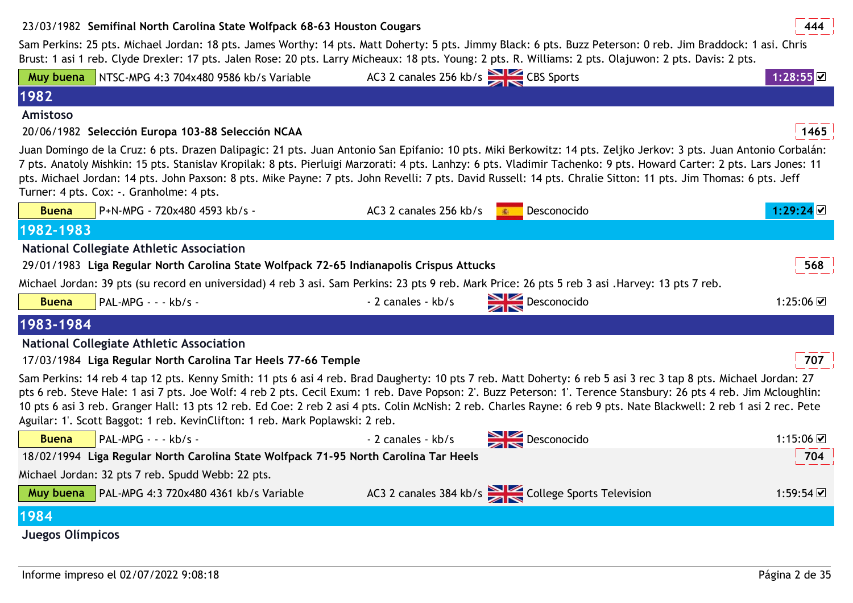# 23/03/1982 **<sup>444</sup>Semifinal North Carolina State Wolfpack 68-63 Houston Cougars**

Sam Perkins: 25 pts. Michael Jordan: 18 pts. James Worthy: 14 pts. Matt Doherty: 5 pts. Jimmy Black: 6 pts. Buzz Peterson: 0 reb. Jim Braddock: 1 asi. Chris Brust: 1 asi 1 reb. Clyde Drexler: 17 pts. Jalen Rose: 20 pts. Larry Micheaux: 18 pts. Young: 2 pts. R. Williams: 2 pts. Olajuwon: 2 pts. Davis: 2 pts.

| Muy buena        | NTSC-MPG 4:3 704x480 9586 kb/s Variable                                                                                                         | AC3 2 canales 256 kb/s CBS Sports |                                                                                                                                                                                                                                                                                                                                                                                                                                                                                                                | $1:28:55$ $\boxtimes$   |
|------------------|-------------------------------------------------------------------------------------------------------------------------------------------------|-----------------------------------|----------------------------------------------------------------------------------------------------------------------------------------------------------------------------------------------------------------------------------------------------------------------------------------------------------------------------------------------------------------------------------------------------------------------------------------------------------------------------------------------------------------|-------------------------|
| 1982             |                                                                                                                                                 |                                   |                                                                                                                                                                                                                                                                                                                                                                                                                                                                                                                |                         |
| Amistoso         |                                                                                                                                                 |                                   |                                                                                                                                                                                                                                                                                                                                                                                                                                                                                                                |                         |
|                  | 20/06/1982 Selección Europa 103-88 Selección NCAA                                                                                               |                                   |                                                                                                                                                                                                                                                                                                                                                                                                                                                                                                                | 1465                    |
|                  | Turner: 4 pts. Cox: -. Granholme: 4 pts.                                                                                                        |                                   | Juan Domingo de la Cruz: 6 pts. Drazen Dalipagic: 21 pts. Juan Antonio San Epifanio: 10 pts. Miki Berkowitz: 14 pts. Zeljko Jerkov: 3 pts. Juan Antonio Corbalán:<br>7 pts. Anatoly Mishkin: 15 pts. Stanislav Kropilak: 8 pts. Pierluigi Marzorati: 4 pts. Lanhzy: 6 pts. Vladimir Tachenko: 9 pts. Howard Carter: 2 pts. Lars Jones: 11<br>pts. Michael Jordan: 14 pts. John Paxson: 8 pts. Mike Payne: 7 pts. John Revelli: 7 pts. David Russell: 14 pts. Chralie Sitton: 11 pts. Jim Thomas: 6 pts. Jeff   |                         |
| <b>Buena</b>     | P+N-MPG - 720x480 4593 kb/s -                                                                                                                   | AC3 2 canales 256 kb/s            | Desconocido<br>(40)                                                                                                                                                                                                                                                                                                                                                                                                                                                                                            | 1:29:24凶                |
| 1982-1983        |                                                                                                                                                 |                                   |                                                                                                                                                                                                                                                                                                                                                                                                                                                                                                                |                         |
|                  | <b>National Collegiate Athletic Association</b>                                                                                                 |                                   |                                                                                                                                                                                                                                                                                                                                                                                                                                                                                                                |                         |
|                  | 29/01/1983 Liga Regular North Carolina State Wolfpack 72-65 Indianapolis Crispus Attucks                                                        |                                   |                                                                                                                                                                                                                                                                                                                                                                                                                                                                                                                | 568                     |
|                  | Michael Jordan: 39 pts (su record en universidad) 4 reb 3 asi. Sam Perkins: 23 pts 9 reb. Mark Price: 26 pts 5 reb 3 asi. Harvey: 13 pts 7 reb. |                                   |                                                                                                                                                                                                                                                                                                                                                                                                                                                                                                                |                         |
| <b>Buena</b>     | PAL-MPG - - - kb/s -                                                                                                                            | - 2 canales - kb/s                | Desconocido                                                                                                                                                                                                                                                                                                                                                                                                                                                                                                    | 1:25:06 $\boxtimes$     |
| 1983-1984        |                                                                                                                                                 |                                   |                                                                                                                                                                                                                                                                                                                                                                                                                                                                                                                |                         |
|                  | <b>National Collegiate Athletic Association</b>                                                                                                 |                                   |                                                                                                                                                                                                                                                                                                                                                                                                                                                                                                                |                         |
|                  | 17/03/1984 Liga Regular North Carolina Tar Heels 77-66 Temple                                                                                   |                                   |                                                                                                                                                                                                                                                                                                                                                                                                                                                                                                                | 707                     |
|                  | Aguilar: 1'. Scott Baggot: 1 reb. KevinClifton: 1 reb. Mark Poplawski: 2 reb.                                                                   |                                   | Sam Perkins: 14 reb 4 tap 12 pts. Kenny Smith: 11 pts 6 asi 4 reb. Brad Daugherty: 10 pts 7 reb. Matt Doherty: 6 reb 5 asi 3 rec 3 tap 8 pts. Michael Jordan: 27<br>pts 6 reb. Steve Hale: 1 asi 7 pts. Joe Wolf: 4 reb 2 pts. Cecil Exum: 1 reb. Dave Popson: 2'. Buzz Peterson: 1'. Terence Stansbury: 26 pts 4 reb. Jim Mcloughlin:<br>10 pts 6 asi 3 reb. Granger Hall: 13 pts 12 reb. Ed Coe: 2 reb 2 asi 4 pts. Colin McNish: 2 reb. Charles Rayne: 6 reb 9 pts. Nate Blackwell: 2 reb 1 asi 2 rec. Pete |                         |
| <b>Buena</b>     | $PAL-MPG - - kb/s -$                                                                                                                            | - 2 canales - kb/s                | $\sum$ Desconocido                                                                                                                                                                                                                                                                                                                                                                                                                                                                                             | 1:15:06 $\triangledown$ |
|                  | 18/02/1994 Liga Regular North Carolina State Wolfpack 71-95 North Carolina Tar Heels                                                            |                                   |                                                                                                                                                                                                                                                                                                                                                                                                                                                                                                                | 704                     |
|                  | Michael Jordan: 32 pts 7 reb. Spudd Webb: 22 pts.                                                                                               |                                   |                                                                                                                                                                                                                                                                                                                                                                                                                                                                                                                |                         |
| Muy buena        | PAL-MPG 4:3 720x480 4361 kb/s Variable                                                                                                          |                                   | AC3 2 canales 384 kb/s College Sports Television                                                                                                                                                                                                                                                                                                                                                                                                                                                               | 1:59:54 立               |
| 1984             |                                                                                                                                                 |                                   |                                                                                                                                                                                                                                                                                                                                                                                                                                                                                                                |                         |
| Juegos Olímpicos |                                                                                                                                                 |                                   |                                                                                                                                                                                                                                                                                                                                                                                                                                                                                                                |                         |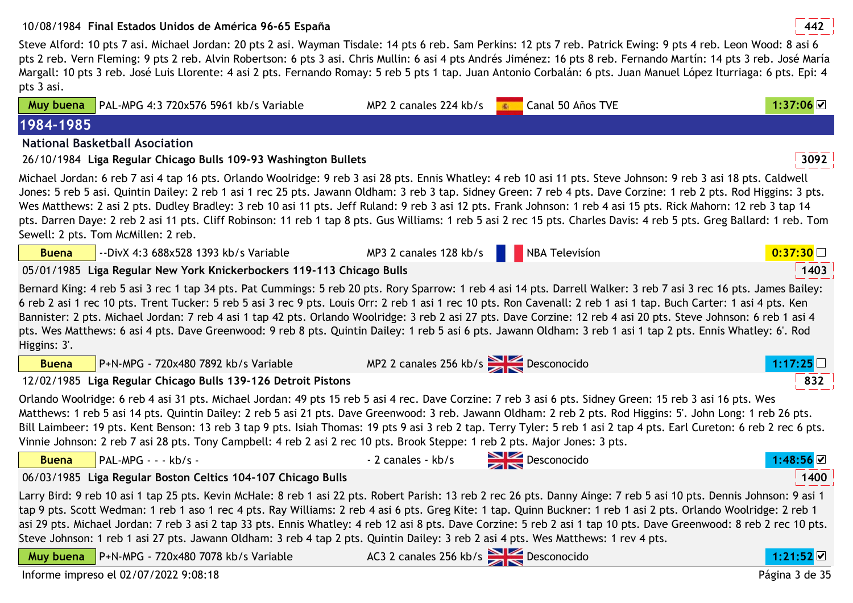# 10/08/1984 **<sup>442</sup>Final Estados Unidos de América 96-65 España**

 Steve Alford: 10 pts 7 asi. Michael Jordan: 20 pts 2 asi. Wayman Tisdale: 14 pts 6 reb. Sam Perkins: 12 pts 7 reb. Patrick Ewing: 9 pts 4 reb. Leon Wood: 8 asi 6 pts 2 reb. Vern Fleming: 9 pts 2 reb. Alvin Robertson: 6 pts 3 asi. Chris Mullin: 6 asi 4 pts Andrés Jiménez: 16 pts 8 reb. Fernando Martín: 14 pts 3 reb. José María Margall: 10 pts 3 reb. José Luis Llorente: 4 asi 2 pts. Fernando Romay: 5 reb 5 pts 1 tap. Juan Antonio Corbalán: 6 pts. Juan Manuel López Iturriaga: 6 pts. Epi: 4 pts 3 asi.

| Muy buena    | PAL-MPG 4:3 720x576 5961 kb/s Variable                                                                                                                                                                                                                                                                                                                                                                                                                                                                                                                                                                                                                                                                                       | MP2 2 canales 224 kb/s             | Canal 50 Años TVE<br>40 | 1:37:06                |
|--------------|------------------------------------------------------------------------------------------------------------------------------------------------------------------------------------------------------------------------------------------------------------------------------------------------------------------------------------------------------------------------------------------------------------------------------------------------------------------------------------------------------------------------------------------------------------------------------------------------------------------------------------------------------------------------------------------------------------------------------|------------------------------------|-------------------------|------------------------|
| 1984-1985    |                                                                                                                                                                                                                                                                                                                                                                                                                                                                                                                                                                                                                                                                                                                              |                                    |                         |                        |
|              | <b>National Basketball Asociation</b>                                                                                                                                                                                                                                                                                                                                                                                                                                                                                                                                                                                                                                                                                        |                                    |                         |                        |
|              | 26/10/1984 Liga Regular Chicago Bulls 109-93 Washington Bullets                                                                                                                                                                                                                                                                                                                                                                                                                                                                                                                                                                                                                                                              |                                    |                         | 3092                   |
|              | Michael Jordan: 6 reb 7 asi 4 tap 16 pts. Orlando Woolridge: 9 reb 3 asi 28 pts. Ennis Whatley: 4 reb 10 asi 11 pts. Steve Johnson: 9 reb 3 asi 18 pts. Caldwell<br>Jones: 5 reb 5 asi. Quintin Dailey: 2 reb 1 asi 1 rec 25 pts. Jawann Oldham: 3 reb 3 tap. Sidney Green: 7 reb 4 pts. Dave Corzine: 1 reb 2 pts. Rod Higgins: 3 pts.<br>Wes Matthews: 2 asi 2 pts. Dudley Bradley: 3 reb 10 asi 11 pts. Jeff Ruland: 9 reb 3 asi 12 pts. Frank Johnson: 1 reb 4 asi 15 pts. Rick Mahorn: 12 reb 3 tap 14<br>pts. Darren Daye: 2 reb 2 asi 11 pts. Cliff Robinson: 11 reb 1 tap 8 pts. Gus Williams: 1 reb 5 asi 2 rec 15 pts. Charles Davis: 4 reb 5 pts. Greg Ballard: 1 reb. Tom<br>Sewell: 2 pts. Tom McMillen: 2 reb. |                                    |                         |                        |
| <b>Buena</b> | --DivX 4:3 688x528 1393 kb/s Variable                                                                                                                                                                                                                                                                                                                                                                                                                                                                                                                                                                                                                                                                                        | MP3 2 canales 128 kb/s             | NBA Television          | 0:37:30                |
|              | 05/01/1985 Liga Regular New York Knickerbockers 119-113 Chicago Bulls                                                                                                                                                                                                                                                                                                                                                                                                                                                                                                                                                                                                                                                        |                                    |                         | 1403                   |
| Higgins: 3'. | Bernard King: 4 reb 5 asi 3 rec 1 tap 34 pts. Pat Cummings: 5 reb 20 pts. Rory Sparrow: 1 reb 4 asi 14 pts. Darrell Walker: 3 reb 7 asi 3 rec 16 pts. James Bailey:<br>6 reb 2 asi 1 rec 10 pts. Trent Tucker: 5 reb 5 asi 3 rec 9 pts. Louis Orr: 2 reb 1 asi 1 rec 10 pts. Ron Cavenall: 2 reb 1 asi 1 tap. Buch Carter: 1 asi 4 pts. Ken<br>Bannister: 2 pts. Michael Jordan: 7 reb 4 asi 1 tap 42 pts. Orlando Woolridge: 3 reb 2 asi 27 pts. Dave Corzine: 12 reb 4 asi 20 pts. Steve Johnson: 6 reb 1 asi 4<br>pts. Wes Matthews: 6 asi 4 pts. Dave Greenwood: 9 reb 8 pts. Quintin Dailey: 1 reb 5 asi 6 pts. Jawann Oldham: 3 reb 1 asi 1 tap 2 pts. Ennis Whatley: 6'. Rod                                          |                                    |                         |                        |
| <b>Buena</b> | P+N-MPG - 720x480 7892 kb/s Variable                                                                                                                                                                                                                                                                                                                                                                                                                                                                                                                                                                                                                                                                                         | MP2 2 canales 256 kb/s Desconocido |                         |                        |
|              | 12/02/1985 Liga Regular Chicago Bulls 139-126 Detroit Pistons                                                                                                                                                                                                                                                                                                                                                                                                                                                                                                                                                                                                                                                                |                                    |                         | 832                    |
|              | Orlando Woolridge: 6 reb 4 asi 31 pts. Michael Jordan: 49 pts 15 reb 5 asi 4 rec. Dave Corzine: 7 reb 3 asi 6 pts. Sidney Green: 15 reb 3 asi 16 pts. Wes<br>Matthews: 1 reb 5 asi 14 pts. Quintin Dailey: 2 reb 5 asi 21 pts. Dave Greenwood: 3 reb. Jawann Oldham: 2 reb 2 pts. Rod Higgins: 5'. John Long: 1 reb 26 pts.<br>Bill Laimbeer: 19 pts. Kent Benson: 13 reb 3 tap 9 pts. Isiah Thomas: 19 pts 9 asi 3 reb 2 tap. Terry Tyler: 5 reb 1 asi 2 tap 4 pts. Earl Cureton: 6 reb 2 rec 6 pts.<br>Vinnie Johnson: 2 reb 7 asi 28 pts. Tony Campbell: 4 reb 2 asi 2 rec 10 pts. Brook Steppe: 1 reb 2 pts. Major Jones: 3 pts.                                                                                         |                                    |                         |                        |
| <b>Buena</b> | PAL-MPG - - - kb/s -                                                                                                                                                                                                                                                                                                                                                                                                                                                                                                                                                                                                                                                                                                         | - 2 canales - kb/s                 | $\sum$ Desconocido      | l:48:56 <mark>⊻</mark> |
|              | 06/03/1985 Liga Regular Boston Celtics 104-107 Chicago Bulls                                                                                                                                                                                                                                                                                                                                                                                                                                                                                                                                                                                                                                                                 |                                    |                         | 1400                   |
|              | Larry Bird: 9 reb 10 asi 1 tap 25 pts. Kevin McHale: 8 reb 1 asi 22 pts. Robert Parish: 13 reb 2 rec 26 pts. Danny Ainge: 7 reb 5 asi 10 pts. Dennis Johnson: 9 asi 1<br>tap 9 pts. Scott Wedman: 1 reb 1 aso 1 rec 4 pts. Ray Williams: 2 reb 4 asi 6 pts. Greg Kite: 1 tap. Quinn Buckner: 1 reb 1 asi 2 pts. Orlando Woolridge: 2 reb 1<br>asi 29 pts. Michael Jordan: 7 reb 3 asi 2 tap 33 pts. Ennis Whatley: 4 reb 12 asi 8 pts. Dave Corzine: 5 reb 2 asi 1 tap 10 pts. Dave Greenwood: 8 reb 2 rec 10 pts.<br>Steve Johnson: 1 reb 1 asi 27 pts. Jawann Oldham: 3 reb 4 tap 2 pts. Quintin Dailey: 3 reb 2 asi 4 pts. Wes Matthews: 1 rev 4 pts.                                                                     |                                    |                         |                        |
| Muy buena    | $\sqrt{P+N-MPG}$ - 720x480 7078 kb/s Variable                                                                                                                                                                                                                                                                                                                                                                                                                                                                                                                                                                                                                                                                                | AC3 2 canales 256 kb/s Desconocido |                         | 1:21:52                |
|              | Informe impreso el 02/07/2022 9:08:18                                                                                                                                                                                                                                                                                                                                                                                                                                                                                                                                                                                                                                                                                        |                                    |                         | Página 3 de 35         |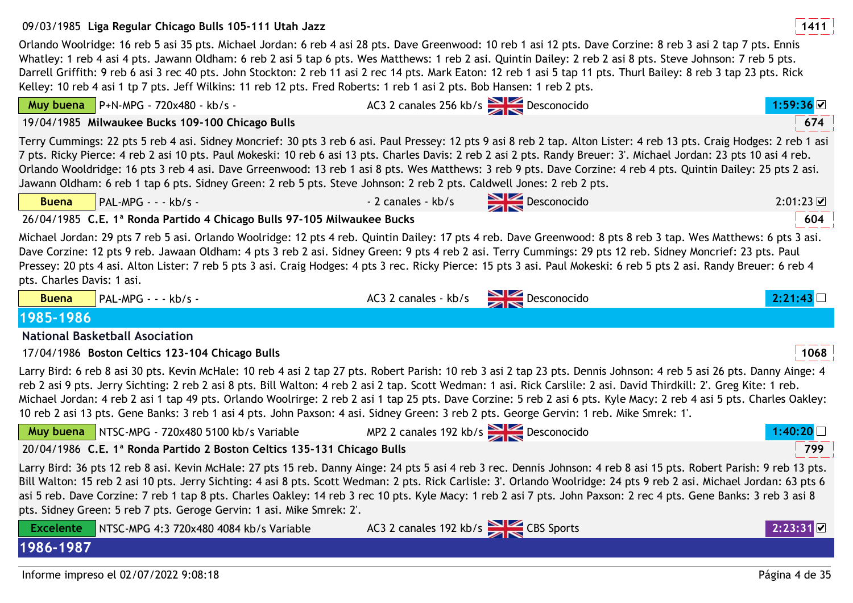## 09/03/1985 **<sup>1411</sup>Liga Regular Chicago Bulls 105-111 Utah Jazz**

Orlando Woolridge: 16 reb 5 asi 35 pts. Michael Jordan: 6 reb 4 asi 28 pts. Dave Greenwood: 10 reb 1 asi 12 pts. Dave Corzine: 8 reb 3 asi 2 tap 7 pts. Ennis Whatley: 1 reb 4 asi 4 pts. Jawann Oldham: 6 reb 2 asi 5 tap 6 pts. Wes Matthews: 1 reb 2 asi. Quintin Dailey: 2 reb 2 asi 8 pts. Steve Johnson: 7 reb 5 pts. Darrell Griffith: 9 reb 6 asi 3 rec 40 pts. John Stockton: 2 reb 11 asi 2 rec 14 pts. Mark Eaton: 12 reb 1 asi 5 tap 11 pts. Thurl Bailey: 8 reb 3 tap 23 pts. Rick Kelley: 10 reb 4 asi 1 tp 7 pts. Jeff Wilkins: 11 reb 12 pts. Fred Roberts: 1 reb 1 asi 2 pts. Bob Hansen: 1 reb 2 pts.

|                                                                                                                                                                                                                                                                                                                                                                                                                                                                                                                                                                                                                                                                     |                               | AC3 2 canales 256 kb/s Desconocido        | 1:59:36 ☑      |
|---------------------------------------------------------------------------------------------------------------------------------------------------------------------------------------------------------------------------------------------------------------------------------------------------------------------------------------------------------------------------------------------------------------------------------------------------------------------------------------------------------------------------------------------------------------------------------------------------------------------------------------------------------------------|-------------------------------|-------------------------------------------|----------------|
| 19/04/1985 Milwaukee Bucks 109-100 Chicago Bulls                                                                                                                                                                                                                                                                                                                                                                                                                                                                                                                                                                                                                    |                               |                                           | 674            |
| Terry Cummings: 22 pts 5 reb 4 asi. Sidney Moncrief: 30 pts 3 reb 6 asi. Paul Pressey: 12 pts 9 asi 8 reb 2 tap. Alton Lister: 4 reb 13 pts. Craig Hodges: 2 reb 1 asi<br>7 pts. Ricky Pierce: 4 reb 2 asi 10 pts. Paul Mokeski: 10 reb 6 asi 13 pts. Charles Davis: 2 reb 2 asi 2 pts. Randy Breuer: 3'. Michael Jordan: 23 pts 10 asi 4 reb.<br>Orlando Wooldridge: 16 pts 3 reb 4 asi. Dave Grreenwood: 13 reb 1 asi 8 pts. Wes Matthews: 3 reb 9 pts. Dave Corzine: 4 reb 4 pts. Quintin Dailey: 25 pts 2 asi.<br>Jawann Oldham: 6 reb 1 tap 6 pts. Sidney Green: 2 reb 5 pts. Steve Johnson: 2 reb 2 pts. Caldwell Jones: 2 reb 2 pts.                         |                               |                                           |                |
| PAL-MPG - - - kb/s -<br><b>Buena</b>                                                                                                                                                                                                                                                                                                                                                                                                                                                                                                                                                                                                                                |                               | - 2 canales - kb/s Desconocido            | 2:01:23        |
| 26/04/1985 C.E. 1ª Ronda Partido 4 Chicago Bulls 97-105 Milwaukee Bucks                                                                                                                                                                                                                                                                                                                                                                                                                                                                                                                                                                                             |                               |                                           | 604            |
| Michael Jordan: 29 pts 7 reb 5 asi. Orlando Woolridge: 12 pts 4 reb. Quintin Dailey: 17 pts 4 reb. Dave Greenwood: 8 pts 8 reb 3 tap. Wes Matthews: 6 pts 3 asi.<br>Dave Corzine: 12 pts 9 reb. Jawaan Oldham: 4 pts 3 reb 2 asi. Sidney Green: 9 pts 4 reb 2 asi. Terry Cummings: 29 pts 12 reb. Sidney Moncrief: 23 pts. Paul<br>Pressey: 20 pts 4 asi. Alton Lister: 7 reb 5 pts 3 asi. Craig Hodges: 4 pts 3 rec. Ricky Pierce: 15 pts 3 asi. Paul Mokeski: 6 reb 5 pts 2 asi. Randy Breuer: 6 reb 4<br>pts. Charles Davis: 1 asi.                                                                                                                              |                               |                                           |                |
| PAL-MPG - - - kb/s -<br><b>Buena</b>                                                                                                                                                                                                                                                                                                                                                                                                                                                                                                                                                                                                                                |                               | AC3 2 canales - kb/s Desconocido          | 2:21:43        |
| 1985-1986                                                                                                                                                                                                                                                                                                                                                                                                                                                                                                                                                                                                                                                           |                               |                                           |                |
| <b>National Basketball Asociation</b>                                                                                                                                                                                                                                                                                                                                                                                                                                                                                                                                                                                                                               |                               |                                           |                |
| 17/04/1986 Boston Celtics 123-104 Chicago Bulls                                                                                                                                                                                                                                                                                                                                                                                                                                                                                                                                                                                                                     |                               |                                           | 1068           |
| Larry Bird: 6 reb 8 asi 30 pts. Kevin McHale: 10 reb 4 asi 2 tap 27 pts. Robert Parish: 10 reb 3 asi 2 tap 23 pts. Dennis Johnson: 4 reb 5 asi 26 pts. Danny Ainge: 4<br>reb 2 asi 9 pts. Jerry Sichting: 2 reb 2 asi 8 pts. Bill Walton: 4 reb 2 asi 2 tap. Scott Wedman: 1 asi. Rick Carslile: 2 asi. David Thirdkill: 2'. Greg Kite: 1 reb.<br>Michael Jordan: 4 reb 2 asi 1 tap 49 pts. Orlando Woolrirge: 2 reb 2 asi 1 tap 25 pts. Dave Corzine: 5 reb 2 asi 6 pts. Kyle Macy: 2 reb 4 asi 5 pts. Charles Oakley:<br>10 reb 2 asi 13 pts. Gene Banks: 3 reb 1 asi 4 pts. John Paxson: 4 asi. Sidney Green: 3 reb 2 pts. George Gervin: 1 reb. Mike Smrek: 1'. |                               |                                           |                |
| Muy buena NTSC-MPG - 720x480 5100 kb/s Variable                                                                                                                                                                                                                                                                                                                                                                                                                                                                                                                                                                                                                     |                               | MP2 2 canales 192 kb/s $\geq$ Desconocido | 1:40:20 L      |
| 20/04/1986 C.E. 1ª Ronda Partido 2 Boston Celtics 135-131 Chicago Bulls                                                                                                                                                                                                                                                                                                                                                                                                                                                                                                                                                                                             |                               |                                           | 799            |
| Larry Bird: 36 pts 12 reb 8 asi. Kevin McHale: 27 pts 15 reb. Danny Ainge: 24 pts 5 asi 4 reb 3 rec. Dennis Johnson: 4 reb 8 asi 15 pts. Robert Parish: 9 reb 13 pts.<br>Bill Walton: 15 reb 2 asi 10 pts. Jerry Sichting: 4 asi 8 pts. Scott Wedman: 2 pts. Rick Carlisle: 3'. Orlando Woolridge: 24 pts 9 reb 2 asi. Michael Jordan: 63 pts 6<br>asi 5 reb. Dave Corzine: 7 reb 1 tap 8 pts. Charles Oakley: 14 reb 3 rec 10 pts. Kyle Macy: 1 reb 2 asi 7 pts. John Paxson: 2 rec 4 pts. Gene Banks: 3 reb 3 asi 8<br>pts. Sidney Green: 5 reb 7 pts. Geroge Gervin: 1 asi. Mike Smrek: 2'.                                                                      |                               |                                           |                |
| NTSC-MPG 4:3 720x480 4084 kb/s Variable<br><b>Excelente</b>                                                                                                                                                                                                                                                                                                                                                                                                                                                                                                                                                                                                         | AC3 2 canales 192 kb/s Sports |                                           |                |
| 1986-1987                                                                                                                                                                                                                                                                                                                                                                                                                                                                                                                                                                                                                                                           |                               |                                           |                |
| Informe impreso el 02/07/2022 9:08:18                                                                                                                                                                                                                                                                                                                                                                                                                                                                                                                                                                                                                               |                               |                                           | Página 4 de 35 |

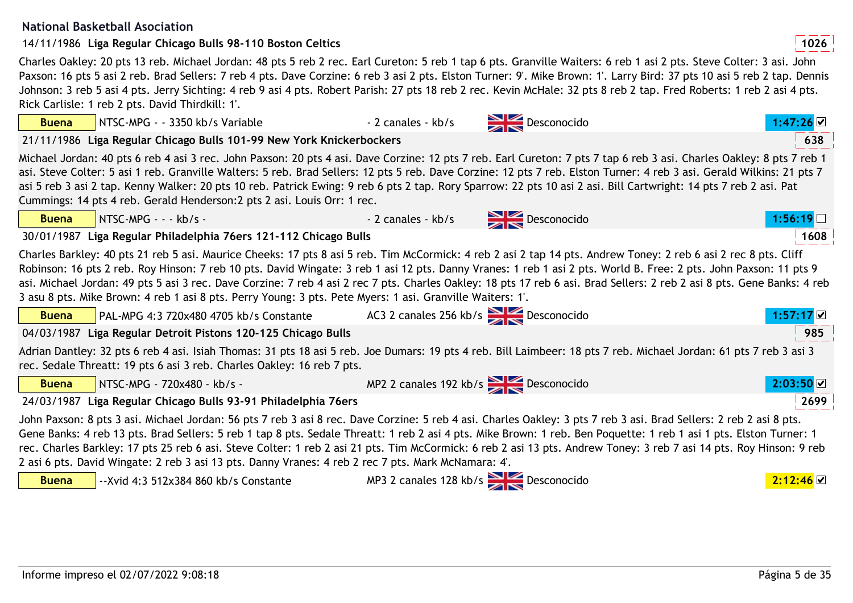#### **National Basketball Asociation**

| <b>Buena</b> |                       | NTSC-MPG - - 3350 kb/s Variable                                                                                                              | - 2 canales - kb/s                    | Desconocido                                                                                                                                                                                                                                                                                                                                                                                                                                                                                                          | $1:47:26$ $\vee$ |
|--------------|-----------------------|----------------------------------------------------------------------------------------------------------------------------------------------|---------------------------------------|----------------------------------------------------------------------------------------------------------------------------------------------------------------------------------------------------------------------------------------------------------------------------------------------------------------------------------------------------------------------------------------------------------------------------------------------------------------------------------------------------------------------|------------------|
|              |                       | 21/11/1986 Liga Regular Chicago Bulls 101-99 New York Knickerbockers                                                                         |                                       |                                                                                                                                                                                                                                                                                                                                                                                                                                                                                                                      | 638              |
|              |                       | Cummings: 14 pts 4 reb. Gerald Henderson: 2 pts 2 asi. Louis Orr: 1 rec.                                                                     |                                       | Michael Jordan: 40 pts 6 reb 4 asi 3 rec. John Paxson: 20 pts 4 asi. Dave Corzine: 12 pts 7 reb. Earl Cureton: 7 pts 7 tap 6 reb 3 asi. Charles Oakley: 8 pts 7 reb 1<br>asi. Steve Colter: 5 asi 1 reb. Granville Walters: 5 reb. Brad Sellers: 12 pts 5 reb. Dave Corzine: 12 pts 7 reb. Elston Turner: 4 reb 3 asi. Gerald Wilkins: 21 pts 7<br>asi 5 reb 3 asi 2 tap. Kenny Walker: 20 pts 10 reb. Patrick Ewing: 9 reb 6 pts 2 tap. Rory Sparrow: 22 pts 10 asi 2 asi. Bill Cartwright: 14 pts 7 reb 2 asi. Pat |                  |
| <b>Buena</b> | NTSC-MPG - - - kb/s - |                                                                                                                                              | - 2 canales - kb/s                    | Desconocido                                                                                                                                                                                                                                                                                                                                                                                                                                                                                                          | 1:56:19          |
|              |                       | 30/01/1987 Liga Regular Philadelphia 76ers 121-112 Chicago Bulls                                                                             |                                       |                                                                                                                                                                                                                                                                                                                                                                                                                                                                                                                      | 1608             |
|              |                       | 3 asu 8 pts. Mike Brown: 4 reb 1 asi 8 pts. Perry Young: 3 pts. Pete Myers: 1 asi. Granville Waiters: 1'.                                    |                                       | Charles Barkley: 40 pts 21 reb 5 asi. Maurice Cheeks: 17 pts 8 asi 5 reb. Tim McCormick: 4 reb 2 asi 2 tap 14 pts. Andrew Toney: 2 reb 6 asi 2 rec 8 pts. Cliff<br>Robinson: 16 pts 2 reb. Roy Hinson: 7 reb 10 pts. David Wingate: 3 reb 1 asi 12 pts. Danny Vranes: 1 reb 1 asi 2 pts. World B. Free: 2 pts. John Paxson: 11 pts 9<br>asi. Michael Jordan: 49 pts 5 asi 3 rec. Dave Corzine: 7 reb 4 asi 2 rec 7 pts. Charles Oakley: 18 pts 17 reb 6 asi. Brad Sellers: 2 reb 2 asi 8 pts. Gene Banks: 4 reb      |                  |
| <b>Buena</b> |                       | PAL-MPG 4:3 720x480 4705 kb/s Constante                                                                                                      | AC3 2 canales 256 kb/s Desconocido    |                                                                                                                                                                                                                                                                                                                                                                                                                                                                                                                      |                  |
|              |                       | 04/03/1987 Liga Regular Detroit Pistons 120-125 Chicago Bulls                                                                                |                                       |                                                                                                                                                                                                                                                                                                                                                                                                                                                                                                                      | 985              |
|              |                       | rec. Sedale Threatt: 19 pts 6 asi 3 reb. Charles Oakley: 16 reb 7 pts.                                                                       |                                       | Adrian Dantley: 32 pts 6 reb 4 asi. Isiah Thomas: 31 pts 18 asi 5 reb. Joe Dumars: 19 pts 4 reb. Bill Laimbeer: 18 pts 7 reb. Michael Jordan: 61 pts 7 reb 3 asi 3                                                                                                                                                                                                                                                                                                                                                   |                  |
| <b>Buena</b> |                       | NTSC-MPG - 720x480 - kb/s -                                                                                                                  | MP2 2 canales 192 kb/s<br>Desconocido |                                                                                                                                                                                                                                                                                                                                                                                                                                                                                                                      | 2:03:50          |
|              |                       | 24/03/1987 Liga Regular Chicago Bulls 93-91 Philadelphia 76ers                                                                               |                                       |                                                                                                                                                                                                                                                                                                                                                                                                                                                                                                                      | 2699             |
| <b>Buena</b> |                       | 2 asi 6 pts. David Wingate: 2 reb 3 asi 13 pts. Danny Vranes: 4 reb 2 rec 7 pts. Mark McNamara: 4'.<br>--Xvid 4:3 512x384 860 kb/s Constante | MP3 2 canales 128 kb/s<br>Desconocido | John Paxson: 8 pts 3 asi. Michael Jordan: 56 pts 7 reb 3 asi 8 rec. Dave Corzine: 5 reb 4 asi. Charles Oakley: 3 pts 7 reb 3 asi. Brad Sellers: 2 reb 2 asi 8 pts.<br>Gene Banks: 4 reb 13 pts. Brad Sellers: 5 reb 1 tap 8 pts. Sedale Threatt: 1 reb 2 asi 4 pts. Mike Brown: 1 reb. Ben Poquette: 1 reb 1 asi 1 pts. Elston Turner: 1<br>rec. Charles Barkley: 17 pts 25 reb 6 asi. Steve Colter: 1 reb 2 asi 21 pts. Tim McCormick: 6 reb 2 asi 13 pts. Andrew Toney: 3 reb 7 asi 14 pts. Roy Hinson: 9 reb      | 2:12:46          |
|              |                       |                                                                                                                                              |                                       |                                                                                                                                                                                                                                                                                                                                                                                                                                                                                                                      |                  |

Charles Oakley: 20 pts 13 reb. Michael Jordan: 48 pts 5 reb 2 rec. Earl Cureton: 5 reb 1 tap 6 pts. Granville Waiters: 6 reb 1 asi 2 pts. Steve Colter: 3 asi. John Paxson: 16 pts 5 asi 2 reb. Brad Sellers: 7 reb 4 pts. Dave Corzine: 6 reb 3 asi 2 pts. Elston Turner: 9'. Mike Brown: 1'. Larry Bird: 37 pts 10 asi 5 reb 2 tap. Dennis Johnson: 3 reb 5 asi 4 pts. Jerry Sichting: 4 reb 9 asi 4 pts. Robert Parish: 27 pts 18 reb 2 rec. Kevin McHale: 32 pts 8 reb 2 tap. Fred Roberts: 1 reb 2 asi 4 pts. Rick Carlisle: 1 reb 2 pts. David Thirdkill: 1'.

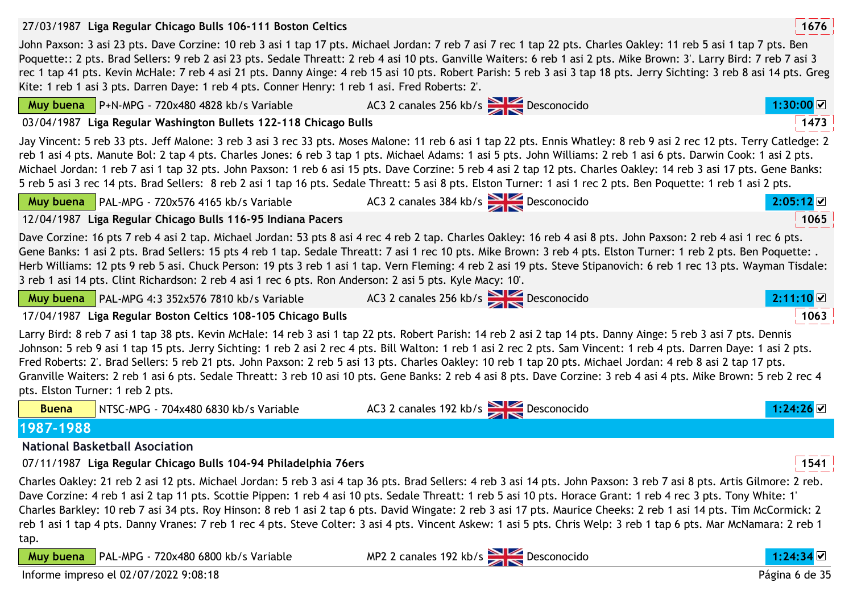| 27/03/1987 Liga Regular Chicago Bulls 106-111 Boston Celtics                                                                                                                                                                                                                                                                                                                                                                                                                                                                                                                                                                                                                                                                                        |                                              | 1676    |
|-----------------------------------------------------------------------------------------------------------------------------------------------------------------------------------------------------------------------------------------------------------------------------------------------------------------------------------------------------------------------------------------------------------------------------------------------------------------------------------------------------------------------------------------------------------------------------------------------------------------------------------------------------------------------------------------------------------------------------------------------------|----------------------------------------------|---------|
| John Paxson: 3 asi 23 pts. Dave Corzine: 10 reb 3 asi 1 tap 17 pts. Michael Jordan: 7 reb 7 asi 7 rec 1 tap 22 pts. Charles Oakley: 11 reb 5 asi 1 tap 7 pts. Ben<br>Poquette:: 2 pts. Brad Sellers: 9 reb 2 asi 23 pts. Sedale Threatt: 2 reb 4 asi 10 pts. Ganville Waiters: 6 reb 1 asi 2 pts. Mike Brown: 3'. Larry Bird: 7 reb 7 asi 3<br>rec 1 tap 41 pts. Kevin McHale: 7 reb 4 asi 21 pts. Danny Ainge: 4 reb 15 asi 10 pts. Robert Parish: 5 reb 3 asi 3 tap 18 pts. Jerry Sichting: 3 reb 8 asi 14 pts. Greg<br>Kite: 1 reb 1 asi 3 pts. Darren Daye: 1 reb 4 pts. Conner Henry: 1 reb 1 asi. Fred Roberts: 2'.                                                                                                                           |                                              |         |
| <b>Muy buena</b> $\vert$ P+N-MPG - 720x480 4828 kb/s Variable                                                                                                                                                                                                                                                                                                                                                                                                                                                                                                                                                                                                                                                                                       | AC3 2 canales 256 kb/s Desconocido           | 1:30:00 |
| 03/04/1987 Liga Regular Washington Bullets 122-118 Chicago Bulls                                                                                                                                                                                                                                                                                                                                                                                                                                                                                                                                                                                                                                                                                    |                                              | 1473    |
| Jay Vincent: 5 reb 33 pts. Jeff Malone: 3 reb 3 asi 3 rec 33 pts. Moses Malone: 11 reb 6 asi 1 tap 22 pts. Ennis Whatley: 8 reb 9 asi 2 rec 12 pts. Terry Catledge: 2<br>reb 1 asi 4 pts. Manute Bol: 2 tap 4 pts. Charles Jones: 6 reb 3 tap 1 pts. Michael Adams: 1 asi 5 pts. John Williams: 2 reb 1 asi 6 pts. Darwin Cook: 1 asi 2 pts.<br>Michael Jordan: 1 reb 7 asi 1 tap 32 pts. John Paxson: 1 reb 6 asi 15 pts. Dave Corzine: 5 reb 4 asi 2 tap 12 pts. Charles Oakley: 14 reb 3 asi 17 pts. Gene Banks:<br>5 reb 5 asi 3 rec 14 pts. Brad Sellers: 8 reb 2 asi 1 tap 16 pts. Sedale Threatt: 5 asi 8 pts. Elston Turner: 1 asi 1 rec 2 pts. Ben Poquette: 1 reb 1 asi 2 pts.                                                            |                                              |         |
| Muy buena   PAL-MPG - 720x576 4165 kb/s Variable                                                                                                                                                                                                                                                                                                                                                                                                                                                                                                                                                                                                                                                                                                    | AC3 2 canales 384 kb/s $\sum$ Desconocido    | 2:05:12 |
| 12/04/1987 Liga Regular Chicago Bulls 116-95 Indiana Pacers                                                                                                                                                                                                                                                                                                                                                                                                                                                                                                                                                                                                                                                                                         |                                              | 1065    |
| Dave Corzine: 16 pts 7 reb 4 asi 2 tap. Michael Jordan: 53 pts 8 asi 4 rec 4 reb 2 tap. Charles Oakley: 16 reb 4 asi 8 pts. John Paxson: 2 reb 4 asi 1 rec 6 pts.<br>Gene Banks: 1 asi 2 pts. Brad Sellers: 15 pts 4 reb 1 tap. Sedale Threatt: 7 asi 1 rec 10 pts. Mike Brown: 3 reb 4 pts. Elston Turner: 1 reb 2 pts. Ben Poquette: .<br>Herb Williams: 12 pts 9 reb 5 asi. Chuck Person: 19 pts 3 reb 1 asi 1 tap. Vern Fleming: 4 reb 2 asi 19 pts. Steve Stipanovich: 6 reb 1 rec 13 pts. Wayman Tisdale:<br>3 reb 1 asi 14 pts. Clint Richardson: 2 reb 4 asi 1 rec 6 pts. Ron Anderson: 2 asi 5 pts. Kyle Macy: 10'.                                                                                                                        |                                              |         |
| Muy buena   PAL-MPG 4:3 352x576 7810 kb/s Variable                                                                                                                                                                                                                                                                                                                                                                                                                                                                                                                                                                                                                                                                                                  | AC3 2 canales 256 kb/s > Desconocido         | 2:11:10 |
| 17/04/1987 Liga Regular Boston Celtics 108-105 Chicago Bulls                                                                                                                                                                                                                                                                                                                                                                                                                                                                                                                                                                                                                                                                                        |                                              | 1063    |
| Larry Bird: 8 reb 7 asi 1 tap 38 pts. Kevin McHale: 14 reb 3 asi 1 tap 22 pts. Robert Parish: 14 reb 2 asi 2 tap 14 pts. Danny Ainge: 5 reb 3 asi 7 pts. Dennis<br>Johnson: 5 reb 9 asi 1 tap 15 pts. Jerry Sichting: 1 reb 2 asi 2 rec 4 pts. Bill Walton: 1 reb 1 asi 2 rec 2 pts. Sam Vincent: 1 reb 4 pts. Darren Daye: 1 asi 2 pts.<br>Fred Roberts: 2'. Brad Sellers: 5 reb 21 pts. John Paxson: 2 reb 5 asi 13 pts. Charles Oakley: 10 reb 1 tap 20 pts. Michael Jordan: 4 reb 8 asi 2 tap 17 pts.<br>Granville Waiters: 2 reb 1 asi 6 pts. Sedale Threatt: 3 reb 10 asi 10 pts. Gene Banks: 2 reb 4 asi 8 pts. Dave Corzine: 3 reb 4 asi 4 pts. Mike Brown: 5 reb 2 rec 4<br>pts. Elston Turner: 1 reb 2 pts.                               |                                              |         |
| NTSC-MPG - 704x480 6830 kb/s Variable<br><b>Buena</b>                                                                                                                                                                                                                                                                                                                                                                                                                                                                                                                                                                                                                                                                                               | AC3 2 canales 192 kb/s<br>Desconocido        | 1:24:26 |
| 1987-1988                                                                                                                                                                                                                                                                                                                                                                                                                                                                                                                                                                                                                                                                                                                                           |                                              |         |
| <b>National Basketball Asociation</b>                                                                                                                                                                                                                                                                                                                                                                                                                                                                                                                                                                                                                                                                                                               |                                              |         |
| 07/11/1987 Liga Regular Chicago Bulls 104-94 Philadelphia 76ers                                                                                                                                                                                                                                                                                                                                                                                                                                                                                                                                                                                                                                                                                     |                                              | 1541    |
| Charles Oakley: 21 reb 2 asi 12 pts. Michael Jordan: 5 reb 3 asi 4 tap 36 pts. Brad Sellers: 4 reb 3 asi 14 pts. John Paxson: 3 reb 7 asi 8 pts. Artis Gilmore: 2 reb.<br>Dave Corzine: 4 reb 1 asi 2 tap 11 pts. Scottie Pippen: 1 reb 4 asi 10 pts. Sedale Threatt: 1 reb 5 asi 10 pts. Horace Grant: 1 reb 4 rec 3 pts. Tony White: 1'<br>Charles Barkley: 10 reb 7 asi 34 pts. Roy Hinson: 8 reb 1 asi 2 tap 6 pts. David Wingate: 2 reb 3 asi 17 pts. Maurice Cheeks: 2 reb 1 asi 14 pts. Tim McCormick: 2<br>reb 1 asi 1 tap 4 pts. Danny Vranes: 7 reb 1 rec 4 pts. Steve Colter: 3 asi 4 pts. Vincent Askew: 1 asi 5 pts. Chris Welp: 3 reb 1 tap 6 pts. Mar McNamara: 2 reb 1<br>tap.<br>Muy buena<br>PAL-MPG - 720x480 6800 kb/s Variable | MP2 2 canales 192 kb/s<br><b>Desconocido</b> | 1:24:34 |
|                                                                                                                                                                                                                                                                                                                                                                                                                                                                                                                                                                                                                                                                                                                                                     |                                              |         |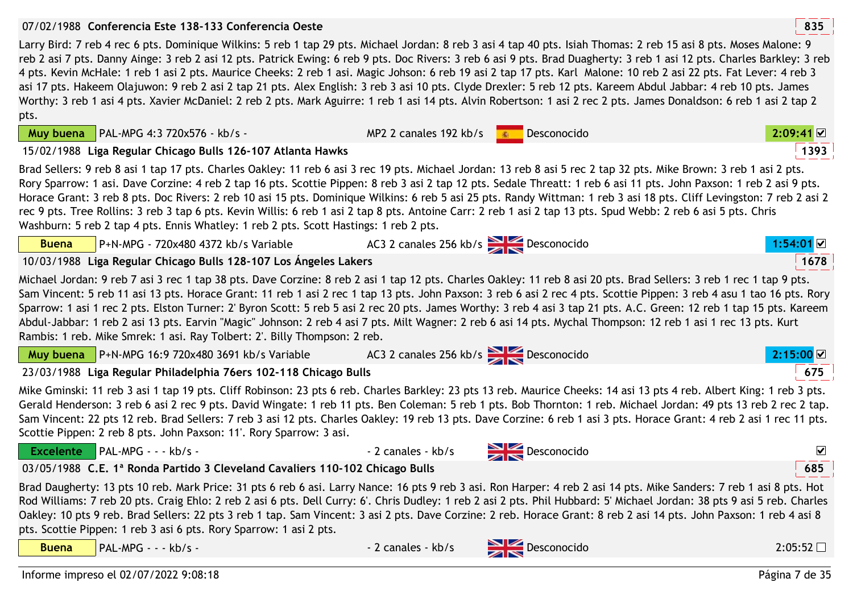## 07/02/1988 **<sup>835</sup>Conferencia Este 138-133 Conferencia Oeste**

**Muy buena PAL-MPG 4:3 720x576 - kb/s -**

Larry Bird: 7 reb 4 rec 6 pts. Dominique Wilkins: 5 reb 1 tap 29 pts. Michael Jordan: 8 reb 3 asi 4 tap 40 pts. Isiah Thomas: 2 reb 15 asi 8 pts. Moses Malone: 9 reb 2 asi 7 pts. Danny Ainge: 3 reb 2 asi 12 pts. Patrick Ewing: 6 reb 9 pts. Doc Rivers: 3 reb 6 asi 9 pts. Brad Duagherty: 3 reb 1 asi 12 pts. Charles Barkley: 3 reb 4 pts. Kevin McHale: 1 reb 1 asi 2 pts. Maurice Cheeks: 2 reb 1 asi. Magic Johson: 6 reb 19 asi 2 tap 17 pts. Karl Malone: 10 reb 2 asi 22 pts. Fat Lever: 4 reb 3 asi 17 pts. Hakeem Olajuwon: 9 reb 2 asi 2 tap 21 pts. Alex English: 3 reb 3 asi 10 pts. Clyde Drexler: 5 reb 12 pts. Kareem Abdul Jabbar: 4 reb 10 pts. James Worthy: 3 reb 1 asi 4 pts. Xavier McDaniel: 2 reb 2 pts. Mark Aguirre: 1 reb 1 asi 14 pts. Alvin Robertson: 1 asi 2 rec 2 pts. James Donaldson: 6 reb 1 asi 2 tap 2 pts.

PAL-MPG 4:3 720x576 - kb/s - MP2 2 canales 192 kb/s Desconocido

|              | <b>Muy buena</b> $\vert$ PAL-MPG 4:3 720x576 - kb/s -                                                                                                                                                                                                                                                                                                                                                                                                                                                                                                                                                                                                                                                                                                                          | MP2 2 canales 192 kb/s             | Desconocido | $2:09:41 \, \text{M}$ |
|--------------|--------------------------------------------------------------------------------------------------------------------------------------------------------------------------------------------------------------------------------------------------------------------------------------------------------------------------------------------------------------------------------------------------------------------------------------------------------------------------------------------------------------------------------------------------------------------------------------------------------------------------------------------------------------------------------------------------------------------------------------------------------------------------------|------------------------------------|-------------|-----------------------|
|              | 15/02/1988 Liga Regular Chicago Bulls 126-107 Atlanta Hawks                                                                                                                                                                                                                                                                                                                                                                                                                                                                                                                                                                                                                                                                                                                    |                                    |             | 1393                  |
|              | Brad Sellers: 9 reb 8 asi 1 tap 17 pts. Charles Oakley: 11 reb 6 asi 3 rec 19 pts. Michael Jordan: 13 reb 8 asi 5 rec 2 tap 32 pts. Mike Brown: 3 reb 1 asi 2 pts.<br>Rory Sparrow: 1 asi. Dave Corzine: 4 reb 2 tap 16 pts. Scottie Pippen: 8 reb 3 asi 2 tap 12 pts. Sedale Threatt: 1 reb 6 asi 11 pts. John Paxson: 1 reb 2 asi 9 pts.<br>Horace Grant: 3 reb 8 pts. Doc Rivers: 2 reb 10 asi 15 pts. Dominique Wilkins: 6 reb 5 asi 25 pts. Randy Wittman: 1 reb 3 asi 18 pts. Cliff Levingston: 7 reb 2 asi 2<br>rec 9 pts. Tree Rollins: 3 reb 3 tap 6 pts. Kevin Willis: 6 reb 1 asi 2 tap 8 pts. Antoine Carr: 2 reb 1 asi 2 tap 13 pts. Spud Webb: 2 reb 6 asi 5 pts. Chris<br>Washburn: 5 reb 2 tap 4 pts. Ennis Whatley: 1 reb 2 pts. Scott Hastings: 1 reb 2 pts. |                                    |             |                       |
| <b>Buena</b> | P+N-MPG - 720x480 4372 kb/s Variable                                                                                                                                                                                                                                                                                                                                                                                                                                                                                                                                                                                                                                                                                                                                           | AC3 2 canales 256 kb/s Desconocido |             | 1:54:01               |
|              |                                                                                                                                                                                                                                                                                                                                                                                                                                                                                                                                                                                                                                                                                                                                                                                |                                    |             | $\overline{a}$        |

10/03/1988 **<sup>1678</sup>Liga Regular Chicago Bulls 128-107 Los Ángeles Lakers**

Michael Jordan: 9 reb 7 asi 3 rec 1 tap 38 pts. Dave Corzine: 8 reb 2 asi 1 tap 12 pts. Charles Oakley: 11 reb 8 asi 20 pts. Brad Sellers: 3 reb 1 rec 1 tap 9 pts. Sam Vincent: 5 reb 11 asi 13 pts. Horace Grant: 11 reb 1 asi 2 rec 1 tap 13 pts. John Paxson: 3 reb 6 asi 2 rec 4 pts. Scottie Pippen: 3 reb 4 asu 1 tao 16 pts. Rory Sparrow: 1 asi 1 rec 2 pts. Elston Turner: 2' Byron Scott: 5 reb 5 asi 2 rec 20 pts. James Worthy: 3 reb 4 asi 3 tap 21 pts. A.C. Green: 12 reb 1 tap 15 pts. Kareem Abdul-Jabbar: 1 reb 2 asi 13 pts. Earvin "Magic" Johnson: 2 reb 4 asi 7 pts. Milt Wagner: 2 reb 6 asi 14 pts. Mychal Thompson: 12 reb 1 asi 1 rec 13 pts. Kurt Rambis: 1 reb. Mike Smrek: 1 asi. Ray Tolbert: 2'. Billy Thompson: 2 reb.

| <b>Muy buena</b> $\sqrt{P+N-MPG}$ 16:9 720x480 3691 kb/s Variable | AC3 2 canales 256 kb/s Desconocido | 2:15:00 |
|-------------------------------------------------------------------|------------------------------------|---------|
| 23/03/1988 Liga Regular Philadelphia 76ers 102-118 Chicago Bulls  |                                    | 675     |

Mike Gminski: 11 reb 3 asi 1 tap 19 pts. Cliff Robinson: 23 pts 6 reb. Charles Barkley: 23 pts 13 reb. Maurice Cheeks: 14 asi 13 pts 4 reb. Albert King: 1 reb 3 pts. Gerald Henderson: 3 reb 6 asi 2 rec 9 pts. David Wingate: 1 reb 11 pts. Ben Coleman: 5 reb 1 pts. Bob Thornton: 1 reb. Michael Jordan: 49 pts 13 reb 2 rec 2 tap. Sam Vincent: 22 pts 12 reb. Brad Sellers: 7 reb 3 asi 12 pts. Charles Oakley: 19 reb 13 pts. Dave Corzine: 6 reb 1 asi 3 pts. Horace Grant: 4 reb 2 asi 1 rec 11 pts. Scottie Pippen: 2 reb 8 pts. John Paxson: 11'. Rory Sparrow: 3 asi.

 PAL-MPG - - - kb/s - - 2 canales - kb/s Desconocido  $\overline{\mathbf{v}}$ **Excelente**03/05/1988 **<sup>685</sup>C.E. 1ª Ronda Partido 3 Cleveland Cavaliers 110-102 Chicago Bulls**Brad Daugherty: 13 pts 10 reb. Mark Price: 31 pts 6 reb 6 asi. Larry Nance: 16 pts 9 reb 3 asi. Ron Harper: 4 reb 2 asi 14 pts. Mike Sanders: 7 reb 1 asi 8 pts. Hot

 Rod Williams: 7 reb 20 pts. Craig Ehlo: 2 reb 2 asi 6 pts. Dell Curry: 6'. Chris Dudley: 1 reb 2 asi 2 pts. Phil Hubbard: 5' Michael Jordan: 38 pts 9 asi 5 reb. Charles Oakley: 10 pts 9 reb. Brad Sellers: 22 pts 3 reb 1 tap. Sam Vincent: 3 asi 2 pts. Dave Corzine: 2 reb. Horace Grant: 8 reb 2 asi 14 pts. John Paxson: 1 reb 4 asi 8 pts. Scottie Pippen: 1 reb 3 asi 6 pts. Rory Sparrow: 1 asi 2 pts.

**Buena**

PAL-MPG - - - kb/s - - 2 canales - kb/s Desconocido

0 2:05:52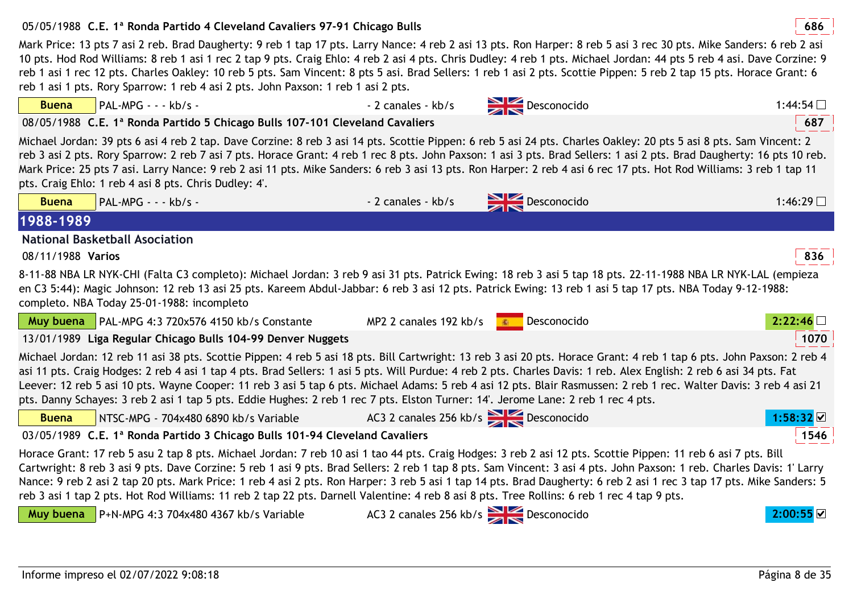**Buena**

# 05/05/1988 **<sup>686</sup>C.E. 1ª Ronda Partido 4 Cleveland Cavaliers 97-91 Chicago Bulls**

Mark Price: 13 pts 7 asi 2 reb. Brad Daugherty: 9 reb 1 tap 17 pts. Larry Nance: 4 reb 2 asi 13 pts. Ron Harper: 8 reb 5 asi 3 rec 30 pts. Mike Sanders: 6 reb 2 asi 10 pts. Hod Rod Williams: 8 reb 1 asi 1 rec 2 tap 9 pts. Craig Ehlo: 4 reb 2 asi 4 pts. Chris Dudley: 4 reb 1 pts. Michael Jordan: 44 pts 5 reb 4 asi. Dave Corzine: 9 reb 1 asi 1 rec 12 pts. Charles Oakley: 10 reb 5 pts. Sam Vincent: 8 pts 5 asi. Brad Sellers: 1 reb 1 asi 2 pts. Scottie Pippen: 5 reb 2 tap 15 pts. Horace Grant: 6 reb 1 asi 1 pts. Rory Sparrow: 1 reb 4 asi 2 pts. John Paxson: 1 reb 1 asi 2 pts.

PAL-MPG - - - kb/s - - 2 canales - kb/s Desconocido

08/05/1988 **<sup>687</sup>C.E. 1ª Ronda Partido 5 Chicago Bulls 107-101 Cleveland Cavaliers**

Michael Jordan: 39 pts 6 asi 4 reb 2 tap. Dave Corzine: 8 reb 3 asi 14 pts. Scottie Pippen: 6 reb 5 asi 24 pts. Charles Oakley: 20 pts 5 asi 8 pts. Sam Vincent: 2 reb 3 asi 2 pts. Rory Sparrow: 2 reb 7 asi 7 pts. Horace Grant: 4 reb 1 rec 8 pts. John Paxson: 1 asi 3 pts. Brad Sellers: 1 asi 2 pts. Brad Daugherty: 16 pts 10 reb. Mark Price: 25 pts 7 asi. Larry Nance: 9 reb 2 asi 11 pts. Mike Sanders: 6 reb 3 asi 13 pts. Ron Harper: 2 reb 4 asi 6 rec 17 pts. Hot Rod Williams: 3 reb 1 tap 11 pts. Craig Ehlo: 1 reb 4 asi 8 pts. Chris Dudley: 4'.

**Second State** 

| <b>Buena</b>      | PAL-MPG - - - kb/s -                                                                                                                                                                                                                                                                                                                                                                                                                                                                                                                                                                                                                                           | - 2 canales - kb/s                   | Desconocido | $1:46:29$ $\Box$ |
|-------------------|----------------------------------------------------------------------------------------------------------------------------------------------------------------------------------------------------------------------------------------------------------------------------------------------------------------------------------------------------------------------------------------------------------------------------------------------------------------------------------------------------------------------------------------------------------------------------------------------------------------------------------------------------------------|--------------------------------------|-------------|------------------|
| 1988-1989         |                                                                                                                                                                                                                                                                                                                                                                                                                                                                                                                                                                                                                                                                |                                      |             |                  |
|                   | <b>National Basketball Asociation</b>                                                                                                                                                                                                                                                                                                                                                                                                                                                                                                                                                                                                                          |                                      |             |                  |
| 08/11/1988 Varios |                                                                                                                                                                                                                                                                                                                                                                                                                                                                                                                                                                                                                                                                |                                      |             | 836              |
|                   | 8-11-88 NBA LR NYK-CHI (Falta C3 completo): Michael Jordan: 3 reb 9 asi 31 pts. Patrick Ewing: 18 reb 3 asi 5 tap 18 pts. 22-11-1988 NBA LR NYK-LAL (empieza<br>en C3 5:44): Magic Johnson: 12 reb 13 asi 25 pts. Kareem Abdul-Jabbar: 6 reb 3 asi 12 pts. Patrick Ewing: 13 reb 1 asi 5 tap 17 pts. NBA Today 9-12-1988:<br>completo. NBA Today 25-01-1988: incompleto                                                                                                                                                                                                                                                                                        |                                      |             |                  |
| Muy buena         | PAL-MPG 4:3 720x576 4150 kb/s Constante                                                                                                                                                                                                                                                                                                                                                                                                                                                                                                                                                                                                                        | MP2 2 canales 192 kb/s               | Desconocido | 2:22:46          |
|                   | 13/01/1989 Liga Regular Chicago Bulls 104-99 Denver Nuggets                                                                                                                                                                                                                                                                                                                                                                                                                                                                                                                                                                                                    |                                      |             | 1070             |
|                   | Michael Jordan: 12 reb 11 asi 38 pts. Scottie Pippen: 4 reb 5 asi 18 pts. Bill Cartwright: 13 reb 3 asi 20 pts. Horace Grant: 4 reb 1 tap 6 pts. John Paxson: 2 reb 4<br>asi 11 pts. Craig Hodges: 2 reb 4 asi 1 tap 4 pts. Brad Sellers: 1 asi 5 pts. Will Purdue: 4 reb 2 pts. Charles Davis: 1 reb. Alex English: 2 reb 6 asi 34 pts. Fat<br>Leever: 12 reb 5 asi 10 pts. Wayne Cooper: 11 reb 3 asi 5 tap 6 pts. Michael Adams: 5 reb 4 asi 12 pts. Blair Rasmussen: 2 reb 1 rec. Walter Davis: 3 reb 4 asi 21<br>pts. Danny Schayes: 3 reb 2 asi 1 tap 5 pts. Eddie Hughes: 2 reb 1 rec 7 pts. Elston Turner: 14'. Jerome Lane: 2 reb 1 rec 4 pts.        |                                      |             |                  |
| <b>Buena</b>      | NTSC-MPG - 704x480 6890 kb/s Variable                                                                                                                                                                                                                                                                                                                                                                                                                                                                                                                                                                                                                          | AC3 2 canales 256 kb/s Desconocido   |             | 1:58:32          |
|                   | 03/05/1989 C.E. 1ª Ronda Partido 3 Chicago Bulls 101-94 Cleveland Cavaliers                                                                                                                                                                                                                                                                                                                                                                                                                                                                                                                                                                                    |                                      |             | 1546             |
|                   | Horace Grant: 17 reb 5 asu 2 tap 8 pts. Michael Jordan: 7 reb 10 asi 1 tao 44 pts. Craig Hodges: 3 reb 2 asi 12 pts. Scottie Pippen: 11 reb 6 asi 7 pts. Bill<br>Cartwright: 8 reb 3 asi 9 pts. Dave Corzine: 5 reb 1 asi 9 pts. Brad Sellers: 2 reb 1 tap 8 pts. Sam Vincent: 3 asi 4 pts. John Paxson: 1 reb. Charles Davis: 1' Larry<br>Nance: 9 reb 2 asi 2 tap 20 pts. Mark Price: 1 reb 4 asi 2 pts. Ron Harper: 3 reb 5 asi 1 tap 14 pts. Brad Daugherty: 6 reb 2 asi 1 rec 3 tap 17 pts. Mike Sanders: 5<br>reb 3 asi 1 tap 2 pts. Hot Rod Williams: 11 reb 2 tap 22 pts. Darnell Valentine: 4 reb 8 asi 8 pts. Tree Rollins: 6 reb 1 rec 4 tap 9 pts. |                                      |             |                  |
| Muy buena         | P+N-MPG 4:3 704x480 4367 kb/s Variable                                                                                                                                                                                                                                                                                                                                                                                                                                                                                                                                                                                                                         | AC3 2 canales 256 kb/s > Desconocido |             | 2:00:55 ☑        |

o 1:44:54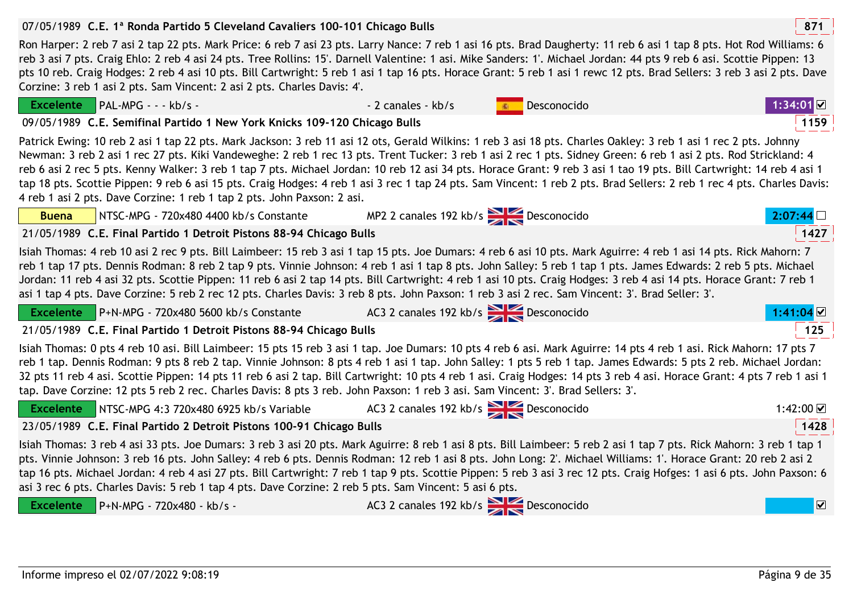| impreso el 02/07/2022 9:08:19 | Página 9 de 35 |
|-------------------------------|----------------|

| PAL-MPG - - - kb/s -<br><b>Excelente</b>                                                                                                                                                                                                                                                                                                                                                                                                                                                                                                                                                                                                                                                                                                                            | - 2 canales - kb/s                    | Desconocido | $1:34:01$ <b>⊠</b>      |  |  |
|---------------------------------------------------------------------------------------------------------------------------------------------------------------------------------------------------------------------------------------------------------------------------------------------------------------------------------------------------------------------------------------------------------------------------------------------------------------------------------------------------------------------------------------------------------------------------------------------------------------------------------------------------------------------------------------------------------------------------------------------------------------------|---------------------------------------|-------------|-------------------------|--|--|
| 09/05/1989 C.E. Semifinal Partido 1 New York Knicks 109-120 Chicago Bulls                                                                                                                                                                                                                                                                                                                                                                                                                                                                                                                                                                                                                                                                                           |                                       |             | 1159                    |  |  |
| Patrick Ewing: 10 reb 2 asi 1 tap 22 pts. Mark Jackson: 3 reb 11 asi 12 ots, Gerald Wilkins: 1 reb 3 asi 18 pts. Charles Oakley: 3 reb 1 asi 1 rec 2 pts. Johnny<br>Newman: 3 reb 2 asi 1 rec 27 pts. Kiki Vandeweghe: 2 reb 1 rec 13 pts. Trent Tucker: 3 reb 1 asi 2 rec 1 pts. Sidney Green: 6 reb 1 asi 2 pts. Rod Strickland: 4<br>reb 6 asi 2 rec 5 pts. Kenny Walker: 3 reb 1 tap 7 pts. Michael Jordan: 10 reb 12 asi 34 pts. Horace Grant: 9 reb 3 asi 1 tao 19 pts. Bill Cartwright: 14 reb 4 asi 1<br>tap 18 pts. Scottie Pippen: 9 reb 6 asi 15 pts. Craig Hodges: 4 reb 1 asi 3 rec 1 tap 24 pts. Sam Vincent: 1 reb 2 pts. Brad Sellers: 2 reb 1 rec 4 pts. Charles Davis:<br>4 reb 1 asi 2 pts. Dave Corzine: 1 reb 1 tap 2 pts. John Paxson: 2 asi. |                                       |             |                         |  |  |
| NTSC-MPG - 720x480 4400 kb/s Constante<br><b>Buena</b>                                                                                                                                                                                                                                                                                                                                                                                                                                                                                                                                                                                                                                                                                                              | MP2 2 canales 192 kb/s<br>Desconocido |             |                         |  |  |
| 21/05/1989 C.E. Final Partido 1 Detroit Pistons 88-94 Chicago Bulls                                                                                                                                                                                                                                                                                                                                                                                                                                                                                                                                                                                                                                                                                                 |                                       |             | 1427                    |  |  |
| Isiah Thomas: 4 reb 10 asi 2 rec 9 pts. Bill Laimbeer: 15 reb 3 asi 1 tap 15 pts. Joe Dumars: 4 reb 6 asi 10 pts. Mark Aguirre: 4 reb 1 asi 14 pts. Rick Mahorn: 7<br>reb 1 tap 17 pts. Dennis Rodman: 8 reb 2 tap 9 pts. Vinnie Johnson: 4 reb 1 asi 1 tap 8 pts. John Salley: 5 reb 1 tap 1 pts. James Edwards: 2 reb 5 pts. Michael<br>Jordan: 11 reb 4 asi 32 pts. Scottie Pippen: 11 reb 6 asi 2 tap 14 pts. Bill Cartwright: 4 reb 1 asi 10 pts. Craig Hodges: 3 reb 4 asi 14 pts. Horace Grant: 7 reb 1<br>asi 1 tap 4 pts. Dave Corzine: 5 reb 2 rec 12 pts. Charles Davis: 3 reb 8 pts. John Paxson: 1 reb 3 asi 2 rec. Sam Vincent: 3'. Brad Seller: 3'.                                                                                                  |                                       |             |                         |  |  |
| Excelente P+N-MPG - 720x480 5600 kb/s Constante                                                                                                                                                                                                                                                                                                                                                                                                                                                                                                                                                                                                                                                                                                                     | AC3 2 canales 192 kb/s > Desconocido  |             | $1:41:04$ ⊠             |  |  |
| 21/05/1989 C.E. Final Partido 1 Detroit Pistons 88-94 Chicago Bulls                                                                                                                                                                                                                                                                                                                                                                                                                                                                                                                                                                                                                                                                                                 |                                       |             | 125                     |  |  |
| Isiah Thomas: 0 pts 4 reb 10 asi. Bill Laimbeer: 15 pts 15 reb 3 asi 1 tap. Joe Dumars: 10 pts 4 reb 6 asi. Mark Aguirre: 14 pts 4 reb 1 asi. Rick Mahorn: 17 pts 7<br>reb 1 tap. Dennis Rodman: 9 pts 8 reb 2 tap. Vinnie Johnson: 8 pts 4 reb 1 asi 1 tap. John Salley: 1 pts 5 reb 1 tap. James Edwards: 5 pts 2 reb. Michael Jordan:<br>32 pts 11 reb 4 asi. Scottie Pippen: 14 pts 11 reb 6 asi 2 tap. Bill Cartwright: 10 pts 4 reb 1 asi. Craig Hodges: 14 pts 3 reb 4 asi. Horace Grant: 4 pts 7 reb 1 asi 1<br>tap. Dave Corzine: 12 pts 5 reb 2 rec. Charles Davis: 8 pts 3 reb. John Paxson: 1 reb 3 asi. Sam Vincent: 3'. Brad Sellers: 3'.                                                                                                             |                                       |             |                         |  |  |
| Excelente NTSC-MPG 4:3 720x480 6925 kb/s Variable                                                                                                                                                                                                                                                                                                                                                                                                                                                                                                                                                                                                                                                                                                                   | AC3 2 canales 192 kb/s Desconocido    |             | 1:42:00 ☑               |  |  |
| 23/05/1989 C.E. Final Partido 2 Detroit Pistons 100-91 Chicago Bulls                                                                                                                                                                                                                                                                                                                                                                                                                                                                                                                                                                                                                                                                                                |                                       |             | 1428                    |  |  |
| Isiah Thomas: 3 reb 4 asi 33 pts. Joe Dumars: 3 reb 3 asi 20 pts. Mark Aguirre: 8 reb 1 asi 8 pts. Bill Laimbeer: 5 reb 2 asi 1 tap 7 pts. Rick Mahorn: 3 reb 1 tap 1<br>pts. Vinnie Johnson: 3 reb 16 pts. John Salley: 4 reb 6 pts. Dennis Rodman: 12 reb 1 asi 8 pts. John Long: 2'. Michael Williams: 1'. Horace Grant: 20 reb 2 asi 2<br>tap 16 pts. Michael Jordan: 4 reb 4 asi 27 pts. Bill Cartwright: 7 reb 1 tap 9 pts. Scottie Pippen: 5 reb 3 asi 3 rec 12 pts. Craig Hofges: 1 asi 6 pts. John Paxson: 6<br>asi 3 rec 6 pts. Charles Davis: 5 reb 1 tap 4 pts. Dave Corzine: 2 reb 5 pts. Sam Vincent: 5 asi 6 pts.                                                                                                                                    |                                       |             |                         |  |  |
| <b>Excelente</b><br>P+N-MPG - 720x480 - kb/s -                                                                                                                                                                                                                                                                                                                                                                                                                                                                                                                                                                                                                                                                                                                      | AC3 2 canales 192 kb/s 2 Desconocido  |             | $\overline{\mathbf{v}}$ |  |  |

07/05/1989 **<sup>871</sup>C.E. 1ª Ronda Partido 5 Cleveland Cavaliers 100-101 Chicago Bulls**

Excelente **DAL-MDC** = = = kb/s

Informe

 Ron Harper: 2 reb 7 asi 2 tap 22 pts. Mark Price: 6 reb 7 asi 23 pts. Larry Nance: 7 reb 1 asi 16 pts. Brad Daugherty: 11 reb 6 asi 1 tap 8 pts. Hot Rod Williams: 6 reb 3 asi 7 pts. Craig Ehlo: 2 reb 4 asi 24 pts. Tree Rollins: 15'. Darnell Valentine: 1 asi. Mike Sanders: 1'. Michael Jordan: 44 pts 9 reb 6 asi. Scottie Pippen: 13 pts 10 reb. Craig Hodges: 2 reb 4 asi 10 pts. Bill Cartwright: 5 reb 1 asi 1 tap 16 pts. Horace Grant: 5 reb 1 asi 1 rewc 12 pts. Brad Sellers: 3 reb 3 asi 2 pts. Dave Corzine: 3 reb 1 asi 2 pts. Sam Vincent: 2 asi 2 pts. Charles Davis: 4'.

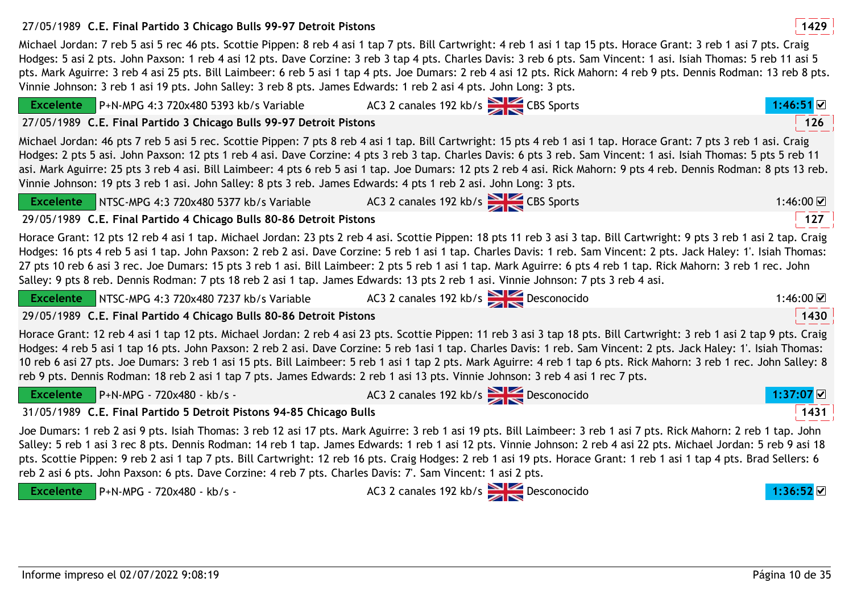# 27/05/1989 **<sup>1429</sup>C.E. Final Partido 3 Chicago Bulls 99-97 Detroit Pistons**

Michael Jordan: 7 reb 5 asi 5 rec 46 pts. Scottie Pippen: 8 reb 4 asi 1 tap 7 pts. Bill Cartwright: 4 reb 1 asi 1 tap 15 pts. Horace Grant: 3 reb 1 asi 7 pts. Craig Hodges: 5 asi 2 pts. John Paxson: 1 reb 4 asi 12 pts. Dave Corzine: 3 reb 3 tap 4 pts. Charles Davis: 3 reb 6 pts. Sam Vincent: 1 asi. Isiah Thomas: 5 reb 11 asi 5 pts. Mark Aguirre: 3 reb 4 asi 25 pts. Bill Laimbeer: 6 reb 5 asi 1 tap 4 pts. Joe Dumars: 2 reb 4 asi 12 pts. Rick Mahorn: 4 reb 9 pts. Dennis Rodman: 13 reb 8 pts. Vinnie Johnson: 3 reb 1 asi 19 pts. John Salley: 3 reb 8 pts. James Edwards: 1 reb 2 asi 4 pts. John Long: 3 pts.

| $P+N-MPG 4:3 720x480 5393 kb/s Variable$<br><b>Excelente</b>                                                                                                   | AC3 2 canales 192 kb/s CBS Sports                                                                                                                                                                                                                                                                                                                                                                                                                                                                                                                                                                                                                            | 1:46:51 ☑           |
|----------------------------------------------------------------------------------------------------------------------------------------------------------------|--------------------------------------------------------------------------------------------------------------------------------------------------------------------------------------------------------------------------------------------------------------------------------------------------------------------------------------------------------------------------------------------------------------------------------------------------------------------------------------------------------------------------------------------------------------------------------------------------------------------------------------------------------------|---------------------|
| 27/05/1989 C.E. Final Partido 3 Chicago Bulls 99-97 Detroit Pistons                                                                                            |                                                                                                                                                                                                                                                                                                                                                                                                                                                                                                                                                                                                                                                              | 126                 |
| Vinnie Johnson: 19 pts 3 reb 1 asi. John Salley: 8 pts 3 reb. James Edwards: 4 pts 1 reb 2 asi. John Long: 3 pts.                                              | Michael Jordan: 46 pts 7 reb 5 asi 5 rec. Scottie Pippen: 7 pts 8 reb 4 asi 1 tap. Bill Cartwright: 15 pts 4 reb 1 asi 1 tap. Horace Grant: 7 pts 3 reb 1 asi. Craig<br>Hodges: 2 pts 5 asi. John Paxson: 12 pts 1 reb 4 asi. Dave Corzine: 4 pts 3 reb 3 tap. Charles Davis: 6 pts 3 reb. Sam Vincent: 1 asi. Isiah Thomas: 5 pts 5 reb 11<br>asi. Mark Aguirre: 25 pts 3 reb 4 asi. Bill Laimbeer: 4 pts 6 reb 5 asi 1 tap. Joe Dumars: 12 pts 2 reb 4 asi. Rick Mahorn: 9 pts 4 reb. Dennis Rodman: 8 pts 13 reb.                                                                                                                                         |                     |
| Excelente NTSC-MPG 4:3 720x480 5377 kb/s Variable AC3 2 canales 192 kb/s                                                                                       |                                                                                                                                                                                                                                                                                                                                                                                                                                                                                                                                                                                                                                                              | 1:46:00 $\boxtimes$ |
| 29/05/1989 C.E. Final Partido 4 Chicago Bulls 80-86 Detroit Pistons                                                                                            |                                                                                                                                                                                                                                                                                                                                                                                                                                                                                                                                                                                                                                                              | 127                 |
|                                                                                                                                                                | Horace Grant: 12 pts 12 reb 4 asi 1 tap. Michael Jordan: 23 pts 2 reb 4 asi. Scottie Pippen: 18 pts 11 reb 3 asi 3 tap. Bill Cartwright: 9 pts 3 reb 1 asi 2 tap. Craig<br>Hodges: 16 pts 4 reb 5 asi 1 tap. John Paxson: 2 reb 2 asi. Dave Corzine: 5 reb 1 asi 1 tap. Charles Davis: 1 reb. Sam Vincent: 2 pts. Jack Haley: 1'. Isiah Thomas:<br>27 pts 10 reb 6 asi 3 rec. Joe Dumars: 15 pts 3 reb 1 asi. Bill Laimbeer: 2 pts 5 reb 1 asi 1 tap. Mark Aguirre: 6 pts 4 reb 1 tap. Rick Mahorn: 3 reb 1 rec. John<br>Salley: 9 pts 8 reb. Dennis Rodman: 7 pts 18 reb 2 asi 1 tap. James Edwards: 13 pts 2 reb 1 asi. Vinnie Johnson: 7 pts 3 reb 4 asi. |                     |
| Excelente NTSC-MPG 4:3 720x480 7237 kb/s Variable AC3 2 canales 192 kb/s                                                                                       |                                                                                                                                                                                                                                                                                                                                                                                                                                                                                                                                                                                                                                                              | 1:46:00 $\boxtimes$ |
| 29/05/1989 C.E. Final Partido 4 Chicago Bulls 80-86 Detroit Pistons                                                                                            |                                                                                                                                                                                                                                                                                                                                                                                                                                                                                                                                                                                                                                                              | 1430                |
|                                                                                                                                                                | Horace Grant: 12 reb 4 asi 1 tap 12 pts. Michael Jordan: 2 reb 4 asi 23 pts. Scottie Pippen: 11 reb 3 asi 3 tap 18 pts. Bill Cartwright: 3 reb 1 asi 2 tap 9 pts. Craig<br>Hodges: 4 reb 5 asi 1 tap 16 pts. John Paxson: 2 reb 2 asi. Dave Corzine: 5 reb 1asi 1 tap. Charles Davis: 1 reb. Sam Vincent: 2 pts. Jack Haley: 1'. Isiah Thomas:<br>10 reb 6 asi 27 pts. Joe Dumars: 3 reb 1 asi 15 pts. Bill Laimbeer: 5 reb 1 asi 1 tap 2 pts. Mark Aguirre: 4 reb 1 tap 6 pts. Rick Mahorn: 3 reb 1 rec. John Salley: 8<br>reb 9 pts. Dennis Rodman: 18 reb 2 asi 1 tap 7 pts. James Edwards: 2 reb 1 asi 13 pts. Vinnie Johnson: 3 reb 4 asi 1 rec 7 pts.  |                     |
| Excelente $\blacksquare$ P+N-MPG - 720x480 - kb/s -                                                                                                            | AC3 2 canales 192 kb/s Desconocido                                                                                                                                                                                                                                                                                                                                                                                                                                                                                                                                                                                                                           | 1:37:07 ☑           |
| 31/05/1989 C.E. Final Partido 5 Detroit Pistons 94-85 Chicago Bulls                                                                                            |                                                                                                                                                                                                                                                                                                                                                                                                                                                                                                                                                                                                                                                              | 1431                |
| reb 2 asi 6 pts. John Paxson: 6 pts. Dave Corzine: 4 reb 7 pts. Charles Davis: 7'. Sam Vincent: 1 asi 2 pts.<br><b>Excelente</b><br>P+N-MPG - 720x480 - kb/s - | Joe Dumars: 1 reb 2 asi 9 pts. Isiah Thomas: 3 reb 12 asi 17 pts. Mark Aguirre: 3 reb 1 asi 19 pts. Bill Laimbeer: 3 reb 1 asi 7 pts. Rick Mahorn: 2 reb 1 tap. John<br>Salley: 5 reb 1 asi 3 rec 8 pts. Dennis Rodman: 14 reb 1 tap. James Edwards: 1 reb 1 asi 12 pts. Vinnie Johnson: 2 reb 4 asi 22 pts. Michael Jordan: 5 reb 9 asi 18<br>pts. Scottie Pippen: 9 reb 2 asi 1 tap 7 pts. Bill Cartwright: 12 reb 16 pts. Craig Hodges: 2 reb 1 asi 19 pts. Horace Grant: 1 reb 1 asi 1 tap 4 pts. Brad Sellers: 6<br>AC3 2 canales 192 kb/s<br>Desconocido                                                                                               | l:36:52l⊻l          |

Informe impreso el 02/07/2022 9:08:19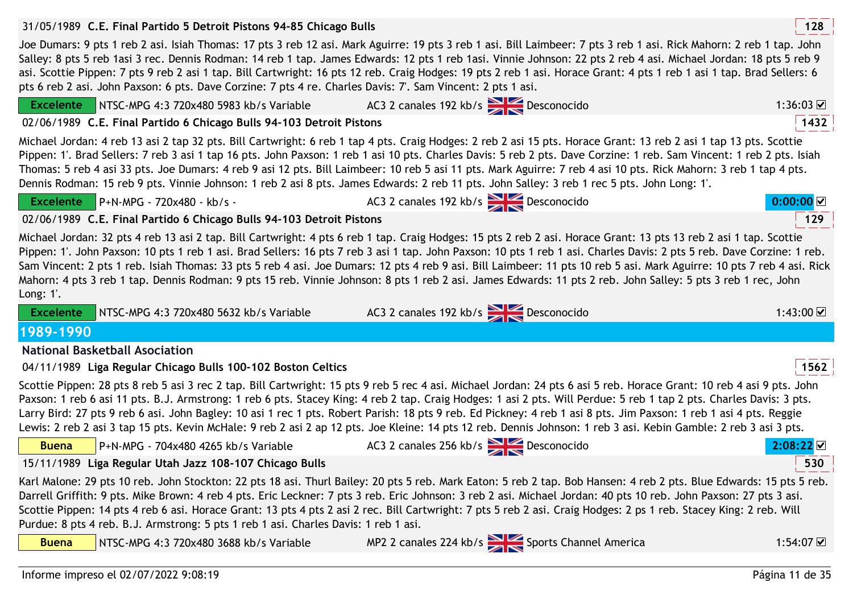|                                                                                                                                                                                                                                                                                                                                                                                                                                                                                                                                                                                                                                                                                                      | 128                 |
|------------------------------------------------------------------------------------------------------------------------------------------------------------------------------------------------------------------------------------------------------------------------------------------------------------------------------------------------------------------------------------------------------------------------------------------------------------------------------------------------------------------------------------------------------------------------------------------------------------------------------------------------------------------------------------------------------|---------------------|
| Joe Dumars: 9 pts 1 reb 2 asi. Isiah Thomas: 17 pts 3 reb 12 asi. Mark Aguirre: 19 pts 3 reb 1 asi. Bill Laimbeer: 7 pts 3 reb 1 asi. Rick Mahorn: 2 reb 1 tap. John<br>Salley: 8 pts 5 reb 1asi 3 rec. Dennis Rodman: 14 reb 1 tap. James Edwards: 12 pts 1 reb 1asi. Vinnie Johnson: 22 pts 2 reb 4 asi. Michael Jordan: 18 pts 5 reb 9<br>asi. Scottie Pippen: 7 pts 9 reb 2 asi 1 tap. Bill Cartwright: 16 pts 12 reb. Craig Hodges: 19 pts 2 reb 1 asi. Horace Grant: 4 pts 1 reb 1 asi 1 tap. Brad Sellers: 6<br>pts 6 reb 2 asi. John Paxson: 6 pts. Dave Corzine: 7 pts 4 re. Charles Davis: 7'. Sam Vincent: 2 pts 1 asi.                                                                   |                     |
| AC3 2 canales 192 kb/s Desconocido<br>NTSC-MPG 4:3 720x480 5983 kb/s Variable<br><b>Excelente</b>                                                                                                                                                                                                                                                                                                                                                                                                                                                                                                                                                                                                    | 1:36:03 $\boxtimes$ |
| 02/06/1989 C.E. Final Partido 6 Chicago Bulls 94-103 Detroit Pistons                                                                                                                                                                                                                                                                                                                                                                                                                                                                                                                                                                                                                                 | 1432                |
| Michael Jordan: 4 reb 13 asi 2 tap 32 pts. Bill Cartwright: 6 reb 1 tap 4 pts. Craig Hodges: 2 reb 2 asi 15 pts. Horace Grant: 13 reb 2 asi 1 tap 13 pts. Scottie<br>Pippen: 1'. Brad Sellers: 7 reb 3 asi 1 tap 16 pts. John Paxson: 1 reb 1 asi 10 pts. Charles Davis: 5 reb 2 pts. Dave Corzine: 1 reb. Sam Vincent: 1 reb 2 pts. Isiah<br>Thomas: 5 reb 4 asi 33 pts. Joe Dumars: 4 reb 9 asi 12 pts. Bill Laimbeer: 10 reb 5 asi 11 pts. Mark Aguirre: 7 reb 4 asi 10 pts. Rick Mahorn: 3 reb 1 tap 4 pts.<br>Dennis Rodman: 15 reb 9 pts. Vinnie Johnson: 1 reb 2 asi 8 pts. James Edwards: 2 reb 11 pts. John Salley: 3 reb 1 rec 5 pts. John Long: 1'.                                       |                     |
| AC3 2 canales 192 kb/s<br>Desconocido<br>Excelente $\blacksquare$ P+N-MPG - 720x480 - kb/s -                                                                                                                                                                                                                                                                                                                                                                                                                                                                                                                                                                                                         | 0:00:00             |
| 02/06/1989 C.E. Final Partido 6 Chicago Bulls 94-103 Detroit Pistons                                                                                                                                                                                                                                                                                                                                                                                                                                                                                                                                                                                                                                 | 129                 |
| Michael Jordan: 32 pts 4 reb 13 asi 2 tap. Bill Cartwright: 4 pts 6 reb 1 tap. Craig Hodges: 15 pts 2 reb 2 asi. Horace Grant: 13 pts 13 reb 2 asi 1 tap. Scottie<br>Pippen: 1'. John Paxson: 10 pts 1 reb 1 asi. Brad Sellers: 16 pts 7 reb 3 asi 1 tap. John Paxson: 10 pts 1 reb 1 asi. Charles Davis: 2 pts 5 reb. Dave Corzine: 1 reb.<br>Sam Vincent: 2 pts 1 reb. Isiah Thomas: 33 pts 5 reb 4 asi. Joe Dumars: 12 pts 4 reb 9 asi. Bill Laimbeer: 11 pts 10 reb 5 asi. Mark Aguirre: 10 pts 7 reb 4 asi. Rick<br>Mahorn: 4 pts 3 reb 1 tap. Dennis Rodman: 9 pts 15 reb. Vinnie Johnson: 8 pts 1 reb 2 asi. James Edwards: 11 pts 2 reb. John Salley: 5 pts 3 reb 1 rec, John<br>Long: $1'.$ |                     |
| AC3 2 canales 192 kb/s 2 Desconocido<br>NTSC-MPG 4:3 720x480 5632 kb/s Variable<br><b>Excelente</b>                                                                                                                                                                                                                                                                                                                                                                                                                                                                                                                                                                                                  | 1:43:00 $\Box$      |
|                                                                                                                                                                                                                                                                                                                                                                                                                                                                                                                                                                                                                                                                                                      |                     |
| 1989-1990                                                                                                                                                                                                                                                                                                                                                                                                                                                                                                                                                                                                                                                                                            |                     |
| <b>National Basketball Asociation</b>                                                                                                                                                                                                                                                                                                                                                                                                                                                                                                                                                                                                                                                                |                     |
| 04/11/1989 Liga Regular Chicago Bulls 100-102 Boston Celtics                                                                                                                                                                                                                                                                                                                                                                                                                                                                                                                                                                                                                                         | 1562                |
| Scottie Pippen: 28 pts 8 reb 5 asi 3 rec 2 tap. Bill Cartwright: 15 pts 9 reb 5 rec 4 asi. Michael Jordan: 24 pts 6 asi 5 reb. Horace Grant: 10 reb 4 asi 9 pts. John<br>Paxson: 1 reb 6 asi 11 pts. B.J. Armstrong: 1 reb 6 pts. Stacey King: 4 reb 2 tap. Craig Hodges: 1 asi 2 pts. Will Perdue: 5 reb 1 tap 2 pts. Charles Davis: 3 pts.<br>Larry Bird: 27 pts 9 reb 6 asi. John Bagley: 10 asi 1 rec 1 pts. Robert Parish: 18 pts 9 reb. Ed Pickney: 4 reb 1 asi 8 pts. Jim Paxson: 1 reb 1 asi 4 pts. Reggie<br>Lewis: 2 reb 2 asi 3 tap 15 pts. Kevin McHale: 9 reb 2 asi 2 ap 12 pts. Joe Kleine: 14 pts 12 reb. Dennis Johnson: 1 reb 3 asi. Kebin Gamble: 2 reb 3 asi 3 pts.               |                     |
| AC3 2 canales 256 kb/s $\geq$ Desconocido<br>P+N-MPG - 704x480 4265 kb/s Variable<br><b>Buena</b>                                                                                                                                                                                                                                                                                                                                                                                                                                                                                                                                                                                                    | 2:08:22             |
| 15/11/1989 Liga Regular Utah Jazz 108-107 Chicago Bulls                                                                                                                                                                                                                                                                                                                                                                                                                                                                                                                                                                                                                                              | 530                 |
| Karl Malone: 29 pts 10 reb. John Stockton: 22 pts 18 asi. Thurl Bailey: 20 pts 5 reb. Mark Eaton: 5 reb 2 tap. Bob Hansen: 4 reb 2 pts. Blue Edwards: 15 pts 5 reb.<br>Darrell Griffith: 9 pts. Mike Brown: 4 reb 4 pts. Eric Leckner: 7 pts 3 reb. Eric Johnson: 3 reb 2 asi. Michael Jordan: 40 pts 10 reb. John Paxson: 27 pts 3 asi.<br>Scottie Pippen: 14 pts 4 reb 6 asi. Horace Grant: 13 pts 4 pts 2 asi 2 rec. Bill Cartwright: 7 pts 5 reb 2 asi. Craig Hodges: 2 ps 1 reb. Stacey King: 2 reb. Will<br>Purdue: 8 pts 4 reb. B.J. Armstrong: 5 pts 1 reb 1 asi. Charles Davis: 1 reb 1 asi.                                                                                                |                     |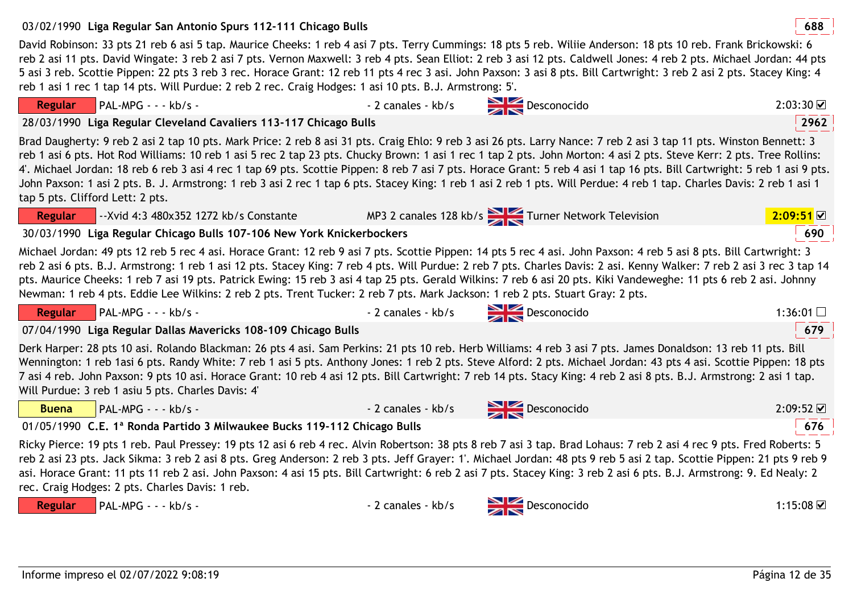# 03/02/1990 **<sup>688</sup>Liga Regular San Antonio Spurs 112-111 Chicago Bulls**

David Robinson: 33 pts 21 reb 6 asi 5 tap. Maurice Cheeks: 1 reb 4 asi 7 pts. Terry Cummings: 18 pts 5 reb. Wiliie Anderson: 18 pts 10 reb. Frank Brickowski: 6 reb 2 asi 11 pts. David Wingate: 3 reb 2 asi 7 pts. Vernon Maxwell: 3 reb 4 pts. Sean Elliot: 2 reb 3 asi 12 pts. Caldwell Jones: 4 reb 2 pts. Michael Jordan: 44 pts 5 asi 3 reb. Scottie Pippen: 22 pts 3 reb 3 rec. Horace Grant: 12 reb 11 pts 4 rec 3 asi. John Paxson: 3 asi 8 pts. Bill Cartwright: 3 reb 2 asi 2 pts. Stacey King: 4 reb 1 asi 1 rec 1 tap 14 pts. Will Purdue: 2 reb 2 rec. Craig Hodges: 1 asi 10 pts. B.J. Armstrong: 5'.

| John Paxson: 1 asi 2 pts. B. J. Armstrong: 1 reb 3 asi 2 rec 1 tap 6 pts. Stacey King: 1 reb 1 asi 2 reb 1 pts. Will Perdue: 4 reb 1 tap. Charles Davis: 2 reb 1 asi 1<br>tap 5 pts. Clifford Lett: 2 pts.                                                                                                                                                                                                                                                                                                                                                                                                                                             |                    |                                                  |                     |
|--------------------------------------------------------------------------------------------------------------------------------------------------------------------------------------------------------------------------------------------------------------------------------------------------------------------------------------------------------------------------------------------------------------------------------------------------------------------------------------------------------------------------------------------------------------------------------------------------------------------------------------------------------|--------------------|--------------------------------------------------|---------------------|
| --Xvid 4:3 480x352 1272 kb/s Constante<br><b>Regular</b>                                                                                                                                                                                                                                                                                                                                                                                                                                                                                                                                                                                               |                    | MP3 2 canales 128 kb/s Turner Network Television | 2:09:51             |
| 30/03/1990 Liga Regular Chicago Bulls 107-106 New York Knickerbockers                                                                                                                                                                                                                                                                                                                                                                                                                                                                                                                                                                                  |                    |                                                  | 690                 |
| Michael Jordan: 49 pts 12 reb 5 rec 4 asi. Horace Grant: 12 reb 9 asi 7 pts. Scottie Pippen: 14 pts 5 rec 4 asi. John Paxson: 4 reb 5 asi 8 pts. Bill Cartwright: 3<br>reb 2 asi 6 pts. B.J. Armstrong: 1 reb 1 asi 12 pts. Stacey King: 7 reb 4 pts. Will Purdue: 2 reb 7 pts. Charles Davis: 2 asi. Kenny Walker: 7 reb 2 asi 3 rec 3 tap 14<br>pts. Maurice Cheeks: 1 reb 7 asi 19 pts. Patrick Ewing: 15 reb 3 asi 4 tap 25 pts. Gerald Wilkins: 7 reb 6 asi 20 pts. Kiki Vandeweghe: 11 pts 6 reb 2 asi. Johnny<br>Newman: 1 reb 4 pts. Eddie Lee Wilkins: 2 reb 2 pts. Trent Tucker: 2 reb 7 pts. Mark Jackson: 1 reb 2 pts. Stuart Gray: 2 pts. |                    |                                                  |                     |
| Regular PAL-MPG - - - kb/s -                                                                                                                                                                                                                                                                                                                                                                                                                                                                                                                                                                                                                           |                    | - 2 canales - kb/s Desconocido                   | 1:36:01 $\Box$      |
| 07/04/1990 Liga Regular Dallas Mavericks 108-109 Chicago Bulls                                                                                                                                                                                                                                                                                                                                                                                                                                                                                                                                                                                         |                    |                                                  | 679                 |
| Derk Harper: 28 pts 10 asi. Rolando Blackman: 26 pts 4 asi. Sam Perkins: 21 pts 10 reb. Herb Williams: 4 reb 3 asi 7 pts. James Donaldson: 13 reb 11 pts. Bill<br>Wennington: 1 reb 1asi 6 pts. Randy White: 7 reb 1 asi 5 pts. Anthony Jones: 1 reb 2 pts. Steve Alford: 2 pts. Michael Jordan: 43 pts 4 asi. Scottie Pippen: 18 pts<br>7 asi 4 reb. John Paxson: 9 pts 10 asi. Horace Grant: 10 reb 4 asi 12 pts. Bill Cartwright: 7 reb 14 pts. Stacy King: 4 reb 2 asi 8 pts. B.J. Armstrong: 2 asi 1 tap.<br>Will Purdue: 3 reb 1 asiu 5 pts. Charles Davis: 4'                                                                                   |                    |                                                  |                     |
| $PAL-MPG - - kb/s -$<br><b>Buena</b>                                                                                                                                                                                                                                                                                                                                                                                                                                                                                                                                                                                                                   | - 2 canales - kb/s | Desconocido                                      | $2:09:52$ $\Box$    |
| 01/05/1990 C.E. 1ª Ronda Partido 3 Milwaukee Bucks 119-112 Chicago Bulls                                                                                                                                                                                                                                                                                                                                                                                                                                                                                                                                                                               |                    |                                                  | 676                 |
| Ricky Pierce: 19 pts 1 reb. Paul Pressey: 19 pts 12 asi 6 reb 4 rec. Alvin Robertson: 38 pts 8 reb 7 asi 3 tap. Brad Lohaus: 7 reb 2 asi 4 rec 9 pts. Fred Roberts: 5<br>reb 2 asi 23 pts. Jack Sikma: 3 reb 2 asi 8 pts. Greg Anderson: 2 reb 3 pts. Jeff Grayer: 1'. Michael Jordan: 48 pts 9 reb 5 asi 2 tap. Scottie Pippen: 21 pts 9 reb 9<br>asi. Horace Grant: 11 pts 11 reb 2 asi. John Paxson: 4 asi 15 pts. Bill Cartwright: 6 reb 2 asi 7 pts. Stacey King: 3 reb 2 asi 6 pts. B.J. Armstrong: 9. Ed Nealy: 2<br>rec. Craig Hodges: 2 pts. Charles Davis: 1 reb.                                                                            |                    |                                                  |                     |
| PAL-MPG - - - kb/s -<br><b>Regular</b>                                                                                                                                                                                                                                                                                                                                                                                                                                                                                                                                                                                                                 | - 2 canales - kb/s | $\sum$ Desconocido                               | 1:15:08 $\boxtimes$ |

28/03/1990 **<sup>2962</sup>Liga Regular Cleveland Cavaliers 113-117 Chicago Bulls**

**Regular**

Brad Daugherty: 9 reb 2 asi 2 tap 10 pts. Mark Price: 2 reb 8 asi 31 pts. Craig Ehlo: 9 reb 3 asi 26 pts. Larry Nance: 7 reb 2 asi 3 tap 11 pts. Winston Bennett: 3 reb 1 asi 6 pts. Hot Rod Williams: 10 reb 1 asi 5 rec 2 tap 23 pts. Chucky Brown: 1 asi 1 rec 1 tap 2 pts. John Morton: 4 asi 2 pts. Steve Kerr: 2 pts. Tree Rollins: 4'. Michael Jordan: 18 reb 6 reb 3 asi 4 rec 1 tap 69 pts. Scottie Pippen: 8 reb 7 asi 7 pts. Horace Grant: 5 reb 4 asi 1 tap 16 pts. Bill Cartwright: 5 reb 1 asi 9 pts.

Informe impreso el 02/07/2022 9:08:19

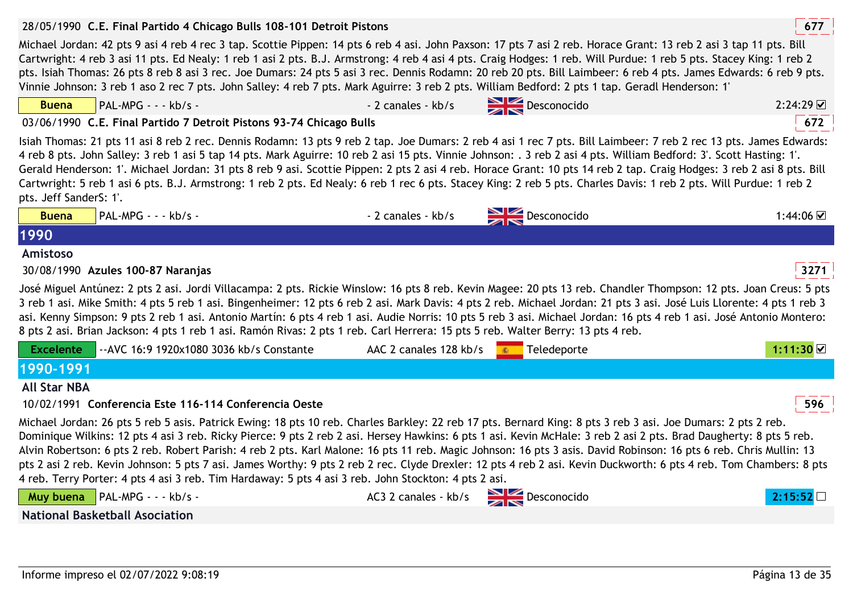|                                       | 28/05/1990 C.E. Final Partido 4 Chicago Bulls 108-101 Detroit Pistons                                                                                                                                                                                                                                                                                                                                                                                                                                                                                                                                                                                                                                                                                                                  |                        |                                  | 677       |
|---------------------------------------|----------------------------------------------------------------------------------------------------------------------------------------------------------------------------------------------------------------------------------------------------------------------------------------------------------------------------------------------------------------------------------------------------------------------------------------------------------------------------------------------------------------------------------------------------------------------------------------------------------------------------------------------------------------------------------------------------------------------------------------------------------------------------------------|------------------------|----------------------------------|-----------|
|                                       | Michael Jordan: 42 pts 9 asi 4 reb 4 rec 3 tap. Scottie Pippen: 14 pts 6 reb 4 asi. John Paxson: 17 pts 7 asi 2 reb. Horace Grant: 13 reb 2 asi 3 tap 11 pts. Bill<br>Cartwright: 4 reb 3 asi 11 pts. Ed Nealy: 1 reb 1 asi 2 pts. B.J. Armstrong: 4 reb 4 asi 4 pts. Craig Hodges: 1 reb. Will Purdue: 1 reb 5 pts. Stacey King: 1 reb 2<br>pts. Isiah Thomas: 26 pts 8 reb 8 asi 3 rec. Joe Dumars: 24 pts 5 asi 3 rec. Dennis Rodamn: 20 reb 20 pts. Bill Laimbeer: 6 reb 4 pts. James Edwards: 6 reb 9 pts.<br>Vinnie Johnson: 3 reb 1 aso 2 rec 7 pts. John Salley: 4 reb 7 pts. Mark Aguirre: 3 reb 2 pts. William Bedford: 2 pts 1 tap. Geradl Henderson: 1'                                                                                                                    |                        |                                  |           |
| <b>Buena</b>                          | PAL-MPG - - - kb/s -                                                                                                                                                                                                                                                                                                                                                                                                                                                                                                                                                                                                                                                                                                                                                                   | - 2 canales - kb/s     | Desconocido                      | 2:24:29   |
|                                       | 03/06/1990 C.E. Final Partido 7 Detroit Pistons 93-74 Chicago Bulls                                                                                                                                                                                                                                                                                                                                                                                                                                                                                                                                                                                                                                                                                                                    |                        |                                  | 672       |
| pts. Jeff SanderS: 1'.                | Isiah Thomas: 21 pts 11 asi 8 reb 2 rec. Dennis Rodamn: 13 pts 9 reb 2 tap. Joe Dumars: 2 reb 4 asi 1 rec 7 pts. Bill Laimbeer: 7 reb 2 rec 13 pts. James Edwards:<br>4 reb 8 pts. John Salley: 3 reb 1 asi 5 tap 14 pts. Mark Aguirre: 10 reb 2 asi 15 pts. Vinnie Johnson: . 3 reb 2 asi 4 pts. William Bedford: 3'. Scott Hasting: 1'.<br>Gerald Henderson: 1'. Michael Jordan: 31 pts 8 reb 9 asi. Scottie Pippen: 2 pts 2 asi 4 reb. Horace Grant: 10 pts 14 reb 2 tap. Craig Hodges: 3 reb 2 asi 8 pts. Bill<br>Cartwright: 5 reb 1 asi 6 pts. B.J. Armstrong: 1 reb 2 pts. Ed Nealy: 6 reb 1 rec 6 pts. Stacey King: 2 reb 5 pts. Charles Davis: 1 reb 2 pts. Will Purdue: 1 reb 2                                                                                              |                        |                                  |           |
| <b>Buena</b>                          | PAL-MPG - - - kb/s -                                                                                                                                                                                                                                                                                                                                                                                                                                                                                                                                                                                                                                                                                                                                                                   | - 2 canales - kb/s     | $\sum$ Desconocido               | 1:44:06 ☑ |
| 1990                                  |                                                                                                                                                                                                                                                                                                                                                                                                                                                                                                                                                                                                                                                                                                                                                                                        |                        |                                  |           |
| Amistoso                              |                                                                                                                                                                                                                                                                                                                                                                                                                                                                                                                                                                                                                                                                                                                                                                                        |                        |                                  |           |
|                                       |                                                                                                                                                                                                                                                                                                                                                                                                                                                                                                                                                                                                                                                                                                                                                                                        |                        |                                  |           |
|                                       | 30/08/1990 Azules 100-87 Naranjas                                                                                                                                                                                                                                                                                                                                                                                                                                                                                                                                                                                                                                                                                                                                                      |                        |                                  | 3271      |
|                                       | José Miguel Antúnez: 2 pts 2 asi. Jordi Villacampa: 2 pts. Rickie Winslow: 16 pts 8 reb. Kevin Magee: 20 pts 13 reb. Chandler Thompson: 12 pts. Joan Creus: 5 pts<br>3 reb 1 asi. Mike Smith: 4 pts 5 reb 1 asi. Bingenheimer: 12 pts 6 reb 2 asi. Mark Davis: 4 pts 2 reb. Michael Jordan: 21 pts 3 asi. José Luis Llorente: 4 pts 1 reb 3<br>asi. Kenny Simpson: 9 pts 2 reb 1 asi. Antonio Martín: 6 pts 4 reb 1 asi. Audie Norris: 10 pts 5 reb 3 asi. Michael Jordan: 16 pts 4 reb 1 asi. José Antonio Montero:<br>8 pts 2 asi. Brian Jackson: 4 pts 1 reb 1 asi. Ramón Rivas: 2 pts 1 reb. Carl Herrera: 15 pts 5 reb. Walter Berry: 13 pts 4 reb.                                                                                                                               |                        |                                  |           |
| <b>Excelente</b>                      | -- AVC 16:9 1920x1080 3036 kb/s Constante                                                                                                                                                                                                                                                                                                                                                                                                                                                                                                                                                                                                                                                                                                                                              | AAC 2 canales 128 kb/s | Teledeporte                      | 1:11:30 ☑ |
| 1990-1991                             |                                                                                                                                                                                                                                                                                                                                                                                                                                                                                                                                                                                                                                                                                                                                                                                        |                        |                                  |           |
| <b>All Star NBA</b>                   |                                                                                                                                                                                                                                                                                                                                                                                                                                                                                                                                                                                                                                                                                                                                                                                        |                        |                                  |           |
|                                       | 10/02/1991 Conferencia Este 116-114 Conferencia Oeste                                                                                                                                                                                                                                                                                                                                                                                                                                                                                                                                                                                                                                                                                                                                  |                        |                                  | 596       |
|                                       | Michael Jordan: 26 pts 5 reb 5 asis. Patrick Ewing: 18 pts 10 reb. Charles Barkley: 22 reb 17 pts. Bernard King: 8 pts 3 reb 3 asi. Joe Dumars: 2 pts 2 reb.<br>Dominique Wilkins: 12 pts 4 asi 3 reb. Ricky Pierce: 9 pts 2 reb 2 asi. Hersey Hawkins: 6 pts 1 asi. Kevin McHale: 3 reb 2 asi 2 pts. Brad Daugherty: 8 pts 5 reb.<br>Alvin Robertson: 6 pts 2 reb. Robert Parish: 4 reb 2 pts. Karl Malone: 16 pts 11 reb. Magic Johnson: 16 pts 3 asis. David Robinson: 16 pts 6 reb. Chris Mullin: 13<br>pts 2 asi 2 reb. Kevin Johnson: 5 pts 7 asi. James Worthy: 9 pts 2 reb 2 rec. Clyde Drexler: 12 pts 4 reb 2 asi. Kevin Duckworth: 6 pts 4 reb. Tom Chambers: 8 pts<br>4 reb. Terry Porter: 4 pts 4 asi 3 reb. Tim Hardaway: 5 pts 4 asi 3 reb. John Stockton: 4 pts 2 asi. |                        |                                  |           |
|                                       | Muy buena   PAL-MPG - - - kb/s -                                                                                                                                                                                                                                                                                                                                                                                                                                                                                                                                                                                                                                                                                                                                                       |                        | AC3 2 canales - kb/s Desconocido | 2:15:52   |
| <b>National Basketball Asociation</b> |                                                                                                                                                                                                                                                                                                                                                                                                                                                                                                                                                                                                                                                                                                                                                                                        |                        |                                  |           |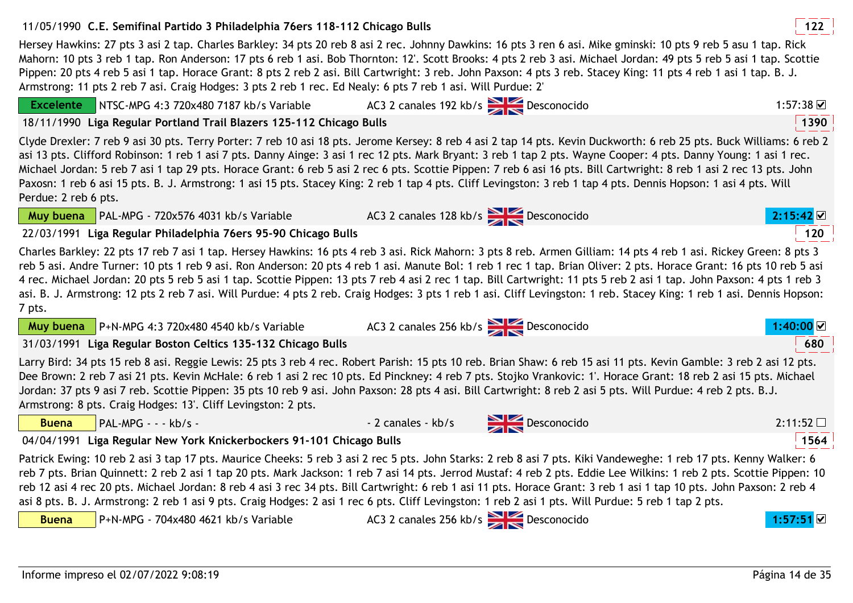## 11/05/1990 **<sup>122</sup>C.E. Semifinal Partido 3 Philadelphia 76ers 118-112 Chicago Bulls**

Hersey Hawkins: 27 pts 3 asi 2 tap. Charles Barkley: 34 pts 20 reb 8 asi 2 rec. Johnny Dawkins: 16 pts 3 ren 6 asi. Mike gminski: 10 pts 9 reb 5 asu 1 tap. Rick Mahorn: 10 pts 3 reb 1 tap. Ron Anderson: 17 pts 6 reb 1 asi. Bob Thornton: 12'. Scott Brooks: 4 pts 2 reb 3 asi. Michael Jordan: 49 pts 5 reb 5 asi 1 tap. Scottie Pippen: 20 pts 4 reb 5 asi 1 tap. Horace Grant: 8 pts 2 reb 2 asi. Bill Cartwright: 3 reb. John Paxson: 4 pts 3 reb. Stacey King: 11 pts 4 reb 1 asi 1 tap. B. J. Armstrong: 11 pts 2 reb 7 asi. Craig Hodges: 3 pts 2 reb 1 rec. Ed Nealy: 6 pts 7 reb 1 asi. Will Purdue: 2'

AC3 2 canales 192 kb/s Desconocido 1:57:38 Desconocido

AC3 2 canales 128 kb/s **Desconocido 2:15:42 2** 

AC3 2 canales 256 kb/s Desconocido **1:40:00**

o 2:11:52

 NTSC-MPG 4:3 720x480 7187 kb/s Variable18/11/1990 **<sup>1390</sup>Liga Regular Portland Trail Blazers 125-112 Chicago Bulls**

Clyde Drexler: 7 reb 9 asi 30 pts. Terry Porter: 7 reb 10 asi 18 pts. Jerome Kersey: 8 reb 4 asi 2 tap 14 pts. Kevin Duckworth: 6 reb 25 pts. Buck Williams: 6 reb 2 asi 13 pts. Clifford Robinson: 1 reb 1 asi 7 pts. Danny Ainge: 3 asi 1 rec 12 pts. Mark Bryant: 3 reb 1 tap 2 pts. Wayne Cooper: 4 pts. Danny Young: 1 asi 1 rec. Michael Jordan: 5 reb 7 asi 1 tap 29 pts. Horace Grant: 6 reb 5 asi 2 rec 6 pts. Scottie Pippen: 7 reb 6 asi 16 pts. Bill Cartwright: 8 reb 1 asi 2 rec 13 pts. John Paxosn: 1 reb 6 asi 15 pts. B. J. Armstrong: 1 asi 15 pts. Stacey King: 2 reb 1 tap 4 pts. Cliff Levingston: 3 reb 1 tap 4 pts. Dennis Hopson: 1 asi 4 pts. Will Perdue: 2 reb 6 pts.

**Muy buena** PAL-MPG - 720x576 4031 kb/s Variable22/03/1991 **<sup>120</sup>Liga Regular Philadelphia 76ers 95-90 Chicago Bulls**

Charles Barkley: 22 pts 17 reb 7 asi 1 tap. Hersey Hawkins: 16 pts 4 reb 3 asi. Rick Mahorn: 3 pts 8 reb. Armen Gilliam: 14 pts 4 reb 1 asi. Rickey Green: 8 pts 3 reb 5 asi. Andre Turner: 10 pts 1 reb 9 asi. Ron Anderson: 20 pts 4 reb 1 asi. Manute Bol: 1 reb 1 rec 1 tap. Brian Oliver: 2 pts. Horace Grant: 16 pts 10 reb 5 asi 4 rec. Michael Jordan: 20 pts 5 reb 5 asi 1 tap. Scottie Pippen: 13 pts 7 reb 4 asi 2 rec 1 tap. Bill Cartwright: 11 pts 5 reb 2 asi 1 tap. John Paxson: 4 pts 1 reb 3 asi. B. J. Armstrong: 12 pts 2 reb 7 asi. Will Purdue: 4 pts 2 reb. Craig Hodges: 3 pts 1 reb 1 asi. Cliff Levingston: 1 reb. Stacey King: 1 reb 1 asi. Dennis Hopson: 7 pts.

**Muy buena** P+N-MPG 4:3 720x480 4540 kb/s Variable31/03/1991 **<sup>680</sup>Liga Regular Boston Celtics 135-132 Chicago Bulls**

Larry Bird: 34 pts 15 reb 8 asi. Reggie Lewis: 25 pts 3 reb 4 rec. Robert Parish: 15 pts 10 reb. Brian Shaw: 6 reb 15 asi 11 pts. Kevin Gamble: 3 reb 2 asi 12 pts. Dee Brown: 2 reb 7 asi 21 pts. Kevin McHale: 6 reb 1 asi 2 rec 10 pts. Ed Pinckney: 4 reb 7 pts. Stojko Vrankovic: 1'. Horace Grant: 18 reb 2 asi 15 pts. Michael Jordan: 37 pts 9 asi 7 reb. Scottie Pippen: 35 pts 10 reb 9 asi. John Paxson: 28 pts 4 asi. Bill Cartwright: 8 reb 2 asi 5 pts. Will Purdue: 4 reb 2 pts. B.J. Armstrong: 8 pts. Craig Hodges: 13'. Cliff Levingston: 2 pts.

| <b>Buena</b> | <b>PAL-M</b> |
|--------------|--------------|
|--------------|--------------|

**Excelente**

 $\frac{P}{P}$  - - kb/s -  $\frac{P}{P}$  - 2 canales - kb/s  $\frac{P}{P}$  Desconocido

04/04/1991 **<sup>1564</sup>Liga Regular New York Knickerbockers 91-101 Chicago Bulls**

Patrick Ewing: 10 reb 2 asi 3 tap 17 pts. Maurice Cheeks: 5 reb 3 asi 2 rec 5 pts. John Starks: 2 reb 8 asi 7 pts. Kiki Vandeweghe: 1 reb 17 pts. Kenny Walker: 6 reb 7 pts. Brian Quinnett: 2 reb 2 asi 1 tap 20 pts. Mark Jackson: 1 reb 7 asi 14 pts. Jerrod Mustaf: 4 reb 2 pts. Eddie Lee Wilkins: 1 reb 2 pts. Scottie Pippen: 10 reb 12 asi 4 rec 20 pts. Michael Jordan: 8 reb 4 asi 3 rec 34 pts. Bill Cartwright: 6 reb 1 asi 11 pts. Horace Grant: 3 reb 1 asi 1 tap 10 pts. John Paxson: 2 reb 4 asi 8 pts. B. J. Armstrong: 2 reb 1 asi 9 pts. Craig Hodges: 2 asi 1 rec 6 pts. Cliff Levingston: 1 reb 2 asi 1 pts. Will Purdue: 5 reb 1 tap 2 pts.



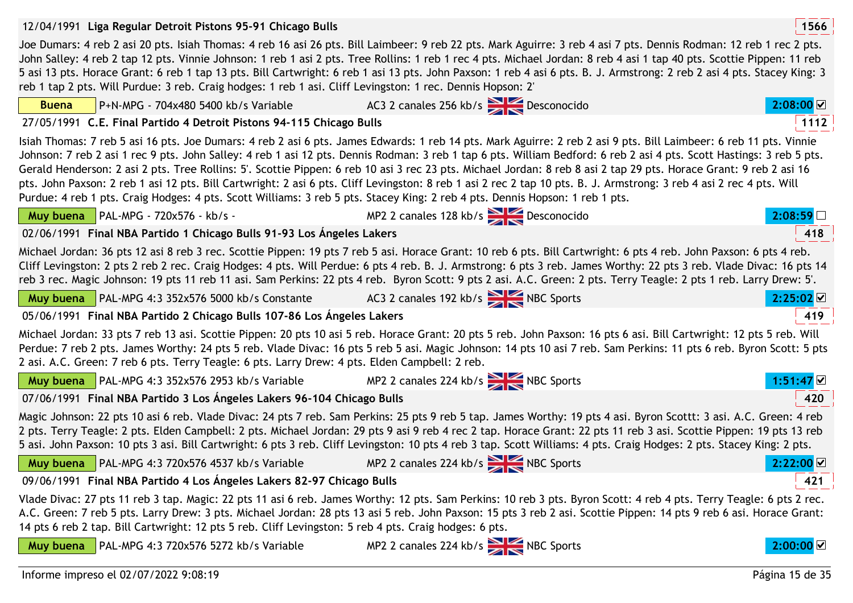|                                      | 12/04/1991 Liga Regular Detroit Pistons 95-91 Chicago Bulls                                                |                                                                                                                                                                                                                                                                                                                                                                                                                                                                                                                                                                                                                                                                                                                                                                                                                           | 1566                  |
|--------------------------------------|------------------------------------------------------------------------------------------------------------|---------------------------------------------------------------------------------------------------------------------------------------------------------------------------------------------------------------------------------------------------------------------------------------------------------------------------------------------------------------------------------------------------------------------------------------------------------------------------------------------------------------------------------------------------------------------------------------------------------------------------------------------------------------------------------------------------------------------------------------------------------------------------------------------------------------------------|-----------------------|
|                                      | reb 1 tap 2 pts. Will Purdue: 3 reb. Craig hodges: 1 reb 1 asi. Cliff Levingston: 1 rec. Dennis Hopson: 2' | Joe Dumars: 4 reb 2 asi 20 pts. Isiah Thomas: 4 reb 16 asi 26 pts. Bill Laimbeer: 9 reb 22 pts. Mark Aguirre: 3 reb 4 asi 7 pts. Dennis Rodman: 12 reb 1 rec 2 pts.<br>John Salley: 4 reb 2 tap 12 pts. Vinnie Johnson: 1 reb 1 asi 2 pts. Tree Rollins: 1 reb 1 rec 4 pts. Michael Jordan: 8 reb 4 asi 1 tap 40 pts. Scottie Pippen: 11 reb<br>5 asi 13 pts. Horace Grant: 6 reb 1 tap 13 pts. Bill Cartwright: 6 reb 1 asi 13 pts. John Paxson: 1 reb 4 asi 6 pts. B. J. Armstrong: 2 reb 2 asi 4 pts. Stacey King: 3                                                                                                                                                                                                                                                                                                   |                       |
| <b>Buena</b>                         | P+N-MPG - 704x480 5400 kb/s Variable                                                                       | AC3 2 canales 256 kb/s Desconocido                                                                                                                                                                                                                                                                                                                                                                                                                                                                                                                                                                                                                                                                                                                                                                                        | $2:08:00$ $\boxtimes$ |
|                                      | 27/05/1991 C.E. Final Partido 4 Detroit Pistons 94-115 Chicago Bulls                                       |                                                                                                                                                                                                                                                                                                                                                                                                                                                                                                                                                                                                                                                                                                                                                                                                                           | 1112                  |
|                                      |                                                                                                            | Isiah Thomas: 7 reb 5 asi 16 pts. Joe Dumars: 4 reb 2 asi 6 pts. James Edwards: 1 reb 14 pts. Mark Aguirre: 2 reb 2 asi 9 pts. Bill Laimbeer: 6 reb 11 pts. Vinnie<br>Johnson: 7 reb 2 asi 1 rec 9 pts. John Salley: 4 reb 1 asi 12 pts. Dennis Rodman: 3 reb 1 tap 6 pts. William Bedford: 6 reb 2 asi 4 pts. Scott Hastings: 3 reb 5 pts.<br>Gerald Henderson: 2 asi 2 pts. Tree Rollins: 5'. Scottie Pippen: 6 reb 10 asi 3 rec 23 pts. Michael Jordan: 8 reb 8 asi 2 tap 29 pts. Horace Grant: 9 reb 2 asi 16<br>pts. John Paxson: 2 reb 1 asi 12 pts. Bill Cartwright: 2 asi 6 pts. Cliff Levingston: 8 reb 1 asi 2 rec 2 tap 10 pts. B. J. Armstrong: 3 reb 4 asi 2 rec 4 pts. Will<br>Purdue: 4 reb 1 pts. Craig Hodges: 4 pts. Scott Williams: 3 reb 5 pts. Stacey King: 2 reb 4 pts. Dennis Hopson: 1 reb 1 pts. |                       |
| Muy buena PAL-MPG - 720x576 - kb/s - |                                                                                                            | MP2 2 canales 128 kb/s<br>Desconocido                                                                                                                                                                                                                                                                                                                                                                                                                                                                                                                                                                                                                                                                                                                                                                                     | 2:08:59               |
|                                      | 02/06/1991 Final NBA Partido 1 Chicago Bulls 91-93 Los Ángeles Lakers                                      |                                                                                                                                                                                                                                                                                                                                                                                                                                                                                                                                                                                                                                                                                                                                                                                                                           | 418                   |
|                                      |                                                                                                            | Michael Jordan: 36 pts 12 asi 8 reb 3 rec. Scottie Pippen: 19 pts 7 reb 5 asi. Horace Grant: 10 reb 6 pts. Bill Cartwright: 6 pts 4 reb. John Paxson: 6 pts 4 reb.<br>Cliff Levingston: 2 pts 2 reb 2 rec. Craig Hodges: 4 pts. Will Perdue: 6 pts 4 reb. B. J. Armstrong: 6 pts 3 reb. James Worthy: 22 pts 3 reb. Vlade Divac: 16 pts 14<br>reb 3 rec. Magic Johnson: 19 pts 11 reb 11 asi. Sam Perkins: 22 pts 4 reb. Byron Scott: 9 pts 2 asi. A.C. Green: 2 pts. Terry Teagle: 2 pts 1 reb. Larry Drew: 5'.                                                                                                                                                                                                                                                                                                          |                       |
|                                      | <b>Muy buena</b> $\vert$ PAL-MPG 4:3 352x576 5000 kb/s Constante                                           | AC3 2 canales 192 kb/s NBC Sports                                                                                                                                                                                                                                                                                                                                                                                                                                                                                                                                                                                                                                                                                                                                                                                         | 2:25:02               |
|                                      | 05/06/1991 Final NBA Partido 2 Chicago Bulls 107-86 Los Ángeles Lakers                                     |                                                                                                                                                                                                                                                                                                                                                                                                                                                                                                                                                                                                                                                                                                                                                                                                                           | 419                   |
|                                      | 2 asi. A.C. Green: 7 reb 6 pts. Terry Teagle: 6 pts. Larry Drew: 4 pts. Elden Campbell: 2 reb.             | Michael Jordan: 33 pts 7 reb 13 asi. Scottie Pippen: 20 pts 10 asi 5 reb. Horace Grant: 20 pts 5 reb. John Paxson: 16 pts 6 asi. Bill Cartwright: 12 pts 5 reb. Will<br>Perdue: 7 reb 2 pts. James Worthy: 24 pts 5 reb. Vlade Divac: 16 pts 5 reb 5 asi. Magic Johnson: 14 pts 10 asi 7 reb. Sam Perkins: 11 pts 6 reb. Byron Scott: 5 pts                                                                                                                                                                                                                                                                                                                                                                                                                                                                               |                       |
|                                      |                                                                                                            | <b>Muy buena</b> PAL-MPG 4:3 352x576 2953 kb/s Variable MP2 2 canales 224 kb/s NBC Sports                                                                                                                                                                                                                                                                                                                                                                                                                                                                                                                                                                                                                                                                                                                                 | $1:51:47$ $\&$        |
|                                      | 07/06/1991 Final NBA Partido 3 Los Ángeles Lakers 96-104 Chicago Bulls                                     |                                                                                                                                                                                                                                                                                                                                                                                                                                                                                                                                                                                                                                                                                                                                                                                                                           | 420                   |
|                                      |                                                                                                            | Magic Johnson: 22 pts 10 asi 6 reb. Vlade Divac: 24 pts 7 reb. Sam Perkins: 25 pts 9 reb 5 tap. James Worthy: 19 pts 4 asi. Byron Scottt: 3 asi. A.C. Green: 4 reb<br>2 pts. Terry Teagle: 2 pts. Elden Campbell: 2 pts. Michael Jordan: 29 pts 9 asi 9 reb 4 rec 2 tap. Horace Grant: 22 pts 11 reb 3 asi. Scottie Pippen: 19 pts 13 reb<br>5 asi. John Paxson: 10 pts 3 asi. Bill Cartwright: 6 pts 3 reb. Cliff Levingston: 10 pts 4 reb 3 tap. Scott Williams: 4 pts. Craig Hodges: 2 pts. Stacey King: 2 pts.                                                                                                                                                                                                                                                                                                        |                       |
| Muy buena                            | PAL-MPG 4:3 720x576 4537 kb/s Variable                                                                     | MP2 2 canales 224 kb/s NBC Sports                                                                                                                                                                                                                                                                                                                                                                                                                                                                                                                                                                                                                                                                                                                                                                                         | 2:22:00               |
|                                      | 09/06/1991 Final NBA Partido 4 Los Ángeles Lakers 82-97 Chicago Bulls                                      |                                                                                                                                                                                                                                                                                                                                                                                                                                                                                                                                                                                                                                                                                                                                                                                                                           | 421                   |
|                                      | 14 pts 6 reb 2 tap. Bill Cartwright: 12 pts 5 reb. Cliff Levingston: 5 reb 4 pts. Craig hodges: 6 pts.     | Vlade Divac: 27 pts 11 reb 3 tap. Magic: 22 pts 11 asi 6 reb. James Worthy: 12 pts. Sam Perkins: 10 reb 3 pts. Byron Scott: 4 reb 4 pts. Terry Teagle: 6 pts 2 rec.<br>A.C. Green: 7 reb 5 pts. Larry Drew: 3 pts. Michael Jordan: 28 pts 13 asi 5 reb. John Paxson: 15 pts 3 reb 2 asi. Scottie Pippen: 14 pts 9 reb 6 asi. Horace Grant:                                                                                                                                                                                                                                                                                                                                                                                                                                                                                |                       |
| Muy buena                            | PAL-MPG 4:3 720x576 5272 kb/s Variable                                                                     | MP2 2 canales 224 kb/s NBC Sports                                                                                                                                                                                                                                                                                                                                                                                                                                                                                                                                                                                                                                                                                                                                                                                         | $2:00:00$ $\vee$      |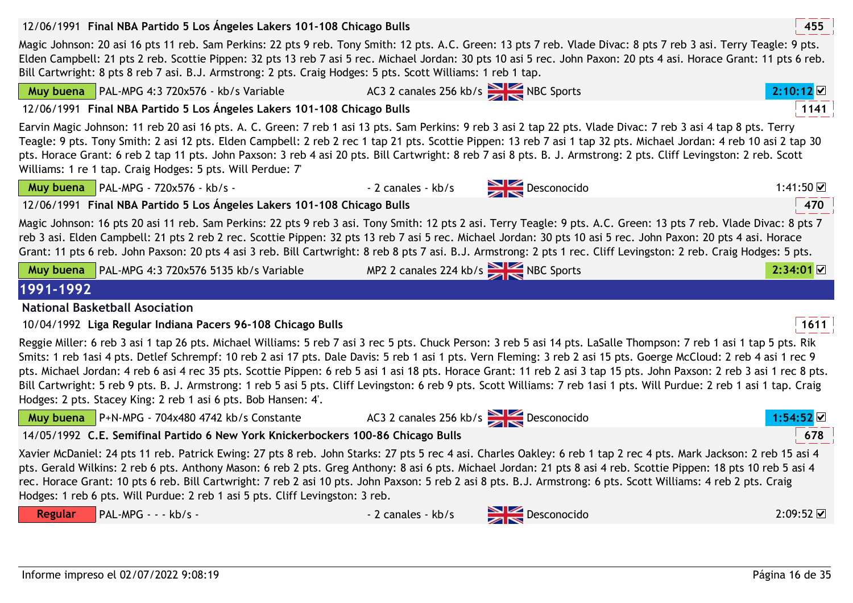

12/06/1991 **<sup>455</sup>Final NBA Partido 5 Los Ángeles Lakers 101-108 Chicago Bulls**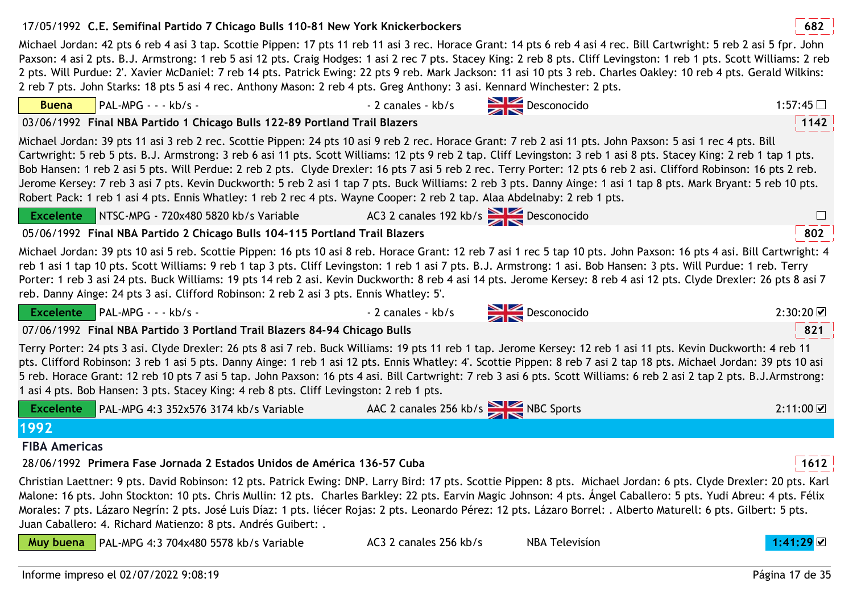# 17/05/1992 **<sup>682</sup>C.E. Semifinal Partido 7 Chicago Bulls 110-81 New York Knickerbockers**

Michael Jordan: 42 pts 6 reb 4 asi 3 tap. Scottie Pippen: 17 pts 11 reb 11 asi 3 rec. Horace Grant: 14 pts 6 reb 4 asi 4 rec. Bill Cartwright: 5 reb 2 asi 5 fpr. John Paxson: 4 asi 2 pts. B.J. Armstrong: 1 reb 5 asi 12 pts. Craig Hodges: 1 asi 2 rec 7 pts. Stacey King: 2 reb 8 pts. Cliff Levingston: 1 reb 1 pts. Scott Williams: 2 reb 2 pts. Will Purdue: 2'. Xavier McDaniel: 7 reb 14 pts. Patrick Ewing: 22 pts 9 reb. Mark Jackson: 11 asi 10 pts 3 reb. Charles Oakley: 10 reb 4 pts. Gerald Wilkins: 2 reb 7 pts. John Starks: 18 pts 5 asi 4 rec. Anthony Mason: 2 reb 4 pts. Greg Anthony: 3 asi. Kennard Winchester: 2 pts.

03/06/1992 **<sup>1142</sup>Final NBA Partido 1 Chicago Bulls 122-89 Portland Trail Blazers**

Michael Jordan: 39 pts 11 asi 3 reb 2 rec. Scottie Pippen: 24 pts 10 asi 9 reb 2 rec. Horace Grant: 7 reb 2 asi 11 pts. John Paxson: 5 asi 1 rec 4 pts. Bill Cartwright: 5 reb 5 pts. B.J. Armstrong: 3 reb 6 asi 11 pts. Scott Williams: 12 pts 9 reb 2 tap. Cliff Levingston: 3 reb 1 asi 8 pts. Stacey King: 2 reb 1 tap 1 pts. Bob Hansen: 1 reb 2 asi 5 pts. Will Perdue: 2 reb 2 pts. Clyde Drexler: 16 pts 7 asi 5 reb 2 rec. Terry Porter: 12 pts 6 reb 2 asi. Clifford Robinson: 16 pts 2 reb. Jerome Kersey: 7 reb 3 asi 7 pts. Kevin Duckworth: 5 reb 2 asi 1 tap 7 pts. Buck Williams: 2 reb 3 pts. Danny Ainge: 1 asi 1 tap 8 pts. Mark Bryant: 5 reb 10 pts. Robert Pack: 1 reb 1 asi 4 pts. Ennis Whatley: 1 reb 2 rec 4 pts. Wayne Cooper: 2 reb 2 tap. Alaa Abdelnaby: 2 reb 1 pts.

| 05/06/1992 Final NBA Partido 2 Chicago Bulls 104-115 Portland Trail Blazers | 802 |
|-----------------------------------------------------------------------------|-----|
|                                                                             |     |

Michael Jordan: 39 pts 10 asi 5 reb. Scottie Pippen: 16 pts 10 asi 8 reb. Horace Grant: 12 reb 7 asi 1 rec 5 tap 10 pts. John Paxson: 16 pts 4 asi. Bill Cartwright: 4 reb 1 asi 1 tap 10 pts. Scott Williams: 9 reb 1 tap 3 pts. Cliff Levingston: 1 reb 1 asi 7 pts. B.J. Armstrong: 1 asi. Bob Hansen: 3 pts. Will Purdue: 1 reb. Terry Porter: 1 reb 3 asi 24 pts. Buck Williams: 19 pts 14 reb 2 asi. Kevin Duckworth: 8 reb 4 asi 14 pts. Jerome Kersey: 8 reb 4 asi 12 pts. Clyde Drexler: 26 pts 8 asi 7 reb. Danny Ainge: 24 pts 3 asi. Clifford Robinson: 2 reb 2 asi 3 pts. Ennis Whatley: 5'.

**Excelente**

 $\blacksquare$ PAL-MPG - - - kb/s - 2 canales - kb/s  $\blacksquare$  Desconocido 2:30:20  $\blacksquare$ 

NTSC-MPG - 720x480 5820 kb/s Variable AC3 2 canales 192 kb/s Desconocido

07/06/1992 **<sup>821</sup>Final NBA Partido 3 Portland Trail Blazers 84-94 Chicago Bulls**

Terry Porter: 24 pts 3 asi. Clyde Drexler: 26 pts 8 asi 7 reb. Buck Williams: 19 pts 11 reb 1 tap. Jerome Kersey: 12 reb 1 asi 11 pts. Kevin Duckworth: 4 reb 11 pts. Clifford Robinson: 3 reb 1 asi 5 pts. Danny Ainge: 1 reb 1 asi 12 pts. Ennis Whatley: 4'. Scottie Pippen: 8 reb 7 asi 2 tap 18 pts. Michael Jordan: 39 pts 10 asi 5 reb. Horace Grant: 12 reb 10 pts 7 asi 5 tap. John Paxson: 16 pts 4 asi. Bill Cartwright: 7 reb 3 asi 6 pts. Scott Williams: 6 reb 2 asi 2 tap 2 pts. B.J.Armstrong: 1 asi 4 pts. Bob Hansen: 3 pts. Stacey King: 4 reb 8 pts. Cliff Levingston: 2 reb 1 pts.

|      | Excelente PAL-MPG 4:3 352x576 3174 kb/s Variable | AAC 2 canales 256 kb/s NBC Sports | 2:11:00 |
|------|--------------------------------------------------|-----------------------------------|---------|
| 1992 |                                                  |                                   |         |

**FIBA Americas**

**Buena**

**Excelente**

28/06/1992 **<sup>1612</sup>Primera Fase Jornada 2 Estados Unidos de América 136-57 Cuba**

Christian Laettner: 9 pts. David Robinson: 12 pts. Patrick Ewing: DNP. Larry Bird: 17 pts. Scottie Pippen: 8 pts. Michael Jordan: 6 pts. Clyde Drexler: 20 pts. Karl Malone: 16 pts. John Stockton: 10 pts. Chris Mullin: 12 pts. Charles Barkley: 22 pts. Earvin Magic Johnson: 4 pts. Ángel Caballero: 5 pts. Yudi Abreu: 4 pts. Félix Morales: 7 pts. Lázaro Negrín: 2 pts. José Luis Díaz: 1 pts. liécer Rojas: 2 pts. Leonardo Pérez: 12 pts. Lázaro Borrel: . Alberto Maturell: 6 pts. Gilbert: 5 pts. Juan Caballero: 4. Richard Matienzo: 8 pts. Andrés Guibert: .

**Muy buena** PAL-MPG 4:3 704x480 5578 kb/s VariableAC3 2 canales 256 kb/s NBA Television



 $\Box$ 



 PAL-MPG - - - kb/s - - 2 canales - kb/s Desconocidoo 1:57:45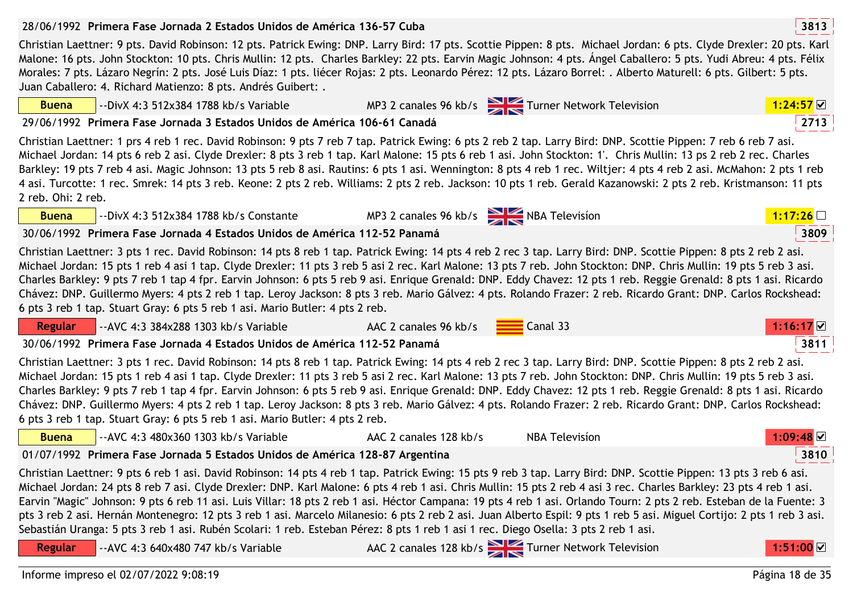|                    | 28/06/1992 Primera Fase Jornada 2 Estados Unidos de América 136-57 Cuba                                                                                                                                                                                                                                                                                                                                                                                                                                                                                                                                                                                                                                                                                                                                                                                                      |                                             |                                                  | 3813        |
|--------------------|------------------------------------------------------------------------------------------------------------------------------------------------------------------------------------------------------------------------------------------------------------------------------------------------------------------------------------------------------------------------------------------------------------------------------------------------------------------------------------------------------------------------------------------------------------------------------------------------------------------------------------------------------------------------------------------------------------------------------------------------------------------------------------------------------------------------------------------------------------------------------|---------------------------------------------|--------------------------------------------------|-------------|
|                    | Christian Laettner: 9 pts. David Robinson: 12 pts. Patrick Ewing: DNP. Larry Bird: 17 pts. Scottie Pippen: 8 pts. Michael Jordan: 6 pts. Clyde Drexler: 20 pts. Karl<br>Malone: 16 pts. John Stockton: 10 pts. Chris Mullin: 12 pts. Charles Barkley: 22 pts. Earvin Magic Johnson: 4 pts. Ángel Caballero: 5 pts. Yudi Abreu: 4 pts. Félix<br>Morales: 7 pts. Lázaro Negrín: 2 pts. José Luis Díaz: 1 pts. liécer Rojas: 2 pts. Leonardo Pérez: 12 pts. Lázaro Borrel: . Alberto Maturell: 6 pts. Gilbert: 5 pts.<br>Juan Caballero: 4. Richard Matienzo: 8 pts. Andrés Guibert: .                                                                                                                                                                                                                                                                                          |                                             |                                                  |             |
| <b>Buena</b>       | --DivX 4:3 512x384 1788 kb/s Variable                                                                                                                                                                                                                                                                                                                                                                                                                                                                                                                                                                                                                                                                                                                                                                                                                                        |                                             | MP3 2 canales 96 kb/s Turner Network Television  | 1:24:57     |
|                    | 29/06/1992 Primera Fase Jornada 3 Estados Unidos de América 106-61 Canadá                                                                                                                                                                                                                                                                                                                                                                                                                                                                                                                                                                                                                                                                                                                                                                                                    |                                             |                                                  | 2713        |
| 2 reb. Ohi: 2 reb. | Christian Laettner: 1 prs 4 reb 1 rec. David Robinson: 9 pts 7 reb 7 tap. Patrick Ewing: 6 pts 2 reb 2 tap. Larry Bird: DNP. Scottie Pippen: 7 reb 6 reb 7 asi.<br>Michael Jordan: 14 pts 6 reb 2 asi. Clyde Drexler: 8 pts 3 reb 1 tap. Karl Malone: 15 pts 6 reb 1 asi. John Stockton: 1'. Chris Mullin: 13 ps 2 reb 2 rec. Charles<br>Barkley: 19 pts 7 reb 4 asi. Magic Johnson: 13 pts 5 reb 8 asi. Rautins: 6 pts 1 asi. Wennington: 8 pts 4 reb 1 rec. Wiltjer: 4 pts 4 reb 2 asi. McMahon: 2 pts 1 reb<br>4 asi. Turcotte: 1 rec. Smrek: 14 pts 3 reb. Keone: 2 pts 2 reb. Williams: 2 pts 2 reb. Jackson: 10 pts 1 reb. Gerald Kazanowski: 2 pts 2 reb. Kristmanson: 11 pts                                                                                                                                                                                         |                                             |                                                  |             |
| <b>Buena</b>       | --DivX 4:3 512x384 1788 kb/s Constante                                                                                                                                                                                                                                                                                                                                                                                                                                                                                                                                                                                                                                                                                                                                                                                                                                       | MP3 2 canales 96 kb/s $\sum$ NBA Television |                                                  | 1:17:26     |
|                    | 30/06/1992 Primera Fase Jornada 4 Estados Unidos de América 112-52 Panamá                                                                                                                                                                                                                                                                                                                                                                                                                                                                                                                                                                                                                                                                                                                                                                                                    |                                             |                                                  | 3809        |
|                    | Christian Laettner: 3 pts 1 rec. David Robinson: 14 pts 8 reb 1 tap. Patrick Ewing: 14 pts 4 reb 2 rec 3 tap. Larry Bird: DNP. Scottie Pippen: 8 pts 2 reb 2 asi.<br>Michael Jordan: 15 pts 1 reb 4 asi 1 tap. Clyde Drexler: 11 pts 3 reb 5 asi 2 rec. Karl Malone: 13 pts 7 reb. John Stockton: DNP. Chris Mullin: 19 pts 5 reb 3 asi.<br>Charles Barkley: 9 pts 7 reb 1 tap 4 fpr. Earvin Johnson: 6 pts 5 reb 9 asi. Enrique Grenald: DNP. Eddy Chavez: 12 pts 1 reb. Reggie Grenald: 8 pts 1 asi. Ricardo<br>Chávez: DNP. Guillermo Myers: 4 pts 2 reb 1 tap. Leroy Jackson: 8 pts 3 reb. Mario Gálvez: 4 pts. Rolando Frazer: 2 reb. Ricardo Grant: DNP. Carlos Rockshead:<br>6 pts 3 reb 1 tap. Stuart Gray: 6 pts 5 reb 1 asi. Mario Butler: 4 pts 2 reb.                                                                                                            |                                             |                                                  |             |
| <b>Regular</b>     | -- AVC 4:3 384x288 1303 kb/s Variable                                                                                                                                                                                                                                                                                                                                                                                                                                                                                                                                                                                                                                                                                                                                                                                                                                        | AAC 2 canales 96 kb/s                       | Canal 33                                         | $1:16:17$ ⊠ |
|                    | 30/06/1992 Primera Fase Jornada 4 Estados Unidos de América 112-52 Panamá                                                                                                                                                                                                                                                                                                                                                                                                                                                                                                                                                                                                                                                                                                                                                                                                    |                                             |                                                  | 3811        |
|                    | Christian Laettner: 3 pts 1 rec. David Robinson: 14 pts 8 reb 1 tap. Patrick Ewing: 14 pts 4 reb 2 rec 3 tap. Larry Bird: DNP. Scottie Pippen: 8 pts 2 reb 2 asi.<br>Michael Jordan: 15 pts 1 reb 4 asi 1 tap. Clyde Drexler: 11 pts 3 reb 5 asi 2 rec. Karl Malone: 13 pts 7 reb. John Stockton: DNP. Chris Mullin: 19 pts 5 reb 3 asi.<br>Charles Barkley: 9 pts 7 reb 1 tap 4 fpr. Earvin Johnson: 6 pts 5 reb 9 asi. Enrique Grenald: DNP. Eddy Chavez: 12 pts 1 reb. Reggie Grenald: 8 pts 1 asi. Ricardo<br>Chávez: DNP. Guillermo Myers: 4 pts 2 reb 1 tap. Leroy Jackson: 8 pts 3 reb. Mario Gálvez: 4 pts. Rolando Frazer: 2 reb. Ricardo Grant: DNP. Carlos Rockshead:<br>6 pts 3 reb 1 tap. Stuart Gray: 6 pts 5 reb 1 asi. Mario Butler: 4 pts 2 reb.                                                                                                            |                                             |                                                  |             |
| <b>Buena</b>       | -- AVC 4:3 480x360 1303 kb/s Variable                                                                                                                                                                                                                                                                                                                                                                                                                                                                                                                                                                                                                                                                                                                                                                                                                                        | AAC 2 canales 128 kb/s                      | <b>NBA Television</b>                            | :09:48 ⊻    |
|                    | 01/07/1992 Primera Fase Jornada 5 Estados Unidos de América 128-87 Argentina                                                                                                                                                                                                                                                                                                                                                                                                                                                                                                                                                                                                                                                                                                                                                                                                 |                                             |                                                  | 3810        |
| Regular            | Christian Laettner: 9 pts 6 reb 1 asi. David Robinson: 14 pts 4 reb 1 tap. Patrick Ewing: 15 pts 9 reb 3 tap. Larry Bird: DNP. Scottie Pippen: 13 pts 3 reb 6 asi.<br>Michael Jordan: 24 pts 8 reb 7 asi. Clyde Drexler: DNP. Karl Malone: 6 pts 4 reb 1 asi. Chris Mullin: 15 pts 2 reb 4 asi 3 rec. Charles Barkley: 23 pts 4 reb 1 asi.<br>Earvin "Magic" Johnson: 9 pts 6 reb 11 asi. Luis Villar: 18 pts 2 reb 1 asi. Héctor Campana: 19 pts 4 reb 1 asi. Orlando Tourn: 2 pts 2 reb. Esteban de la Fuente: 3<br>pts 3 reb 2 asi. Hernán Montenegro: 12 pts 3 reb 1 asi. Marcelo Milanesio: 6 pts 2 reb 2 asi. Juan Alberto Espil: 9 pts 1 reb 5 asi. Miguel Cortijo: 2 pts 1 reb 3 asi.<br>Sebastián Uranga: 5 pts 3 reb 1 asi. Rubén Scolari: 1 reb. Esteban Pérez: 8 pts 1 reb 1 asi 1 rec. Diego Osella: 3 pts 2 reb 1 asi.<br>-- AVC 4:3 640x480 747 kb/s Variable |                                             | AAC 2 canales 128 kb/s Turner Network Television | 1:51:00     |
|                    | 1.0210712020.0030                                                                                                                                                                                                                                                                                                                                                                                                                                                                                                                                                                                                                                                                                                                                                                                                                                                            |                                             |                                                  |             |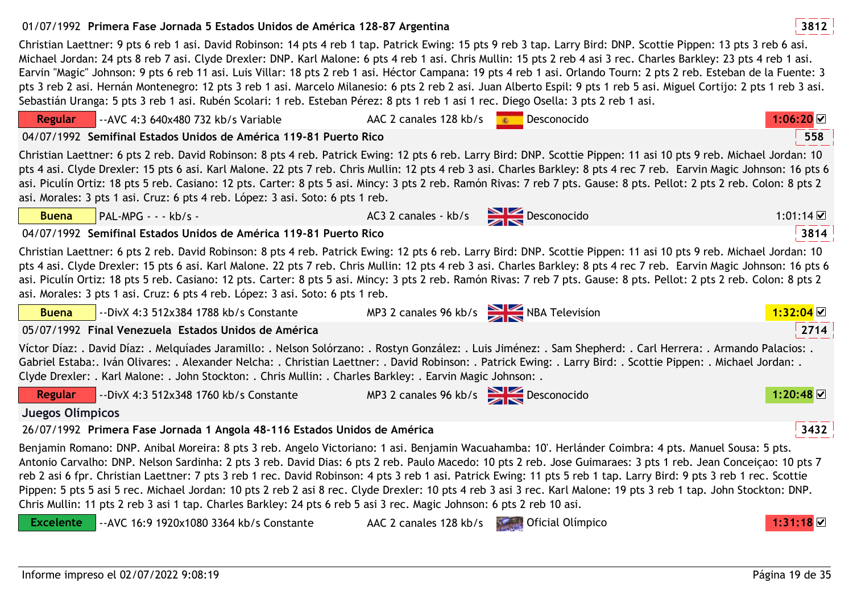01/07/1992 **<sup>3812</sup>Primera Fase Jornada 5 Estados Unidos de América 128-87 Argentina**Christian Laettner: 9 pts 6 reb 1 asi. David Robinson: 14 pts 4 reb 1 tap. Patrick Ewing: 15 pts 9 reb 3 tap. Larry Bird: DNP. Scottie Pippen: 13 pts 3 reb 6 asi. Michael Jordan: 24 pts 8 reb 7 asi. Clyde Drexler: DNP. Karl Malone: 6 pts 4 reb 1 asi. Chris Mullin: 15 pts 2 reb 4 asi 3 rec. Charles Barkley: 23 pts 4 reb 1 asi. Earvin "Magic" Johnson: 9 pts 6 reb 11 asi. Luis Villar: 18 pts 2 reb 1 asi. Héctor Campana: 19 pts 4 reb 1 asi. Orlando Tourn: 2 pts 2 reb. Esteban de la Fuente: 3 pts 3 reb 2 asi. Hernán Montenegro: 12 pts 3 reb 1 asi. Marcelo Milanesio: 6 pts 2 reb 2 asi. Juan Alberto Espil: 9 pts 1 reb 5 asi. Miguel Cortijo: 2 pts 1 reb 3 asi. Sebastián Uranga: 5 pts 3 reb 1 asi. Rubén Scolari: 1 reb. Esteban Pérez: 8 pts 1 reb 1 asi 1 rec. Diego Osella: 3 pts 2 reb 1 asi.**Regular** --AVC 4:3 640x480 732 kb/s Variable AAC 2 canales 128 kb/s Desconocido **1:06:20**04/07/1992 **<sup>558</sup>Semifinal Estados Unidos de América 119-81 Puerto Rico**Christian Laettner: 6 pts 2 reb. David Robinson: 8 pts 4 reb. Patrick Ewing: 12 pts 6 reb. Larry Bird: DNP. Scottie Pippen: 11 asi 10 pts 9 reb. Michael Jordan: 10 pts 4 asi. Clyde Drexler: 15 pts 6 asi. Karl Malone. 22 pts 7 reb. Chris Mullin: 12 pts 4 reb 3 asi. Charles Barkley: 8 pts 4 rec 7 reb. Earvin Magic Johnson: 16 pts 6 asi. Piculín Ortiz: 18 pts 5 reb. Casiano: 12 pts. Carter: 8 pts 5 asi. Mincy: 3 pts 2 reb. Ramón Rivas: 7 reb 7 pts. Gause: 8 pts. Pellot: 2 pts 2 reb. Colon: 8 pts 2 asi. Morales: 3 pts 1 asi. Cruz: 6 pts 4 reb. López: 3 asi. Soto: 6 pts 1 reb.a PAL-MPG - - - kb/s - AC3 2 canales - kb/s Desconocido **Buena**o 1:01:14 04/07/1992 **<sup>3814</sup>Semifinal Estados Unidos de América 119-81 Puerto Rico**Christian Laettner: 6 pts 2 reb. David Robinson: 8 pts 4 reb. Patrick Ewing: 12 pts 6 reb. Larry Bird: DNP. Scottie Pippen: 11 asi 10 pts 9 reb. Michael Jordan: 10 pts 4 asi. Clyde Drexler: 15 pts 6 asi. Karl Malone. 22 pts 7 reb. Chris Mullin: 12 pts 4 reb 3 asi. Charles Barkley: 8 pts 4 rec 7 reb. Earvin Magic Johnson: 16 pts 6 asi. Piculín Ortiz: 18 pts 5 reb. Casiano: 12 pts. Carter: 8 pts 5 asi. Mincy: 3 pts 2 reb. Ramón Rivas: 7 reb 7 pts. Gause: 8 pts. Pellot: 2 pts 2 reb. Colon: 8 pts 2 asi. Morales: 3 pts 1 asi. Cruz: 6 pts 4 reb. López: 3 asi. Soto: 6 pts 1 reb.e 1:32:04 MP3 2 canales 96 kb/s NBA Television **Buena** --DivX 4:3 512x384 1788 kb/s Constante05/07/1992 **<sup>2714</sup>Final Venezuela Estados Unidos de América**Víctor Díaz: . David Díaz: . Melquíades Jaramillo: . Nelson Solórzano: . Rostyn González: . Luis Jiménez: . Sam Shepherd: . Carl Herrera: . Armando Palacios: . Gabriel Estaba:. Iván Olivares: . Alexander Nelcha: . Christian Laettner: . David Robinson: . Patrick Ewing: . Larry Bird: . Scottie Pippen: . Michael Jordan: . Clyde Drexler: . Karl Malone: . John Stockton: . Chris Mullin: . Charles Barkley: . Earvin Magic Johnson: .**Regular** --DivX 4:3 512x348 1760 kb/s ConstanteMP3 2 canales 96 kb/s Desconocido **1:20:48 Juegos Olímpicos**26/07/1992 **<sup>3432</sup>Primera Fase Jornada 1 Angola 48-116 Estados Unidos de América**Benjamin Romano: DNP. Anibal Moreira: 8 pts 3 reb. Angelo Victoriano: 1 asi. Benjamin Wacuahamba: 10'. Herlánder Coimbra: 4 pts. Manuel Sousa: 5 pts.

Antonio Carvalho: DNP. Nelson Sardinha: 2 pts 3 reb. David Dias: 6 pts 2 reb. Paulo Macedo: 10 pts 2 reb. Jose Guimaraes: 3 pts 1 reb. Jean Conceiçao: 10 pts 7 reb 2 asi 6 fpr. Christian Laettner: 7 pts 3 reb 1 rec. David Robinson: 4 pts 3 reb 1 asi. Patrick Ewing: 11 pts 5 reb 1 tap. Larry Bird: 9 pts 3 reb 1 rec. Scottie Pippen: 5 pts 5 asi 5 rec. Michael Jordan: 10 pts 2 reb 2 asi 8 rec. Clyde Drexler: 10 pts 4 reb 3 asi 3 rec. Karl Malone: 19 pts 3 reb 1 tap. John Stockton: DNP. Chris Mullin: 11 pts 2 reb 3 asi 1 tap. Charles Barkley: 24 pts 6 reb 5 asi 3 rec. Magic Johnson: 6 pts 2 reb 10 asi.

--AVC 16:9 1920x1080 3364 kb/s Constante AAC 2 canales 128 kb/s **Description Constanting 1:31:18 ■** 

**Excelente**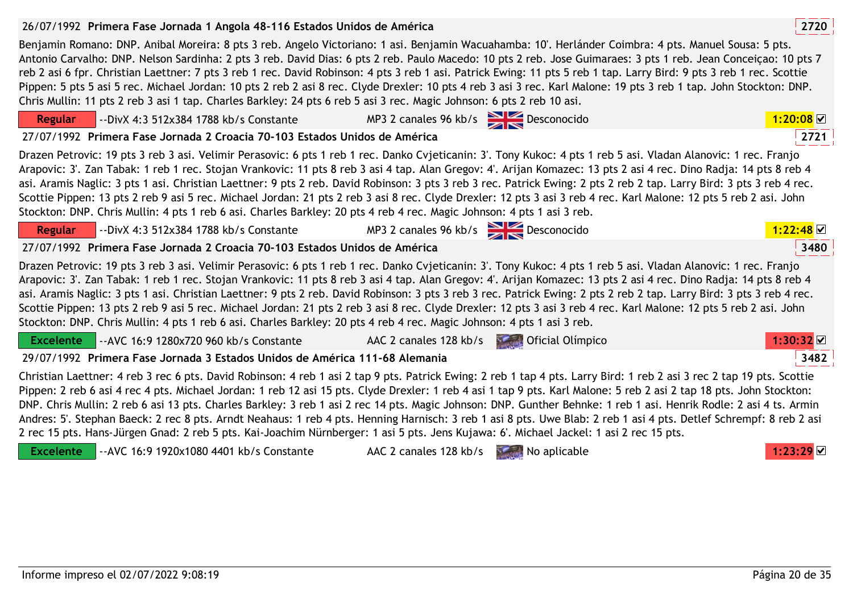# 26/07/1992 **<sup>2720</sup>Primera Fase Jornada 1 Angola 48-116 Estados Unidos de América**

Benjamin Romano: DNP. Anibal Moreira: 8 pts 3 reb. Angelo Victoriano: 1 asi. Benjamin Wacuahamba: 10'. Herlánder Coimbra: 4 pts. Manuel Sousa: 5 pts. Antonio Carvalho: DNP. Nelson Sardinha: 2 pts 3 reb. David Dias: 6 pts 2 reb. Paulo Macedo: 10 pts 2 reb. Jose Guimaraes: 3 pts 1 reb. Jean Conceiçao: 10 pts 7 reb 2 asi 6 fpr. Christian Laettner: 7 pts 3 reb 1 rec. David Robinson: 4 pts 3 reb 1 asi. Patrick Ewing: 11 pts 5 reb 1 tap. Larry Bird: 9 pts 3 reb 1 rec. Scottie Pippen: 5 pts 5 asi 5 rec. Michael Jordan: 10 pts 2 reb 2 asi 8 rec. Clyde Drexler: 10 pts 4 reb 3 asi 3 rec. Karl Malone: 19 pts 3 reb 1 tap. John Stockton: DNP. Chris Mullin: 11 pts 2 reb 3 asi 1 tap. Charles Barkley: 24 pts 6 reb 5 asi 3 rec. Magic Johnson: 6 pts 2 reb 10 asi.

#### **Regular** --DivX 4:3 512x384 1788 kb/s Constante MP3 2 canales 96 kb/s Desconocido **1:20:08**27/07/1992 **<sup>2721</sup>Primera Fase Jornada 2 Croacia 70-103 Estados Unidos de América**Drazen Petrovic: 19 pts 3 reb 3 asi. Velimir Perasovic: 6 pts 1 reb 1 rec. Danko Cvjeticanin: 3'. Tony Kukoc: 4 pts 1 reb 5 asi. Vladan Alanovic: 1 rec. Franjo Arapovic: 3'. Zan Tabak: 1 reb 1 rec. Stojan Vrankovic: 11 pts 8 reb 3 asi 4 tap. Alan Gregov: 4'. Arijan Komazec: 13 pts 2 asi 4 rec. Dino Radja: 14 pts 8 reb 4 asi. Aramis Naglic: 3 pts 1 asi. Christian Laettner: 9 pts 2 reb. David Robinson: 3 pts 3 reb 3 rec. Patrick Ewing: 2 pts 2 reb 2 tap. Larry Bird: 3 pts 3 reb 4 rec. Scottie Pippen: 13 pts 2 reb 9 asi 5 rec. Michael Jordan: 21 pts 2 reb 3 asi 8 rec. Clyde Drexler: 12 pts 3 asi 3 reb 4 rec. Karl Malone: 12 pts 5 reb 2 asi. John Stockton: DNP. Chris Mullin: 4 pts 1 reb 6 asi. Charles Barkley: 20 pts 4 reb 4 rec. Magic Johnson: 4 pts 1 asi 3 reb.**Regular** --DivX 4:3 512x384 1788 kb/s Constante MP3 2 canales 96 kb/s Desconocido **1:22:48**27/07/1992 **<sup>3480</sup>Primera Fase Jornada 2 Croacia 70-103 Estados Unidos de América**Drazen Petrovic: 19 pts 3 reb 3 asi. Velimir Perasovic: 6 pts 1 reb 1 rec. Danko Cvjeticanin: 3'. Tony Kukoc: 4 pts 1 reb 5 asi. Vladan Alanovic: 1 rec. Franjo Arapovic: 3'. Zan Tabak: 1 reb 1 rec. Stojan Vrankovic: 11 pts 8 reb 3 asi 4 tap. Alan Gregov: 4'. Arijan Komazec: 13 pts 2 asi 4 rec. Dino Radja: 14 pts 8 reb 4 asi. Aramis Naglic: 3 pts 1 asi. Christian Laettner: 9 pts 2 reb. David Robinson: 3 pts 3 reb 3 rec. Patrick Ewing: 2 pts 2 reb 2 tap. Larry Bird: 3 pts 3 reb 4 rec. Scottie Pippen: 13 pts 2 reb 9 asi 5 rec. Michael Jordan: 21 pts 2 reb 3 asi 8 rec. Clyde Drexler: 12 pts 3 asi 3 reb 4 rec. Karl Malone: 12 pts 5 reb 2 asi. John Stockton: DNP. Chris Mullin: 4 pts 1 reb 6 asi. Charles Barkley: 20 pts 4 reb 4 rec. Magic Johnson: 4 pts 1 asi 3 reb.**Excelente**--AVC 16:9 1280x720 960 kb/s Constante AAC 2 canales 128 kb/s **Definition of Constanting 1:30:32 M** 3482 29/07/1992 **<sup>3482</sup>Primera Fase Jornada 3 Estados Unidos de América 111-68 Alemania**Christian Laettner: 4 reb 3 rec 6 pts. David Robinson: 4 reb 1 asi 2 tap 9 pts. Patrick Ewing: 2 reb 1 tap 4 pts. Larry Bird: 1 reb 2 asi 3 rec 2 tap 19 pts. Scottie Pippen: 2 reb 6 asi 4 rec 4 pts. Michael Jordan: 1 reb 12 asi 15 pts. Clyde Drexler: 1 reb 4 asi 1 tap 9 pts. Karl Malone: 5 reb 2 asi 2 tap 18 pts. John Stockton: DNP. Chris Mullin: 2 reb 6 asi 13 pts. Charles Barkley: 3 reb 1 asi 2 rec 14 pts. Magic Johnson: DNP. Gunther Behnke: 1 reb 1 asi. Henrik Rodle: 2 asi 4 ts. Armin Andres: 5'. Stephan Baeck: 2 rec 8 pts. Arndt Neahaus: 1 reb 4 pts. Henning Harnisch: 3 reb 1 asi 8 pts. Uwe Blab: 2 reb 1 asi 4 pts. Detlef Schrempf: 8 reb 2 asi







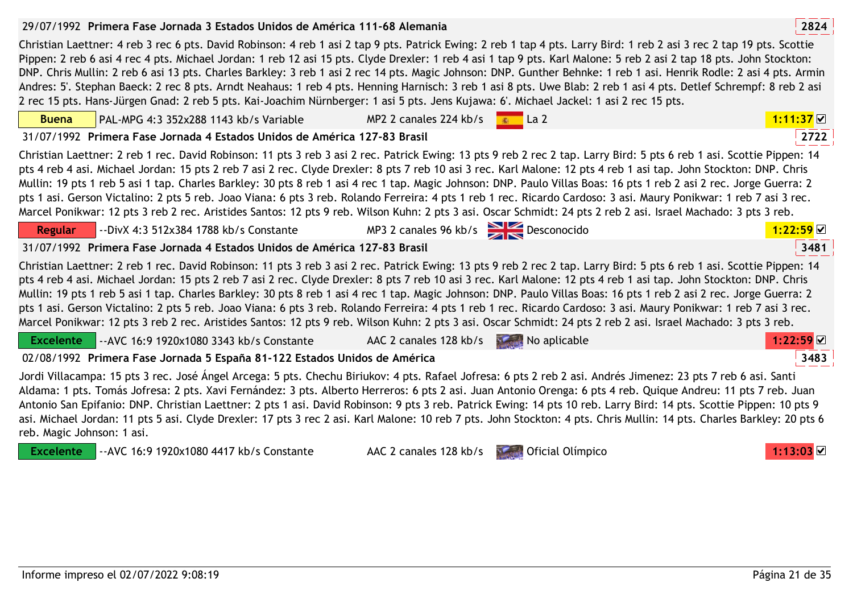# 29/07/1992 **<sup>2824</sup>Primera Fase Jornada 3 Estados Unidos de América 111-68 Alemania**

Christian Laettner: 4 reb 3 rec 6 pts. David Robinson: 4 reb 1 asi 2 tap 9 pts. Patrick Ewing: 2 reb 1 tap 4 pts. Larry Bird: 1 reb 2 asi 3 rec 2 tap 19 pts. Scottie Pippen: 2 reb 6 asi 4 rec 4 pts. Michael Jordan: 1 reb 12 asi 15 pts. Clyde Drexler: 1 reb 4 asi 1 tap 9 pts. Karl Malone: 5 reb 2 asi 2 tap 18 pts. John Stockton: DNP. Chris Mullin: 2 reb 6 asi 13 pts. Charles Barkley: 3 reb 1 asi 2 rec 14 pts. Magic Johnson: DNP. Gunther Behnke: 1 reb 1 asi. Henrik Rodle: 2 asi 4 pts. Armin Andres: 5'. Stephan Baeck: 2 rec 8 pts. Arndt Neahaus: 1 reb 4 pts. Henning Harnisch: 3 reb 1 asi 8 pts. Uwe Blab: 2 reb 1 asi 4 pts. Detlef Schrempf: 8 reb 2 asi 2 rec 15 pts. Hans-Jürgen Gnad: 2 reb 5 pts. Kai-Joachim Nürnberger: 1 asi 5 pts. Jens Kujawa: 6'. Michael Jackel: 1 asi 2 rec 15 pts.

| <b>Buena</b>     | PAL-MPG 4:3 352x288 1143 kb/s Variable                                                                                                                                                                                                                                                                                                                                                                                                                                                                                                                                                                                                                                                                                                                                                                                                                     | MP2 2 canales 224 kb/s                   | La 2         | $1:11:37$ ☑ |
|------------------|------------------------------------------------------------------------------------------------------------------------------------------------------------------------------------------------------------------------------------------------------------------------------------------------------------------------------------------------------------------------------------------------------------------------------------------------------------------------------------------------------------------------------------------------------------------------------------------------------------------------------------------------------------------------------------------------------------------------------------------------------------------------------------------------------------------------------------------------------------|------------------------------------------|--------------|-------------|
|                  | 31/07/1992 Primera Fase Jornada 4 Estados Unidos de América 127-83 Brasil                                                                                                                                                                                                                                                                                                                                                                                                                                                                                                                                                                                                                                                                                                                                                                                  |                                          |              | 2722        |
|                  | Christian Laettner: 2 reb 1 rec. David Robinson: 11 pts 3 reb 3 asi 2 rec. Patrick Ewing: 13 pts 9 reb 2 rec 2 tap. Larry Bird: 5 pts 6 reb 1 asi. Scottie Pippen: 14<br>pts 4 reb 4 asi. Michael Jordan: 15 pts 2 reb 7 asi 2 rec. Clyde Drexler: 8 pts 7 reb 10 asi 3 rec. Karl Malone: 12 pts 4 reb 1 asi tap. John Stockton: DNP. Chris<br>Mullin: 19 pts 1 reb 5 asi 1 tap. Charles Barkley: 30 pts 8 reb 1 asi 4 rec 1 tap. Magic Johnson: DNP. Paulo Villas Boas: 16 pts 1 reb 2 asi 2 rec. Jorge Guerra: 2<br>pts 1 asi. Gerson Victalino: 2 pts 5 reb. Joao Viana: 6 pts 3 reb. Rolando Ferreira: 4 pts 1 reb 1 rec. Ricardo Cardoso: 3 asi. Maury Ponikwar: 1 reb 7 asi 3 rec.<br>Marcel Ponikwar: 12 pts 3 reb 2 rec. Aristides Santos: 12 pts 9 reb. Wilson Kuhn: 2 pts 3 asi. Oscar Schmidt: 24 pts 2 reb 2 asi. Israel Machado: 3 pts 3 reb. |                                          |              |             |
| <b>Regular</b>   | --DivX 4:3 512x384 1788 kb/s Constante                                                                                                                                                                                                                                                                                                                                                                                                                                                                                                                                                                                                                                                                                                                                                                                                                     | MP3 2 canales 96 kb/s $\sum$ Desconocido |              |             |
|                  | 31/07/1992 Primera Fase Jornada 4 Estados Unidos de América 127-83 Brasil                                                                                                                                                                                                                                                                                                                                                                                                                                                                                                                                                                                                                                                                                                                                                                                  |                                          |              | 3481        |
|                  | Christian Laettner: 2 reb 1 rec. David Robinson: 11 pts 3 reb 3 asi 2 rec. Patrick Ewing: 13 pts 9 reb 2 rec 2 tap. Larry Bird: 5 pts 6 reb 1 asi. Scottie Pippen: 14<br>pts 4 reb 4 asi. Michael Jordan: 15 pts 2 reb 7 asi 2 rec. Clyde Drexler: 8 pts 7 reb 10 asi 3 rec. Karl Malone: 12 pts 4 reb 1 asi tap. John Stockton: DNP. Chris<br>Mullin: 19 pts 1 reb 5 asi 1 tap. Charles Barkley: 30 pts 8 reb 1 asi 4 rec 1 tap. Magic Johnson: DNP. Paulo Villas Boas: 16 pts 1 reb 2 asi 2 rec. Jorge Guerra: 2<br>pts 1 asi. Gerson Victalino: 2 pts 5 reb. Joao Viana: 6 pts 3 reb. Rolando Ferreira: 4 pts 1 reb 1 rec. Ricardo Cardoso: 3 asi. Maury Ponikwar: 1 reb 7 asi 3 rec.<br>Marcel Ponikwar: 12 pts 3 reb 2 rec. Aristides Santos: 12 pts 9 reb. Wilson Kuhn: 2 pts 3 asi. Oscar Schmidt: 24 pts 2 reb 2 asi. Israel Machado: 3 pts 3 reb. |                                          |              |             |
| <b>Excelente</b> | -- AVC 16:9 1920x1080 3343 kb/s Constante                                                                                                                                                                                                                                                                                                                                                                                                                                                                                                                                                                                                                                                                                                                                                                                                                  | AAC 2 canales 128 kb/s                   | No aplicable | 1:22:59     |
|                  | 02/08/1992 Primera Fase Jornada 5 España 81-122 Estados Unidos de América                                                                                                                                                                                                                                                                                                                                                                                                                                                                                                                                                                                                                                                                                                                                                                                  |                                          |              | 3483        |
|                  | Jordi Villacampa: 15 pts 3 rec. José Ángel Arcega: 5 pts. Chechu Biriukov: 4 pts. Rafael Jofresa: 6 pts 2 reb 2 asi. Andrés Jimenez: 23 pts 7 reb 6 asi. Santi<br>Aldama: 1 pts. Tomás Jofresa: 2 pts. Xavi Fernández: 3 pts. Alberto Herreros: 6 pts 2 asi. Juan Antonio Orenga: 6 pts 4 reb. Quique Andreu: 11 pts 7 reb. Juan<br>Antonio San Epifanio: DNP. Christian Laettner: 2 pts 1 asi. David Robinson: 9 pts 3 reb. Patrick Ewing: 14 pts 10 reb. Larry Bird: 14 pts. Scottie Pippen: 10 pts 9<br>asi. Michael Jordan: 11 pts 5 asi. Clyde Drexler: 17 pts 3 rec 2 asi. Karl Malone: 10 reb 7 pts. John Stockton: 4 pts. Chris Mullin: 14 pts. Charles Barkley: 20 pts 6                                                                                                                                                                          |                                          |              |             |

reb. Magic Johnson: 1 asi.**Excelente**--AVC 16:9 1920x1080 4417 kb/s Constante AAC 2 canales 128 kb/s **Definition of Constanting 1:13:03** ⊠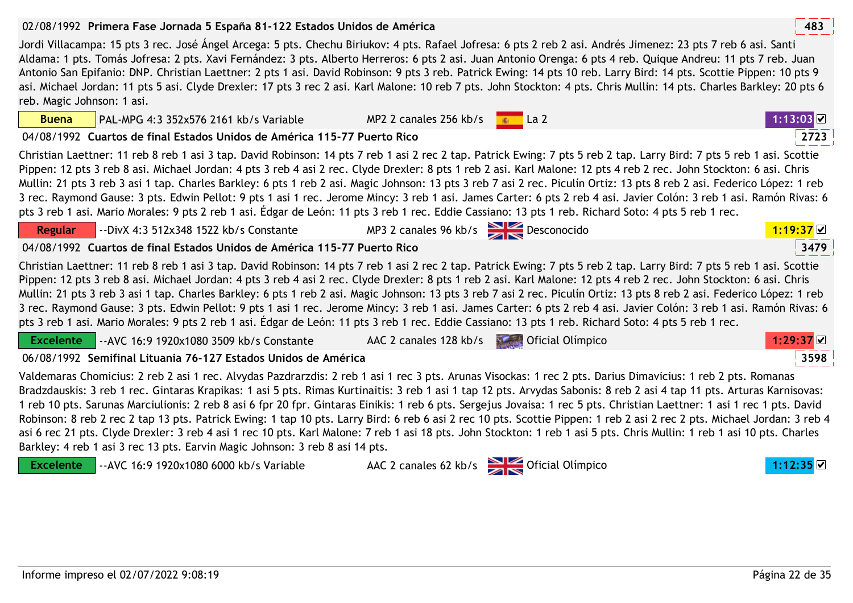**Buena**

**Regular**

## 02/08/1992 **<sup>483</sup>Primera Fase Jornada 5 España 81-122 Estados Unidos de América**

Jordi Villacampa: 15 pts 3 rec. José Ángel Arcega: 5 pts. Chechu Biriukov: 4 pts. Rafael Jofresa: 6 pts 2 reb 2 asi. Andrés Jimenez: 23 pts 7 reb 6 asi. Santi Aldama: 1 pts. Tomás Jofresa: 2 pts. Xavi Fernández: 3 pts. Alberto Herreros: 6 pts 2 asi. Juan Antonio Orenga: 6 pts 4 reb. Quique Andreu: 11 pts 7 reb. Juan Antonio San Epifanio: DNP. Christian Laettner: 2 pts 1 asi. David Robinson: 9 pts 3 reb. Patrick Ewing: 14 pts 10 reb. Larry Bird: 14 pts. Scottie Pippen: 10 pts 9 asi. Michael Jordan: 11 pts 5 asi. Clyde Drexler: 17 pts 3 rec 2 asi. Karl Malone: 10 reb 7 pts. John Stockton: 4 pts. Chris Mullin: 14 pts. Charles Barkley: 20 pts 6 reb. Magic Johnson: 1 asi.

04/08/1992 **<sup>2723</sup>Cuartos de final Estados Unidos de América 115-77 Puerto Rico**

PAL-MPG 4:3 352x576 2161 kb/s Variable

--DivX 4:3 512x348 1522 kb/s Constante

Christian Laettner: 11 reb 8 reb 1 asi 3 tap. David Robinson: 14 pts 7 reb 1 asi 2 rec 2 tap. Patrick Ewing: 7 pts 5 reb 2 tap. Larry Bird: 7 pts 5 reb 1 asi. Scottie Pippen: 12 pts 3 reb 8 asi. Michael Jordan: 4 pts 3 reb 4 asi 2 rec. Clyde Drexler: 8 pts 1 reb 2 asi. Karl Malone: 12 pts 4 reb 2 rec. John Stockton: 6 asi. Chris Mullin: 21 pts 3 reb 3 asi 1 tap. Charles Barkley: 6 pts 1 reb 2 asi. Magic Johnson: 13 pts 3 reb 7 asi 2 rec. Piculín Ortiz: 13 pts 8 reb 2 asi. Federico López: 1 reb 3 rec. Raymond Gause: 3 pts. Edwin Pellot: 9 pts 1 asi 1 rec. Jerome Mincy: 3 reb 1 asi. James Carter: 6 pts 2 reb 4 asi. Javier Colón: 3 reb 1 asi. Ramón Rivas: 6 pts 3 reb 1 asi. Mario Morales: 9 pts 2 reb 1 asi. Édgar de León: 11 pts 3 reb 1 rec. Eddie Cassiano: 13 pts 1 reb. Richard Soto: 4 pts 5 reb 1 rec.

3479 04/08/1992 **<sup>3479</sup>Cuartos de final Estados Unidos de América 115-77 Puerto Rico**Christian Laettner: 11 reb 8 reb 1 asi 3 tap. David Robinson: 14 pts 7 reb 1 asi 2 rec 2 tap. Patrick Ewing: 7 pts 5 reb 2 tap. Larry Bird: 7 pts 5 reb 1 asi. Scottie Pippen: 12 pts 3 reb 8 asi. Michael Jordan: 4 pts 3 reb 4 asi 2 rec. Clyde Drexler: 8 pts 1 reb 2 asi. Karl Malone: 12 pts 4 reb 2 rec. John Stockton: 6 asi. Chris Mullin: 21 pts 3 reb 3 asi 1 tap. Charles Barkley: 6 pts 1 reb 2 asi. Magic Johnson: 13 pts 3 reb 7 asi 2 rec. Piculín Ortiz: 13 pts 8 reb 2 asi. Federico López: 1 reb 3 rec. Raymond Gause: 3 pts. Edwin Pellot: 9 pts 1 asi 1 rec. Jerome Mincy: 3 reb 1 asi. James Carter: 6 pts 2 reb 4 asi. Javier Colón: 3 reb 1 asi. Ramón Rivas: 6 pts 3 reb 1 asi. Mario Morales: 9 pts 2 reb 1 asi. Édgar de León: 11 pts 3 reb 1 rec. Eddie Cassiano: 13 pts 1 reb. Richard Soto: 4 pts 5 reb 1 rec.

**Excelente**--AVC 16:9 1920x1080 3509 kb/s Constante AAC 2 canales 128 kb/s **Description Constanting 1:29:37 ○** 

06/08/1992 **<sup>3598</sup>Semifinal Lituania 76-127 Estados Unidos de América**

Valdemaras Chomicius: 2 reb 2 asi 1 rec. Alvydas Pazdrarzdis: 2 reb 1 asi 1 rec 3 pts. Arunas Visockas: 1 rec 2 pts. Darius Dimavicius: 1 reb 2 pts. Romanas Bradzdauskis: 3 reb 1 rec. Gintaras Krapikas: 1 asi 5 pts. Rimas Kurtinaitis: 3 reb 1 asi 1 tap 12 pts. Arvydas Sabonis: 8 reb 2 asi 4 tap 11 pts. Arturas Karnisovas: 1 reb 10 pts. Sarunas Marciulionis: 2 reb 8 asi 6 fpr 20 fpr. Gintaras Einikis: 1 reb 6 pts. Sergejus Jovaisa: 1 rec 5 pts. Christian Laettner: 1 asi 1 rec 1 pts. David Robinson: 8 reb 2 rec 2 tap 13 pts. Patrick Ewing: 1 tap 10 pts. Larry Bird: 6 reb 6 asi 2 rec 10 pts. Scottie Pippen: 1 reb 2 asi 2 rec 2 pts. Michael Jordan: 3 reb 4 asi 6 rec 21 pts. Clyde Drexler: 3 reb 4 asi 1 rec 10 pts. Karl Malone: 7 reb 1 asi 18 pts. John Stockton: 1 reb 1 asi 5 pts. Chris Mullin: 1 reb 1 asi 10 pts. Charles Barkley: 4 reb 1 asi 3 rec 13 pts. Earvin Magic Johnson: 3 reb 8 asi 14 pts.

**Excelente** --AVC 16:9 1920x1080 6000 kb/s VariableAAC 2 canales 62 kb/s **COLLECTER Oficial Olímpico 1:12:35** 







MP3 2 canales 96 kb/s **Desconocido 1:19:37 D**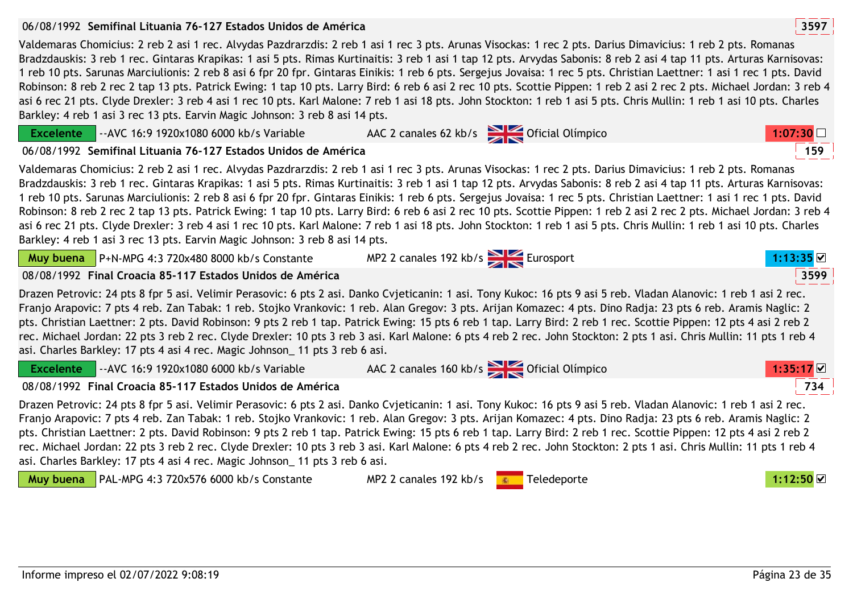**Excelente**

### 06/08/1992 **<sup>3597</sup>Semifinal Lituania 76-127 Estados Unidos de América**

--AVC 16:9 1920x1080 6000 kb/s Variable

Valdemaras Chomicius: 2 reb 2 asi 1 rec. Alvydas Pazdrarzdis: 2 reb 1 asi 1 rec 3 pts. Arunas Visockas: 1 rec 2 pts. Darius Dimavicius: 1 reb 2 pts. Romanas Bradzdauskis: 3 reb 1 rec. Gintaras Krapikas: 1 asi 5 pts. Rimas Kurtinaitis: 3 reb 1 asi 1 tap 12 pts. Arvydas Sabonis: 8 reb 2 asi 4 tap 11 pts. Arturas Karnisovas: 1 reb 10 pts. Sarunas Marciulionis: 2 reb 8 asi 6 fpr 20 fpr. Gintaras Einikis: 1 reb 6 pts. Sergejus Jovaisa: 1 rec 5 pts. Christian Laettner: 1 asi 1 rec 1 pts. David Robinson: 8 reb 2 rec 2 tap 13 pts. Patrick Ewing: 1 tap 10 pts. Larry Bird: 6 reb 6 asi 2 rec 10 pts. Scottie Pippen: 1 reb 2 asi 2 rec 2 pts. Michael Jordan: 3 reb 4 asi 6 rec 21 pts. Clyde Drexler: 3 reb 4 asi 1 rec 10 pts. Karl Malone: 7 reb 1 asi 18 pts. John Stockton: 1 reb 1 asi 5 pts. Chris Mullin: 1 reb 1 asi 10 pts. Charles Barkley: 4 reb 1 asi 3 rec 13 pts. Earvin Magic Johnson: 3 reb 8 asi 14 pts.

| Barkley: 4 reb 1 asi 3 rec 13 pts. Earvin Magic Johnson: 3 reb 8 asi 14 pts.                                                       | Valdemaras Chomicius: 2 reb 2 asi 1 rec. Alvydas Pazdrarzdis: 2 reb 1 asi 1 rec 3 pts. Arunas Visockas: 1 rec 2 pts. Darius Dimavicius: 1 reb 2 pts. Romanas<br>Bradzdauskis: 3 reb 1 rec. Gintaras Krapikas: 1 asi 5 pts. Rimas Kurtinaitis: 3 reb 1 asi 1 tap 12 pts. Arvydas Sabonis: 8 reb 2 asi 4 tap 11 pts. Arturas Karnisovas:<br>1 reb 10 pts. Sarunas Marciulionis: 2 reb 8 asi 6 fpr 20 fpr. Gintaras Einikis: 1 reb 6 pts. Sergejus Jovaisa: 1 rec 5 pts. Christian Laettner: 1 asi 1 rec 1 pts. David<br>Robinson: 8 reb 2 rec 2 tap 13 pts. Patrick Ewing: 1 tap 10 pts. Larry Bird: 6 reb 6 asi 2 rec 10 pts. Scottie Pippen: 1 reb 2 asi 2 rec 2 pts. Michael Jordan: 3 reb 4<br>asi 6 rec 21 pts. Clyde Drexler: 3 reb 4 asi 1 rec 10 pts. Karl Malone: 7 reb 1 asi 18 pts. John Stockton: 1 reb 1 asi 5 pts. Chris Mullin: 1 reb 1 asi 10 pts. Charles |             |
|------------------------------------------------------------------------------------------------------------------------------------|--------------------------------------------------------------------------------------------------------------------------------------------------------------------------------------------------------------------------------------------------------------------------------------------------------------------------------------------------------------------------------------------------------------------------------------------------------------------------------------------------------------------------------------------------------------------------------------------------------------------------------------------------------------------------------------------------------------------------------------------------------------------------------------------------------------------------------------------------------------------------|-------------|
| <b>Muy buena</b> $\vert$ P+N-MPG 4:3 720x480 8000 kb/s Constante                                                                   | MP2 2 canales 192 kb/s<br>Eurosport                                                                                                                                                                                                                                                                                                                                                                                                                                                                                                                                                                                                                                                                                                                                                                                                                                      |             |
| 08/08/1992 Final Croacia 85-117 Estados Unidos de América                                                                          |                                                                                                                                                                                                                                                                                                                                                                                                                                                                                                                                                                                                                                                                                                                                                                                                                                                                          | 3599        |
| asi. Charles Barkley: 17 pts 4 asi 4 rec. Magic Johnson 11 pts 3 reb 6 asi.                                                        | Drazen Petrovic: 24 pts 8 fpr 5 asi. Velimir Perasovic: 6 pts 2 asi. Danko Cvjeticanin: 1 asi. Tony Kukoc: 16 pts 9 asi 5 reb. Vladan Alanovic: 1 reb 1 asi 2 rec.<br>Franjo Arapovic: 7 pts 4 reb. Zan Tabak: 1 reb. Stojko Vrankovic: 1 reb. Alan Gregov: 3 pts. Arijan Komazec: 4 pts. Dino Radja: 23 pts 6 reb. Aramis Naglic: 2<br>pts. Christian Laettner: 2 pts. David Robinson: 9 pts 2 reb 1 tap. Patrick Ewing: 15 pts 6 reb 1 tap. Larry Bird: 2 reb 1 rec. Scottie Pippen: 12 pts 4 asi 2 reb 2<br>rec. Michael Jordan: 22 pts 3 reb 2 rec. Clyde Drexler: 10 pts 3 reb 3 asi. Karl Malone: 6 pts 4 reb 2 rec. John Stockton: 2 pts 1 asi. Chris Mullin: 11 pts 1 reb 4                                                                                                                                                                                      |             |
| Excelente $\vert$ --AVC 16:9 1920x1080 6000 kb/s Variable                                                                          | AAC 2 canales 160 kb/s Oficial Olímpico                                                                                                                                                                                                                                                                                                                                                                                                                                                                                                                                                                                                                                                                                                                                                                                                                                  | $1:35:17$ ⊠ |
| 08/08/1992 Final Croacia 85-117 Estados Unidos de América                                                                          |                                                                                                                                                                                                                                                                                                                                                                                                                                                                                                                                                                                                                                                                                                                                                                                                                                                                          | 734         |
| asi. Charles Barkley: 17 pts 4 asi 4 rec. Magic Johnson 11 pts 3 reb 6 asi.<br>Muy buena   PAL-MPG 4:3 720x576 6000 kb/s Constante | Drazen Petrovic: 24 pts 8 fpr 5 asi. Velimir Perasovic: 6 pts 2 asi. Danko Cvjeticanin: 1 asi. Tony Kukoc: 16 pts 9 asi 5 reb. Vladan Alanovic: 1 reb 1 asi 2 rec.<br>Franjo Arapovic: 7 pts 4 reb. Zan Tabak: 1 reb. Stojko Vrankovic: 1 reb. Alan Gregov: 3 pts. Arijan Komazec: 4 pts. Dino Radja: 23 pts 6 reb. Aramis Naglic: 2<br>pts. Christian Laettner: 2 pts. David Robinson: 9 pts 2 reb 1 tap. Patrick Ewing: 15 pts 6 reb 1 tap. Larry Bird: 2 reb 1 rec. Scottie Pippen: 12 pts 4 asi 2 reb 2<br>rec. Michael Jordan: 22 pts 3 reb 2 rec. Clyde Drexler: 10 pts 3 reb 3 asi. Karl Malone: 6 pts 4 reb 2 rec. John Stockton: 2 pts 1 asi. Chris Mullin: 11 pts 1 reb 4<br>MP2 2 canales 192 kb/s<br>Teledeporte                                                                                                                                             | 1:12:50 M   |
|                                                                                                                                    |                                                                                                                                                                                                                                                                                                                                                                                                                                                                                                                                                                                                                                                                                                                                                                                                                                                                          |             |



AAC 2 canales 62 kb/s **Canales 62 kb/s** Oficial Olímpico **1:07:30**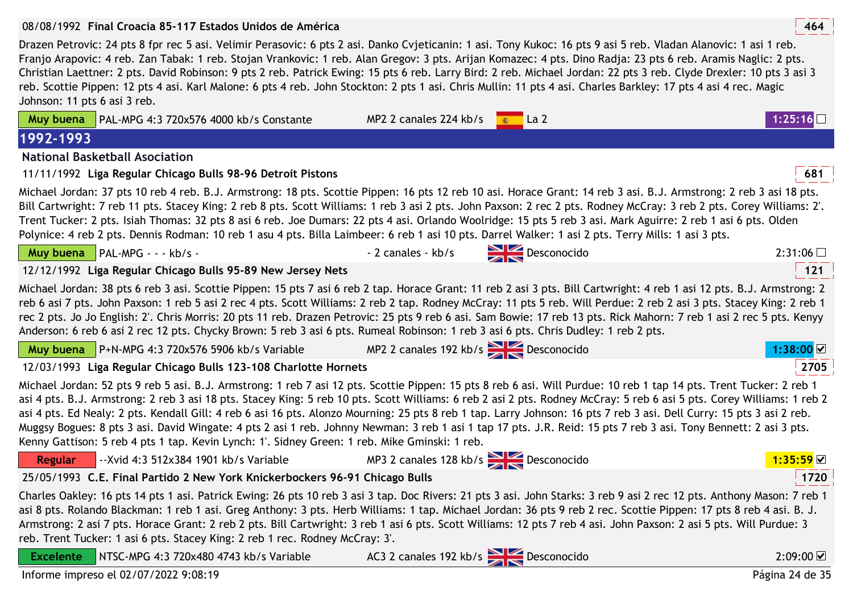### 08/08/1992 **<sup>464</sup>Final Croacia 85-117 Estados Unidos de América**

Drazen Petrovic: 24 pts 8 fpr rec 5 asi. Velimir Perasovic: 6 pts 2 asi. Danko Cvjeticanin: 1 asi. Tony Kukoc: 16 pts 9 asi 5 reb. Vladan Alanovic: 1 asi 1 reb. Franjo Arapovic: 4 reb. Zan Tabak: 1 reb. Stojan Vrankovic: 1 reb. Alan Gregov: 3 pts. Arijan Komazec: 4 pts. Dino Radja: 23 pts 6 reb. Aramis Naglic: 2 pts. Christian Laettner: 2 pts. David Robinson: 9 pts 2 reb. Patrick Ewing: 15 pts 6 reb. Larry Bird: 2 reb. Michael Jordan: 22 pts 3 reb. Clyde Drexler: 10 pts 3 asi 3 reb. Scottie Pippen: 12 pts 4 asi. Karl Malone: 6 pts 4 reb. John Stockton: 2 pts 1 asi. Chris Mullin: 11 pts 4 asi. Charles Barkley: 17 pts 4 asi 4 rec. Magic Johnson: 11 pts 6 asi 3 reb.

| Muy buena        | PAL-MPG 4:3 720x576 4000 kb/s Constante                                                                                                                                                                                                                                                                                                                                                                                                                                                                                                                                                                                                                                                                                                                                                     | MP2 2 canales 224 kb/s                | $\blacksquare$ La 2<br>高 |                                      |
|------------------|---------------------------------------------------------------------------------------------------------------------------------------------------------------------------------------------------------------------------------------------------------------------------------------------------------------------------------------------------------------------------------------------------------------------------------------------------------------------------------------------------------------------------------------------------------------------------------------------------------------------------------------------------------------------------------------------------------------------------------------------------------------------------------------------|---------------------------------------|--------------------------|--------------------------------------|
| 1992-1993        |                                                                                                                                                                                                                                                                                                                                                                                                                                                                                                                                                                                                                                                                                                                                                                                             |                                       |                          |                                      |
|                  | <b>National Basketball Asociation</b>                                                                                                                                                                                                                                                                                                                                                                                                                                                                                                                                                                                                                                                                                                                                                       |                                       |                          |                                      |
|                  | 11/11/1992 Liga Regular Chicago Bulls 98-96 Detroit Pistons                                                                                                                                                                                                                                                                                                                                                                                                                                                                                                                                                                                                                                                                                                                                 |                                       |                          | 681                                  |
|                  | Michael Jordan: 37 pts 10 reb 4 reb. B.J. Armstrong: 18 pts. Scottie Pippen: 16 pts 12 reb 10 asi. Horace Grant: 14 reb 3 asi. B.J. Armstrong: 2 reb 3 asi 18 pts.<br>Bill Cartwright: 7 reb 11 pts. Stacey King: 2 reb 8 pts. Scott Williams: 1 reb 3 asi 2 pts. John Paxson: 2 rec 2 pts. Rodney McCray: 3 reb 2 pts. Corey Williams: 2.<br>Trent Tucker: 2 pts. Isiah Thomas: 32 pts 8 asi 6 reb. Joe Dumars: 22 pts 4 asi. Orlando Woolridge: 15 pts 5 reb 3 asi. Mark Aguirre: 2 reb 1 asi 6 pts. Olden<br>Polynice: 4 reb 2 pts. Dennis Rodman: 10 reb 1 asu 4 pts. Billa Laimbeer: 6 reb 1 asi 10 pts. Darrel Walker: 1 asi 2 pts. Terry Mills: 1 asi 3 pts.                                                                                                                         |                                       |                          |                                      |
|                  | Muy buena   PAL-MPG - - - kb/s -                                                                                                                                                                                                                                                                                                                                                                                                                                                                                                                                                                                                                                                                                                                                                            | - 2 canales - kb/s                    | $\sum$ Desconocido       | 2:31:06                              |
|                  | 12/12/1992 Liga Regular Chicago Bulls 95-89 New Jersey Nets                                                                                                                                                                                                                                                                                                                                                                                                                                                                                                                                                                                                                                                                                                                                 |                                       |                          | 121                                  |
|                  | Michael Jordan: 38 pts 6 reb 3 asi. Scottie Pippen: 15 pts 7 asi 6 reb 2 tap. Horace Grant: 11 reb 2 asi 3 pts. Bill Cartwright: 4 reb 1 asi 12 pts. B.J. Armstrong: 2<br>reb 6 asi 7 pts. John Paxson: 1 reb 5 asi 2 rec 4 pts. Scott Williams: 2 reb 2 tap. Rodney McCray: 11 pts 5 reb. Will Perdue: 2 reb 2 asi 3 pts. Stacey King: 2 reb 1<br>rec 2 pts. Jo Jo English: 2'. Chris Morris: 20 pts 11 reb. Drazen Petrovic: 25 pts 9 reb 6 asi. Sam Bowie: 17 reb 13 pts. Rick Mahorn: 7 reb 1 asi 2 rec 5 pts. Kenyy<br>Anderson: 6 reb 6 asi 2 rec 12 pts. Chycky Brown: 5 reb 3 asi 6 pts. Rumeal Robinson: 1 reb 3 asi 6 pts. Chris Dudley: 1 reb 2 pts.                                                                                                                             |                                       |                          |                                      |
|                  | <b>Muy buena</b> $\vert$ P+N-MPG 4:3 720x576 5906 kb/s Variable                                                                                                                                                                                                                                                                                                                                                                                                                                                                                                                                                                                                                                                                                                                             | MP2 2 canales 192 kb/s Desconocido    |                          | 1:38:00                              |
|                  | 12/03/1993 Liga Regular Chicago Bulls 123-108 Charlotte Hornets                                                                                                                                                                                                                                                                                                                                                                                                                                                                                                                                                                                                                                                                                                                             |                                       |                          | 2705                                 |
|                  | Michael Jordan: 52 pts 9 reb 5 asi. B.J. Armstrong: 1 reb 7 asi 12 pts. Scottie Pippen: 15 pts 8 reb 6 asi. Will Purdue: 10 reb 1 tap 14 pts. Trent Tucker: 2 reb 1<br>asi 4 pts. B.J. Armstrong: 2 reb 3 asi 18 pts. Stacey King: 5 reb 10 pts. Scott Williams: 6 reb 2 asi 2 pts. Rodney McCray: 5 reb 6 asi 5 pts. Corey Williams: 1 reb 2<br>asi 4 pts. Ed Nealy: 2 pts. Kendall Gill: 4 reb 6 asi 16 pts. Alonzo Mourning: 25 pts 8 reb 1 tap. Larry Johnson: 16 pts 7 reb 3 asi. Dell Curry: 15 pts 3 asi 2 reb.<br>Muggsy Bogues: 8 pts 3 asi. David Wingate: 4 pts 2 asi 1 reb. Johnny Newman: 3 reb 1 asi 1 tap 17 pts. J.R. Reid: 15 pts 7 reb 3 asi. Tony Bennett: 2 asi 3 pts.<br>Kenny Gattison: 5 reb 4 pts 1 tap. Kevin Lynch: 1'. Sidney Green: 1 reb. Mike Gminski: 1 reb. |                                       |                          |                                      |
| Regular          | --Xvid 4:3 512x384 1901 kb/s Variable                                                                                                                                                                                                                                                                                                                                                                                                                                                                                                                                                                                                                                                                                                                                                       | MP3 2 canales 128 kb/s<br>Desconocido |                          | 1:35:59                              |
|                  | 25/05/1993 C.E. Final Partido 2 New York Knickerbockers 96-91 Chicago Bulls                                                                                                                                                                                                                                                                                                                                                                                                                                                                                                                                                                                                                                                                                                                 |                                       |                          | 1720                                 |
|                  | Charles Oakley: 16 pts 14 pts 1 asi. Patrick Ewing: 26 pts 10 reb 3 asi 3 tap. Doc Rivers: 21 pts 3 asi. John Starks: 3 reb 9 asi 2 rec 12 pts. Anthony Mason: 7 reb 1<br>asi 8 pts. Rolando Blackman: 1 reb 1 asi. Greg Anthony: 3 pts. Herb Williams: 1 tap. Michael Jordan: 36 pts 9 reb 2 rec. Scottie Pippen: 17 pts 8 reb 4 asi. B. J.<br>Armstrong: 2 asi 7 pts. Horace Grant: 2 reb 2 pts. Bill Cartwright: 3 reb 1 asi 6 pts. Scott Williams: 12 pts 7 reb 4 asi. John Paxson: 2 asi 5 pts. Will Purdue: 3<br>reb. Trent Tucker: 1 asi 6 pts. Stacey King: 2 reb 1 rec. Rodney McCray: 3'.                                                                                                                                                                                         |                                       |                          |                                      |
| <b>Excelente</b> | NTSC-MPG 4:3 720x480 4743 kb/s Variable                                                                                                                                                                                                                                                                                                                                                                                                                                                                                                                                                                                                                                                                                                                                                     | AC3 2 canales 192 kb/s<br>Desconocido |                          | $2:09:00$ $\overline{\triangledown}$ |
|                  | Informe impreso el 02/07/2022 9:08:19                                                                                                                                                                                                                                                                                                                                                                                                                                                                                                                                                                                                                                                                                                                                                       |                                       |                          | Página 24 de 35                      |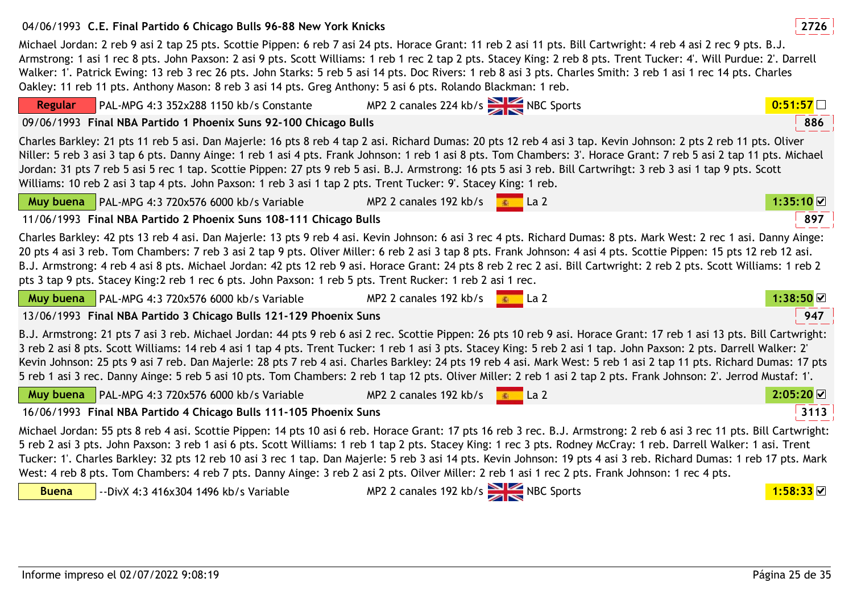# 04/06/1993 **<sup>2726</sup>C.E. Final Partido 6 Chicago Bulls 96-88 New York Knicks**

Michael Jordan: 2 reb 9 asi 2 tap 25 pts. Scottie Pippen: 6 reb 7 asi 24 pts. Horace Grant: 11 reb 2 asi 11 pts. Bill Cartwright: 4 reb 4 asi 2 rec 9 pts. B.J. Armstrong: 1 asi 1 rec 8 pts. John Paxson: 2 asi 9 pts. Scott Williams: 1 reb 1 rec 2 tap 2 pts. Stacey King: 2 reb 8 pts. Trent Tucker: 4'. Will Purdue: 2'. Darrell Walker: 1'. Patrick Ewing: 13 reb 3 rec 26 pts. John Starks: 5 reb 5 asi 14 pts. Doc Rivers: 1 reb 8 asi 3 pts. Charles Smith: 3 reb 1 asi 1 rec 14 pts. Charles Oakley: 11 reb 11 pts. Anthony Mason: 8 reb 3 asi 14 pts. Greg Anthony: 5 asi 6 pts. Rolando Blackman: 1 reb.

| PAL-MPG 4:3 352x288 1150 kb/s Constante<br><b>Regular</b>                                                                                                                                                                                                                                                                                                                                                                                                                                                                                                                                                                                                                                                                          | MP2 2 canales 224 kb/s NBC Sports         |                               | 0:51:57                          |
|------------------------------------------------------------------------------------------------------------------------------------------------------------------------------------------------------------------------------------------------------------------------------------------------------------------------------------------------------------------------------------------------------------------------------------------------------------------------------------------------------------------------------------------------------------------------------------------------------------------------------------------------------------------------------------------------------------------------------------|-------------------------------------------|-------------------------------|----------------------------------|
| 09/06/1993 Final NBA Partido 1 Phoenix Suns 92-100 Chicago Bulls                                                                                                                                                                                                                                                                                                                                                                                                                                                                                                                                                                                                                                                                   |                                           |                               | 886                              |
| Charles Barkley: 21 pts 11 reb 5 asi. Dan Majerle: 16 pts 8 reb 4 tap 2 asi. Richard Dumas: 20 pts 12 reb 4 asi 3 tap. Kevin Johnson: 2 pts 2 reb 11 pts. Oliver<br>Niller: 5 reb 3 asi 3 tap 6 pts. Danny Ainge: 1 reb 1 asi 4 pts. Frank Johnson: 1 reb 1 asi 8 pts. Tom Chambers: 3'. Horace Grant: 7 reb 5 asi 2 tap 11 pts. Michael<br>Jordan: 31 pts 7 reb 5 asi 5 rec 1 tap. Scottie Pippen: 27 pts 9 reb 5 asi. B.J. Armstrong: 16 pts 5 asi 3 reb. Bill Cartwrihgt: 3 reb 3 asi 1 tap 9 pts. Scott<br>Williams: 10 reb 2 asi 3 tap 4 pts. John Paxson: 1 reb 3 asi 1 tap 2 pts. Trent Tucker: 9'. Stacey King: 1 reb.                                                                                                     |                                           |                               |                                  |
| Muy buena   PAL-MPG 4:3 720x576 6000 kb/s Variable                                                                                                                                                                                                                                                                                                                                                                                                                                                                                                                                                                                                                                                                                 | MP2 2 canales 192 kb/s                    | $\overline{\bullet}$ La 2     | $1:35:10$ $\textstyle\rm\degree$ |
| 11/06/1993 Final NBA Partido 2 Phoenix Suns 108-111 Chicago Bulls                                                                                                                                                                                                                                                                                                                                                                                                                                                                                                                                                                                                                                                                  |                                           |                               | 897                              |
| Charles Barkley: 42 pts 13 reb 4 asi. Dan Majerle: 13 pts 9 reb 4 asi. Kevin Johnson: 6 asi 3 rec 4 pts. Richard Dumas: 8 pts. Mark West: 2 rec 1 asi. Danny Ainge:<br>20 pts 4 asi 3 reb. Tom Chambers: 7 reb 3 asi 2 tap 9 pts. Oliver Miller: 6 reb 2 asi 3 tap 8 pts. Frank Johnson: 4 asi 4 pts. Scottie Pippen: 15 pts 12 reb 12 asi.<br>B.J. Armstrong: 4 reb 4 asi 8 pts. Michael Jordan: 42 pts 12 reb 9 asi. Horace Grant: 24 pts 8 reb 2 rec 2 asi. Bill Cartwright: 2 reb 2 pts. Scott Williams: 1 reb 2<br>pts 3 tap 9 pts. Stacey King: 2 reb 1 rec 6 pts. John Paxson: 1 reb 5 pts. Trent Rucker: 1 reb 2 asi 1 rec.                                                                                                |                                           |                               |                                  |
| Muy buena   PAL-MPG 4:3 720x576 6000 kb/s Variable                                                                                                                                                                                                                                                                                                                                                                                                                                                                                                                                                                                                                                                                                 | MP2 2 canales 192 kb/s $\frac{1}{2}$ La 2 |                               | 1:38:50                          |
| 13/06/1993 Final NBA Partido 3 Chicago Bulls 121-129 Phoenix Suns                                                                                                                                                                                                                                                                                                                                                                                                                                                                                                                                                                                                                                                                  |                                           |                               | 947                              |
| B.J. Armstrong: 21 pts 7 asi 3 reb. Michael Jordan: 44 pts 9 reb 6 asi 2 rec. Scottie Pippen: 26 pts 10 reb 9 asi. Horace Grant: 17 reb 1 asi 13 pts. Bill Cartwright:<br>3 reb 2 asi 8 pts. Scott Williams: 14 reb 4 asi 1 tap 4 pts. Trent Tucker: 1 reb 1 asi 3 pts. Stacey King: 5 reb 2 asi 1 tap. John Paxson: 2 pts. Darrell Walker: 2<br>Kevin Johnson: 25 pts 9 asi 7 reb. Dan Majerle: 28 pts 7 reb 4 asi. Charles Barkley: 24 pts 19 reb 4 asi. Mark West: 5 reb 1 asi 2 tap 11 pts. Richard Dumas: 17 pts<br>5 reb 1 asi 3 rec. Danny Ainge: 5 reb 5 asi 10 pts. Tom Chambers: 2 reb 1 tap 12 pts. Oliver Miller: 2 reb 1 asi 2 tap 2 pts. Frank Johnson: 2'. Jerrod Mustaf: 1'.                                       |                                           |                               |                                  |
| Muy buena   PAL-MPG 4:3 720x576 6000 kb/s Variable                                                                                                                                                                                                                                                                                                                                                                                                                                                                                                                                                                                                                                                                                 | MP2 2 canales 192 kb/s                    | $\overline{\phantom{a}}$ La 2 | $2:05:20$ $\Box$                 |
| 16/06/1993 Final NBA Partido 4 Chicago Bulls 111-105 Phoenix Suns                                                                                                                                                                                                                                                                                                                                                                                                                                                                                                                                                                                                                                                                  |                                           |                               | 3113                             |
| Michael Jordan: 55 pts 8 reb 4 asi. Scottie Pippen: 14 pts 10 asi 6 reb. Horace Grant: 17 pts 16 reb 3 rec. B.J. Armstrong: 2 reb 6 asi 3 rec 11 pts. Bill Cartwright:<br>5 reb 2 asi 3 pts. John Paxson: 3 reb 1 asi 6 pts. Scott Williams: 1 reb 1 tap 2 pts. Stacey King: 1 rec 3 pts. Rodney McCray: 1 reb. Darrell Walker: 1 asi. Trent<br>Tucker: 1'. Charles Barkley: 32 pts 12 reb 10 asi 3 rec 1 tap. Dan Majerle: 5 reb 3 asi 14 pts. Kevin Johnson: 19 pts 4 asi 3 reb. Richard Dumas: 1 reb 17 pts. Mark<br>West: 4 reb 8 pts. Tom Chambers: 4 reb 7 pts. Danny Ainge: 3 reb 2 asi 2 pts. Oilver Miller: 2 reb 1 asi 1 rec 2 pts. Frank Johnson: 1 rec 4 pts.<br><b>Buena</b><br>--DivX 4:3 416x304 1496 kb/s Variable | MP2 2 canales 192 kb/s NBC Sports         |                               |                                  |
|                                                                                                                                                                                                                                                                                                                                                                                                                                                                                                                                                                                                                                                                                                                                    |                                           |                               |                                  |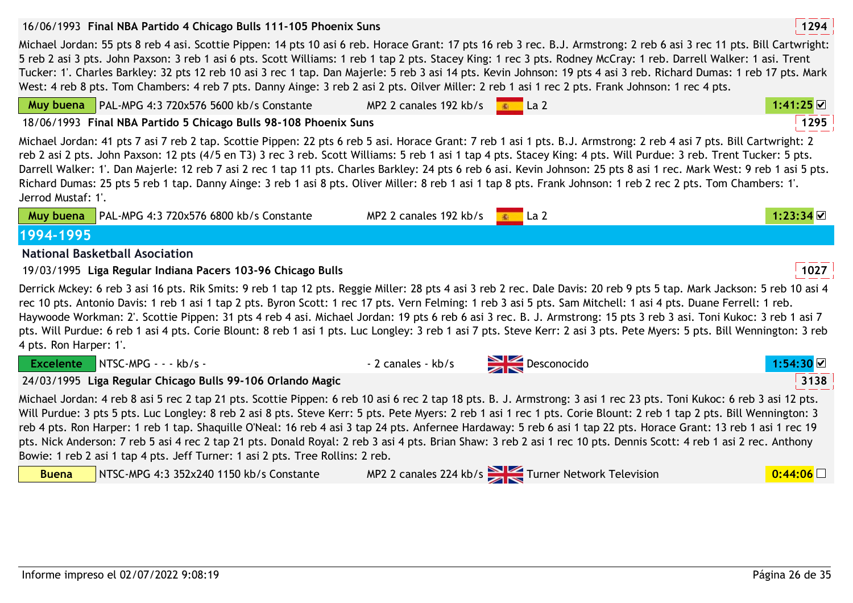| 16/06/1993 Final NBA Partido 4 Chicago Bulls 111-105 Phoenix Suns                                                                                                                                                                                                                                                                                                                                                                                                                                                                                                                                                                                                                                                                                                            |                        |                                                  | 1294           |
|------------------------------------------------------------------------------------------------------------------------------------------------------------------------------------------------------------------------------------------------------------------------------------------------------------------------------------------------------------------------------------------------------------------------------------------------------------------------------------------------------------------------------------------------------------------------------------------------------------------------------------------------------------------------------------------------------------------------------------------------------------------------------|------------------------|--------------------------------------------------|----------------|
| Michael Jordan: 55 pts 8 reb 4 asi. Scottie Pippen: 14 pts 10 asi 6 reb. Horace Grant: 17 pts 16 reb 3 rec. B.J. Armstrong: 2 reb 6 asi 3 rec 11 pts. Bill Cartwright:<br>5 reb 2 asi 3 pts. John Paxson: 3 reb 1 asi 6 pts. Scott Williams: 1 reb 1 tap 2 pts. Stacey King: 1 rec 3 pts. Rodney McCray: 1 reb. Darrell Walker: 1 asi. Trent<br>Tucker: 1'. Charles Barkley: 32 pts 12 reb 10 asi 3 rec 1 tap. Dan Majerle: 5 reb 3 asi 14 pts. Kevin Johnson: 19 pts 4 asi 3 reb. Richard Dumas: 1 reb 17 pts. Mark<br>West: 4 reb 8 pts. Tom Chambers: 4 reb 7 pts. Danny Ainge: 3 reb 2 asi 2 pts. Oilver Miller: 2 reb 1 asi 1 rec 2 pts. Frank Johnson: 1 rec 4 pts.                                                                                                    |                        |                                                  |                |
| Muy buena   PAL-MPG 4:3 720x576 5600 kb/s Constante                                                                                                                                                                                                                                                                                                                                                                                                                                                                                                                                                                                                                                                                                                                          | MP2 2 canales 192 kb/s | La <sub>2</sub>                                  | 1:41:25        |
| 18/06/1993 Final NBA Partido 5 Chicago Bulls 98-108 Phoenix Suns                                                                                                                                                                                                                                                                                                                                                                                                                                                                                                                                                                                                                                                                                                             |                        |                                                  | 1295           |
| Michael Jordan: 41 pts 7 asi 7 reb 2 tap. Scottie Pippen: 22 pts 6 reb 5 asi. Horace Grant: 7 reb 1 asi 1 pts. B.J. Armstrong: 2 reb 4 asi 7 pts. Bill Cartwright: 2<br>reb 2 asi 2 pts. John Paxson: 12 pts (4/5 en T3) 3 rec 3 reb. Scott Williams: 5 reb 1 asi 1 tap 4 pts. Stacey King: 4 pts. Will Purdue: 3 reb. Trent Tucker: 5 pts.<br>Darrell Walker: 1'. Dan Majerle: 12 reb 7 asi 2 rec 1 tap 11 pts. Charles Barkley: 24 pts 6 reb 6 asi. Kevin Johnson: 25 pts 8 asi 1 rec. Mark West: 9 reb 1 asi 5 pts.<br>Richard Dumas: 25 pts 5 reb 1 tap. Danny Ainge: 3 reb 1 asi 8 pts. Oliver Miller: 8 reb 1 asi 1 tap 8 pts. Frank Johnson: 1 reb 2 rec 2 pts. Tom Chambers: 1'.<br>Jerrod Mustaf: 1'.                                                               |                        |                                                  |                |
| Muy buena   PAL-MPG 4:3 720x576 6800 kb/s Constante                                                                                                                                                                                                                                                                                                                                                                                                                                                                                                                                                                                                                                                                                                                          | MP2 2 canales 192 kb/s | La <sub>2</sub>                                  | 1:23:34 $\vee$ |
| 1994-1995                                                                                                                                                                                                                                                                                                                                                                                                                                                                                                                                                                                                                                                                                                                                                                    |                        |                                                  |                |
| <b>National Basketball Asociation</b>                                                                                                                                                                                                                                                                                                                                                                                                                                                                                                                                                                                                                                                                                                                                        |                        |                                                  |                |
| 19/03/1995 Liga Regular Indiana Pacers 103-96 Chicago Bulls                                                                                                                                                                                                                                                                                                                                                                                                                                                                                                                                                                                                                                                                                                                  |                        |                                                  | 1027           |
| Derrick Mckey: 6 reb 3 asi 16 pts. Rik Smits: 9 reb 1 tap 12 pts. Reggie Miller: 28 pts 4 asi 3 reb 2 rec. Dale Davis: 20 reb 9 pts 5 tap. Mark Jackson: 5 reb 10 asi 4<br>rec 10 pts. Antonio Davis: 1 reb 1 asi 1 tap 2 pts. Byron Scott: 1 rec 17 pts. Vern Felming: 1 reb 3 asi 5 pts. Sam Mitchell: 1 asi 4 pts. Duane Ferrell: 1 reb.<br>Haywoode Workman: 2'. Scottie Pippen: 31 pts 4 reb 4 asi. Michael Jordan: 19 pts 6 reb 6 asi 3 rec. B. J. Armstrong: 15 pts 3 reb 3 asi. Toni Kukoc: 3 reb 1 asi 7<br>pts. Will Purdue: 6 reb 1 asi 4 pts. Corie Blount: 8 reb 1 asi 1 pts. Luc Longley: 3 reb 1 asi 7 pts. Steve Kerr: 2 asi 3 pts. Pete Myers: 5 pts. Bill Wennington: 3 reb<br>4 pts. Ron Harper: 1'.                                                      |                        |                                                  |                |
| Excelente NTSC-MPG - - - kb/s -                                                                                                                                                                                                                                                                                                                                                                                                                                                                                                                                                                                                                                                                                                                                              | - 2 canales - kb/s     | $\sum$ Desconocido                               |                |
| 24/03/1995 Liga Regular Chicago Bulls 99-106 Orlando Magic                                                                                                                                                                                                                                                                                                                                                                                                                                                                                                                                                                                                                                                                                                                   |                        |                                                  | 3138           |
| Michael Jordan: 4 reb 8 asi 5 rec 2 tap 21 pts. Scottie Pippen: 6 reb 10 asi 6 rec 2 tap 18 pts. B. J. Armstrong: 3 asi 1 rec 23 pts. Toni Kukoc: 6 reb 3 asi 12 pts.<br>Will Purdue: 3 pts 5 pts. Luc Longley: 8 reb 2 asi 8 pts. Steve Kerr: 5 pts. Pete Myers: 2 reb 1 asi 1 rec 1 pts. Corie Blount: 2 reb 1 tap 2 pts. Bill Wennington: 3<br>reb 4 pts. Ron Harper: 1 reb 1 tap. Shaquille O'Neal: 16 reb 4 asi 3 tap 24 pts. Anfernee Hardaway: 5 reb 6 asi 1 tap 22 pts. Horace Grant: 13 reb 1 asi 1 rec 19<br>pts. Nick Anderson: 7 reb 5 asi 4 rec 2 tap 21 pts. Donald Royal: 2 reb 3 asi 4 pts. Brian Shaw: 3 reb 2 asi 1 rec 10 pts. Dennis Scott: 4 reb 1 asi 2 rec. Anthony<br>Bowie: 1 reb 2 asi 1 tap 4 pts. Jeff Turner: 1 asi 2 pts. Tree Rollins: 2 reb. |                        |                                                  |                |
| <b>Buena</b><br>NTSC-MPG 4:3 352x240 1150 kb/s Constante                                                                                                                                                                                                                                                                                                                                                                                                                                                                                                                                                                                                                                                                                                                     |                        | MP2 2 canales 224 kb/s Turner Network Television | 0:44:06        |
|                                                                                                                                                                                                                                                                                                                                                                                                                                                                                                                                                                                                                                                                                                                                                                              |                        |                                                  |                |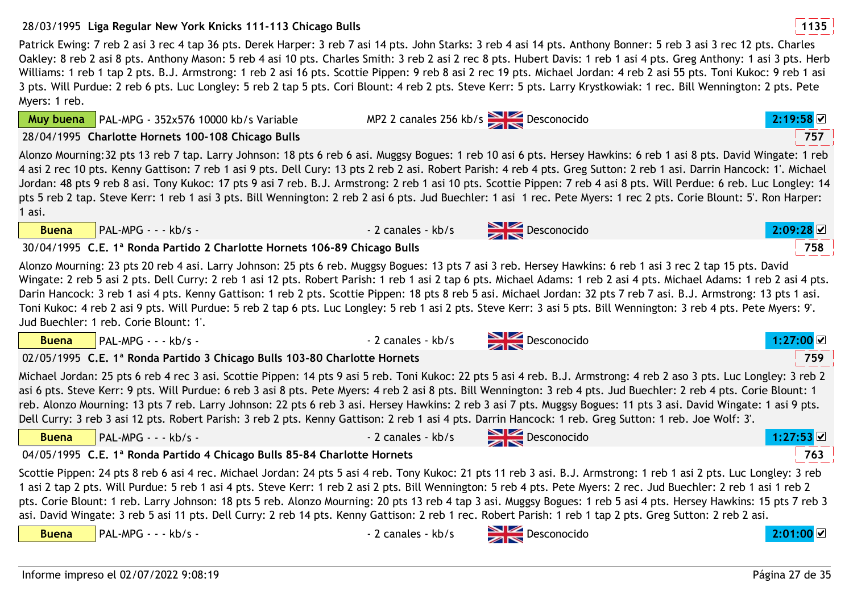758

## 28/03/1995 **<sup>1135</sup>Liga Regular New York Knicks 111-113 Chicago Bulls**

Patrick Ewing: 7 reb 2 asi 3 rec 4 tap 36 pts. Derek Harper: 3 reb 7 asi 14 pts. John Starks: 3 reb 4 asi 14 pts. Anthony Bonner: 5 reb 3 asi 3 rec 12 pts. Charles Oakley: 8 reb 2 asi 8 pts. Anthony Mason: 5 reb 4 asi 10 pts. Charles Smith: 3 reb 2 asi 2 rec 8 pts. Hubert Davis: 1 reb 1 asi 4 pts. Greg Anthony: 1 asi 3 pts. Herb Williams: 1 reb 1 tap 2 pts. B.J. Armstrong: 1 reb 2 asi 16 pts. Scottie Pippen: 9 reb 8 asi 2 rec 19 pts. Michael Jordan: 4 reb 2 asi 55 pts. Toni Kukoc: 9 reb 1 asi 3 pts. Will Purdue: 2 reb 6 pts. Luc Longley: 5 reb 2 tap 5 pts. Cori Blount: 4 reb 2 pts. Steve Kerr: 5 pts. Larry Krystkowiak: 1 rec. Bill Wennington: 2 pts. Pete Myers: 1 reb.MP2 2 canales 256 kb/s **Desconocido 2:19:58 2** 

**Muy buena**PAL-MPG - 352x576 10000 kb/s Variable

28/04/1995 **<sup>757</sup>Charlotte Hornets 100-108 Chicago Bulls**

Alonzo Mourning:32 pts 13 reb 7 tap. Larry Johnson: 18 pts 6 reb 6 asi. Muggsy Bogues: 1 reb 10 asi 6 pts. Hersey Hawkins: 6 reb 1 asi 8 pts. David Wingate: 1 reb 4 asi 2 rec 10 pts. Kenny Gattison: 7 reb 1 asi 9 pts. Dell Cury: 13 pts 2 reb 2 asi. Robert Parish: 4 reb 4 pts. Greg Sutton: 2 reb 1 asi. Darrin Hancock: 1'. Michael Jordan: 48 pts 9 reb 8 asi. Tony Kukoc: 17 pts 9 asi 7 reb. B.J. Armstrong: 2 reb 1 asi 10 pts. Scottie Pippen: 7 reb 4 asi 8 pts. Will Perdue: 6 reb. Luc Longley: 14 pts 5 reb 2 tap. Steve Kerr: 1 reb 1 asi 3 pts. Bill Wennington: 2 reb 2 asi 6 pts. Jud Buechler: 1 asi 1 rec. Pete Myers: 1 rec 2 pts. Corie Blount: 5'. Ron Harper: 1 asi.

**Buena**

# 30/04/1995 **<sup>758</sup>C.E. 1ª Ronda Partido 2 Charlotte Hornets 106-89 Chicago Bulls**

Alonzo Mourning: 23 pts 20 reb 4 asi. Larry Johnson: 25 pts 6 reb. Muggsy Bogues: 13 pts 7 asi 3 reb. Hersey Hawkins: 6 reb 1 asi 3 rec 2 tap 15 pts. David Wingate: 2 reb 5 asi 2 pts. Dell Curry: 2 reb 1 asi 12 pts. Robert Parish: 1 reb 1 asi 2 tap 6 pts. Michael Adams: 1 reb 1 asi 1 reb 2 asi 4 pts. Michael Adams: 1 reb 2 asi 4 pts. Darin Hancock: 3 reb 1 asi 4 pts. Kenny Gattison: 1 reb 2 pts. Scottie Pippen: 18 pts 8 reb 5 asi. Michael Jordan: 32 pts 7 reb 7 asi. B.J. Armstrong: 13 pts 1 asi. Toni Kukoc: 4 reb 2 asi 9 pts. Will Purdue: 5 reb 2 tap 6 pts. Luc Longley: 5 reb 1 asi 2 pts. Steve Kerr: 3 asi 5 pts. Bill Wennington: 3 reb 4 pts. Pete Myers: 9'. Jud Buechler: 1 reb. Corie Blount: 1'.

| PAL-MPG - - - kb/s -<br><b>Buena</b>                                                                                                                                                                                                                                                                                                                                                                                                                                                                                                                                                                                                                                                                                      | - 2 canales - kb/s             | $\sum$ Desconocido |           |  |
|---------------------------------------------------------------------------------------------------------------------------------------------------------------------------------------------------------------------------------------------------------------------------------------------------------------------------------------------------------------------------------------------------------------------------------------------------------------------------------------------------------------------------------------------------------------------------------------------------------------------------------------------------------------------------------------------------------------------------|--------------------------------|--------------------|-----------|--|
| 02/05/1995 C.E. 1ª Ronda Partido 3 Chicago Bulls 103-80 Charlotte Hornets                                                                                                                                                                                                                                                                                                                                                                                                                                                                                                                                                                                                                                                 |                                |                    | 759       |  |
| Michael Jordan: 25 pts 6 reb 4 rec 3 asi. Scottie Pippen: 14 pts 9 asi 5 reb. Toni Kukoc: 22 pts 5 asi 4 reb. B.J. Armstrong: 4 reb 2 aso 3 pts. Luc Longley: 3 reb 2<br>asi 6 pts. Steve Kerr: 9 pts. Will Purdue: 6 reb 3 asi 8 pts. Pete Myers: 4 reb 2 asi 8 pts. Bill Wennington: 3 reb 4 pts. Jud Buechler: 2 reb 4 pts. Corie Blount: 1<br>reb. Alonzo Mourning: 13 pts 7 reb. Larry Johnson: 22 pts 6 reb 3 asi. Hersey Hawkins: 2 reb 3 asi 7 pts. Muggsy Bogues: 11 pts 3 asi. David Wingate: 1 asi 9 pts.<br>Dell Curry: 3 reb 3 asi 12 pts. Robert Parish: 3 reb 2 pts. Kenny Gattison: 2 reb 1 asi 4 pts. Darrin Hancock: 1 reb. Greg Sutton: 1 reb. Joe Wolf: 3'.                                           |                                |                    |           |  |
| $PAL-MPG - - kb/s -$<br><b>Buena</b>                                                                                                                                                                                                                                                                                                                                                                                                                                                                                                                                                                                                                                                                                      | - 2 canales - kb/s Desconocido |                    | 1:27:53   |  |
| 04/05/1995 C.E. 1ª Ronda Partido 4 Chicago Bulls 85-84 Charlotte Hornets                                                                                                                                                                                                                                                                                                                                                                                                                                                                                                                                                                                                                                                  |                                |                    | 763       |  |
| Scottie Pippen: 24 pts 8 reb 6 asi 4 rec. Michael Jordan: 24 pts 5 asi 4 reb. Tony Kukoc: 21 pts 11 reb 3 asi. B.J. Armstrong: 1 reb 1 asi 2 pts. Luc Longley: 3 reb<br>l asi 2 tap 2 pts. Will Purdue: 5 reb 1 asi 4 pts. Steve Kerr: 1 reb 2 asi 2 pts. Bill Wennington: 5 reb 4 pts. Pete Myers: 2 rec. Jud Buechler: 2 reb 1 asi 1 reb 2<br>pts. Corie Blount: 1 reb. Larry Johnson: 18 pts 5 reb. Alonzo Mourning: 20 pts 13 reb 4 tap 3 asi. Muggsy Bogues: 1 reb 5 asi 4 pts. Hersey Hawkins: 15 pts 7 reb 3<br>asi. David Wingate: 3 reb 5 asi 11 pts. Dell Curry: 2 reb 14 pts. Kenny Gattison: 2 reb 1 rec. Robert Parish: 1 reb 1 tap 2 pts. Greg Sutton: 2 reb 2 asi.<br>$PAL-MPG - - kb/s -$<br><b>Buena</b> | - 2 canales - kb/s             | Desconocido        | 2:01:00 ⊻ |  |



**2:09:28**



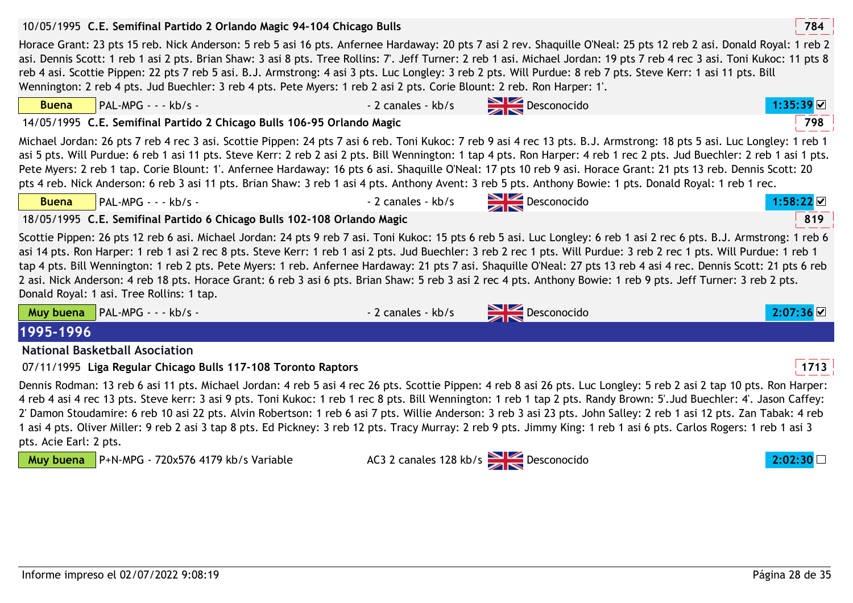|              | 10/05/1995 C.E. Semifinal Partido 2 Orlando Magic 94-104 Chicago Bulls                                                                                                                                                                                                                                                                                                                                                                                                                                                                                                                                                                                                                                                                  |                    |                                      | 784       |  |  |  |
|--------------|-----------------------------------------------------------------------------------------------------------------------------------------------------------------------------------------------------------------------------------------------------------------------------------------------------------------------------------------------------------------------------------------------------------------------------------------------------------------------------------------------------------------------------------------------------------------------------------------------------------------------------------------------------------------------------------------------------------------------------------------|--------------------|--------------------------------------|-----------|--|--|--|
|              | Horace Grant: 23 pts 15 reb. Nick Anderson: 5 reb 5 asi 16 pts. Anfernee Hardaway: 20 pts 7 asi 2 rev. Shaquille O'Neal: 25 pts 12 reb 2 asi. Donald Royal: 1 reb 2<br>asi. Dennis Scott: 1 reb 1 asi 2 pts. Brian Shaw: 3 asi 8 pts. Tree Rollins: 7'. Jeff Turner: 2 reb 1 asi. Michael Jordan: 19 pts 7 reb 4 rec 3 asi. Toni Kukoc: 11 pts 8<br>reb 4 asi. Scottie Pippen: 22 pts 7 reb 5 asi. B.J. Armstrong: 4 asi 3 pts. Luc Longley: 3 reb 2 pts. Will Purdue: 8 reb 7 pts. Steve Kerr: 1 asi 11 pts. Bill<br>Wennington: 2 reb 4 pts. Jud Buechler: 3 reb 4 pts. Pete Myers: 1 reb 2 asi 2 pts. Corie Blount: 2 reb. Ron Harper: 1'.                                                                                           |                    |                                      |           |  |  |  |
| <b>Buena</b> | $PAL-MPG - - kb/s -$                                                                                                                                                                                                                                                                                                                                                                                                                                                                                                                                                                                                                                                                                                                    | - 2 canales - kb/s | Desconocido                          | 1:35:39 ☑ |  |  |  |
|              | 14/05/1995 C.E. Semifinal Partido 2 Chicago Bulls 106-95 Orlando Magic                                                                                                                                                                                                                                                                                                                                                                                                                                                                                                                                                                                                                                                                  |                    |                                      | 798       |  |  |  |
|              | Michael Jordan: 26 pts 7 reb 4 rec 3 asi. Scottie Pippen: 24 pts 7 asi 6 reb. Toni Kukoc: 7 reb 9 asi 4 rec 13 pts. B.J. Armstrong: 18 pts 5 asi. Luc Longley: 1 reb 1<br>asi 5 pts. Will Purdue: 6 reb 1 asi 11 pts. Steve Kerr: 2 reb 2 asi 2 pts. Bill Wennington: 1 tap 4 pts. Ron Harper: 4 reb 1 rec 2 pts. Jud Buechler: 2 reb 1 asi 1 pts.<br>Pete Myers: 2 reb 1 tap. Corie Blount: 1'. Anfernee Hardaway: 16 pts 6 asi. Shaquille O'Neal: 17 pts 10 reb 9 asi. Horace Grant: 21 pts 13 reb. Dennis Scott: 20<br>pts 4 reb. Nick Anderson: 6 reb 3 asi 11 pts. Brian Shaw: 3 reb 1 asi 4 pts. Anthony Avent: 3 reb 5 pts. Anthony Bowie: 1 pts. Donald Royal: 1 reb 1 rec.                                                     |                    |                                      |           |  |  |  |
| <b>Buena</b> | $PAL-MPG - - kb/s -$                                                                                                                                                                                                                                                                                                                                                                                                                                                                                                                                                                                                                                                                                                                    | - 2 canales - kb/s | $\sum$ Desconocido                   | 1:58:22   |  |  |  |
|              | 18/05/1995 C.E. Semifinal Partido 6 Chicago Bulls 102-108 Orlando Magic                                                                                                                                                                                                                                                                                                                                                                                                                                                                                                                                                                                                                                                                 |                    |                                      | 819       |  |  |  |
|              | Scottie Pippen: 26 pts 12 reb 6 asi. Michael Jordan: 24 pts 9 reb 7 asi. Toni Kukoc: 15 pts 6 reb 5 asi. Luc Longley: 6 reb 1 asi 2 rec 6 pts. B.J. Armstrong: 1 reb 6<br>asi 14 pts. Ron Harper: 1 reb 1 asi 2 rec 8 pts. Steve Kerr: 1 reb 1 asi 2 pts. Jud Buechler: 3 reb 2 rec 1 pts. Will Purdue: 3 reb 2 rec 1 pts. Will Purdue: 1 reb 1<br>tap 4 pts. Bill Wennington: 1 reb 2 pts. Pete Myers: 1 reb. Anfernee Hardaway: 21 pts 7 asi. Shaquille O'Neal: 27 pts 13 reb 4 asi 4 rec. Dennis Scott: 21 pts 6 reb<br>2 asi. Nick Anderson: 4 reb 18 pts. Horace Grant: 6 reb 3 asi 6 pts. Brian Shaw: 5 reb 3 asi 2 rec 4 pts. Anthony Bowie: 1 reb 9 pts. Jeff Turner: 3 reb 2 pts.<br>Donald Royal: 1 asi. Tree Rollins: 1 tap. |                    |                                      |           |  |  |  |
| Muy buena    | $PAL-MPG - - kb/s -$                                                                                                                                                                                                                                                                                                                                                                                                                                                                                                                                                                                                                                                                                                                    | - 2 canales - kb/s | Desconocido                          |           |  |  |  |
| 1995-1996    |                                                                                                                                                                                                                                                                                                                                                                                                                                                                                                                                                                                                                                                                                                                                         |                    |                                      |           |  |  |  |
|              | <b>National Basketball Asociation</b>                                                                                                                                                                                                                                                                                                                                                                                                                                                                                                                                                                                                                                                                                                   |                    |                                      |           |  |  |  |
|              | 07/11/1995 Liga Regular Chicago Bulls 117-108 Toronto Raptors                                                                                                                                                                                                                                                                                                                                                                                                                                                                                                                                                                                                                                                                           |                    |                                      | 1713      |  |  |  |
|              | Dennis Rodman: 13 reb 6 asi 11 pts. Michael Jordan: 4 reb 5 asi 4 rec 26 pts. Scottie Pippen: 4 reb 8 asi 26 pts. Luc Longley: 5 reb 2 asi 2 tap 10 pts. Ron Harper:<br>4 reb 4 asi 4 rec 13 pts. Steve kerr: 3 asi 9 pts. Toni Kukoc: 1 reb 1 rec 8 pts. Bill Wennington: 1 reb 1 tap 2 pts. Randy Brown: 5'.Jud Buechler: 4'. Jason Caffey:<br>2' Damon Stoudamire: 6 reb 10 asi 22 pts. Alvin Robertson: 1 reb 6 asi 7 pts. Willie Anderson: 3 reb 3 asi 23 pts. John Salley: 2 reb 1 asi 12 pts. Zan Tabak: 4 reb<br>1 asi 4 pts. Oliver Miller: 9 reb 2 asi 3 tap 8 pts. Ed Pickney: 3 reb 12 pts. Tracy Murray: 2 reb 9 pts. Jimmy King: 1 reb 1 asi 6 pts. Carlos Rogers: 1 reb 1 asi 3<br>pts. Acie Earl: 2 pts.                |                    |                                      |           |  |  |  |
|              | Muy buena   P+N-MPG - 720x576 4179 kb/s Variable                                                                                                                                                                                                                                                                                                                                                                                                                                                                                                                                                                                                                                                                                        |                    | AC3 2 canales 128 kb/s > Desconocido |           |  |  |  |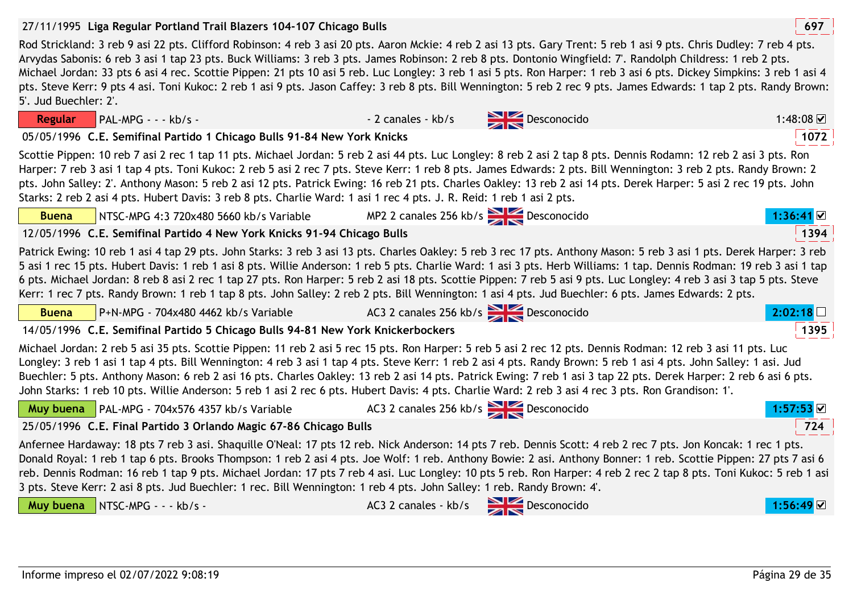**Regular**

**Buena**

#### 27/11/1995 **<sup>697</sup>Liga Regular Portland Trail Blazers 104-107 Chicago Bulls**

Rod Strickland: 3 reb 9 asi 22 pts. Clifford Robinson: 4 reb 3 asi 20 pts. Aaron Mckie: 4 reb 2 asi 13 pts. Gary Trent: 5 reb 1 asi 9 pts. Chris Dudley: 7 reb 4 pts. Arvydas Sabonis: 6 reb 3 asi 1 tap 23 pts. Buck Williams: 3 reb 3 pts. James Robinson: 2 reb 8 pts. Dontonio Wingfield: 7'. Randolph Childress: 1 reb 2 pts. Michael Jordan: 33 pts 6 asi 4 rec. Scottie Pippen: 21 pts 10 asi 5 reb. Luc Longley: 3 reb 1 asi 5 pts. Ron Harper: 1 reb 3 asi 6 pts. Dickey Simpkins: 3 reb 1 asi 4 pts. Steve Kerr: 9 pts 4 asi. Toni Kukoc: 2 reb 1 asi 9 pts. Jason Caffey: 3 reb 8 pts. Bill Wennington: 5 reb 2 rec 9 pts. James Edwards: 1 tap 2 pts. Randy Brown: 5'. Jud Buechler: 2'.

05/05/1996 **<sup>1072</sup>C.E. Semifinal Partido 1 Chicago Bulls 91-84 New York Knicks**

NTSC-MPG 4:3 720x480 5660 kb/s Variable

Scottie Pippen: 10 reb 7 asi 2 rec 1 tap 11 pts. Michael Jordan: 5 reb 2 asi 44 pts. Luc Longley: 8 reb 2 asi 2 tap 8 pts. Dennis Rodamn: 12 reb 2 asi 3 pts. Ron Harper: 7 reb 3 asi 1 tap 4 pts. Toni Kukoc: 2 reb 5 asi 2 rec 7 pts. Steve Kerr: 1 reb 8 pts. James Edwards: 2 pts. Bill Wennington: 3 reb 2 pts. Randy Brown: 2 pts. John Salley: 2'. Anthony Mason: 5 reb 2 asi 12 pts. Patrick Ewing: 16 reb 21 pts. Charles Oakley: 13 reb 2 asi 14 pts. Derek Harper: 5 asi 2 rec 19 pts. John Starks: 2 reb 2 asi 4 pts. Hubert Davis: 3 reb 8 pts. Charlie Ward: 1 asi 1 rec 4 pts. J. R. Reid: 1 reb 1 asi 2 pts.

MP2 2 canales 256 kb/s **Desconocido** 

| 12/05/1996 C.E. Semifinal Partido 4 New York Knicks 91-94 Chicago Bulls                                                                                                                                                                                                                                                                                                                                                                                                                                                                                                                                                                                                         |                                         |  | 1394             |  |
|---------------------------------------------------------------------------------------------------------------------------------------------------------------------------------------------------------------------------------------------------------------------------------------------------------------------------------------------------------------------------------------------------------------------------------------------------------------------------------------------------------------------------------------------------------------------------------------------------------------------------------------------------------------------------------|-----------------------------------------|--|------------------|--|
| Patrick Ewing: 10 reb 1 asi 4 tap 29 pts. John Starks: 3 reb 3 asi 13 pts. Charles Oakley: 5 reb 3 rec 17 pts. Anthony Mason: 5 reb 3 asi 1 pts. Derek Harper: 3 reb<br>5 asi 1 rec 15 pts. Hubert Davis: 1 reb 1 asi 8 pts. Willie Anderson: 1 reb 5 pts. Charlie Ward: 1 asi 3 pts. Herb Williams: 1 tap. Dennis Rodman: 19 reb 3 asi 1 tap<br>6 pts. Michael Jordan: 8 reb 8 asi 2 rec 1 tap 27 pts. Ron Harper: 5 reb 2 asi 18 pts. Scottie Pippen: 7 reb 5 asi 9 pts. Luc Longley: 4 reb 3 asi 3 tap 5 pts. Steve<br>Kerr: 1 rec 7 pts. Randy Brown: 1 reb 1 tap 8 pts. John Salley: 2 reb 2 pts. Bill Wennington: 1 asi 4 pts. Jud Buechler: 6 pts. James Edwards: 2 pts. |                                         |  |                  |  |
| $P+N-MPG - 704x480$ 4462 kb/s Variable $AC3$ 2 canales 256 kb/s $\geq 0$ Desconocido<br><b>Buena</b>                                                                                                                                                                                                                                                                                                                                                                                                                                                                                                                                                                            |                                         |  | 2:02:18          |  |
| 14/05/1996 C.E. Semifinal Partido 5 Chicago Bulls 94-81 New York Knickerbockers                                                                                                                                                                                                                                                                                                                                                                                                                                                                                                                                                                                                 |                                         |  | 1395             |  |
| Michael Jordan: 2 reb 5 asi 35 pts. Scottie Pippen: 11 reb 2 asi 5 rec 15 pts. Ron Harper: 5 reb 5 asi 2 rec 12 pts. Dennis Rodman: 12 reb 3 asi 11 pts. Luc<br>Longley: 3 reb 1 asi 1 tap 4 pts. Bill Wennington: 4 reb 3 asi 1 tap 4 pts. Steve Kerr: 1 reb 2 asi 4 pts. Randy Brown: 5 reb 1 asi 4 pts. John Salley: 1 asi. Jud<br>Buechler: 5 pts. Anthony Mason: 6 reb 2 asi 16 pts. Charles Oakley: 13 reb 2 asi 14 pts. Patrick Ewing: 7 reb 1 asi 3 tap 22 pts. Derek Harper: 2 reb 6 asi 6 pts.<br>John Starks: 1 reb 10 pts. Willie Anderson: 5 reb 1 asi 2 rec 6 pts. Hubert Davis: 4 pts. Charlie Ward: 2 reb 3 asi 4 rec 3 pts. Ron Grandison: 1'.                 |                                         |  |                  |  |
| Muy buena PAL-MPG - 704x576 4357 kb/s Variable                                                                                                                                                                                                                                                                                                                                                                                                                                                                                                                                                                                                                                  | AC3 2 canales 256 kb/s Desconocido      |  | $1:57:53$ ⊠      |  |
| 25/05/1996 C.E. Final Partido 3 Orlando Magic 67-86 Chicago Bulls                                                                                                                                                                                                                                                                                                                                                                                                                                                                                                                                                                                                               |                                         |  | 724              |  |
| Anfernee Hardaway: 18 pts 7 reb 3 asi. Shaquille O'Neal: 17 pts 12 reb. Nick Anderson: 14 pts 7 reb. Dennis Scott: 4 reb 2 rec 7 pts. Jon Koncak: 1 rec 1 pts.<br>Donald Royal: 1 reb 1 tap 6 pts. Brooks Thompson: 1 reb 2 asi 4 pts. Joe Wolf: 1 reb. Anthony Bowie: 2 asi. Anthony Bonner: 1 reb. Scottie Pippen: 27 pts 7 asi 6<br>reb. Dennis Rodman: 16 reb 1 tap 9 pts. Michael Jordan: 17 pts 7 reb 4 asi. Luc Longley: 10 pts 5 reb. Ron Harper: 4 reb 2 rec 2 tap 8 pts. Toni Kukoc: 5 reb 1 asi<br>3 pts. Steve Kerr: 2 asi 8 pts. Jud Buechler: 1 rec. Bill Wennington: 1 reb 4 pts. John Salley: 1 reb. Randy Brown: 4.                                            |                                         |  |                  |  |
| Muy buena NTSC-MPG - - - kb/s -                                                                                                                                                                                                                                                                                                                                                                                                                                                                                                                                                                                                                                                 | AC3 2 canales - kb/s $\sum$ Desconocido |  | $1:56:49$ $\vee$ |  |



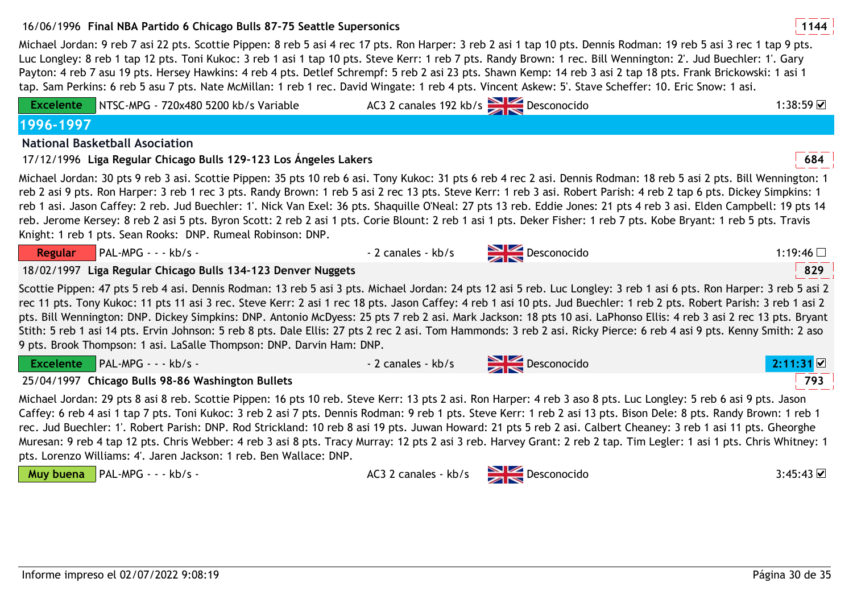# 16/06/1996 **<sup>1144</sup>Final NBA Partido 6 Chicago Bulls 87-75 Seattle Supersonics**

Michael Jordan: 9 reb 7 asi 22 pts. Scottie Pippen: 8 reb 5 asi 4 rec 17 pts. Ron Harper: 3 reb 2 asi 1 tap 10 pts. Dennis Rodman: 19 reb 5 asi 3 rec 1 tap 9 pts. Luc Longley: 8 reb 1 tap 12 pts. Toni Kukoc: 3 reb 1 asi 1 tap 10 pts. Steve Kerr: 1 reb 7 pts. Randy Brown: 1 rec. Bill Wennington: 2'. Jud Buechler: 1'. Gary Payton: 4 reb 7 asu 19 pts. Hersey Hawkins: 4 reb 4 pts. Detlef Schrempf: 5 reb 2 asi 23 pts. Shawn Kemp: 14 reb 3 asi 2 tap 18 pts. Frank Brickowski: 1 asi 1 tap. Sam Perkins: 6 reb 5 asu 7 pts. Nate McMillan: 1 reb 1 rec. David Wingate: 1 reb 4 pts. Vincent Askew: 5'. Stave Scheffer: 10. Eric Snow: 1 asi.

| <b>Excelente</b> | NTSC-MPG - 720x480 5200 kb/s Variable                                                                                                                                                                                                                                                                                                                                                                                                                                                                                                                                                                                                                                                                                                                                    |                    | AC3 2 canales 192 kb/s Desconocido | 1:38:59 $\neg$ |
|------------------|--------------------------------------------------------------------------------------------------------------------------------------------------------------------------------------------------------------------------------------------------------------------------------------------------------------------------------------------------------------------------------------------------------------------------------------------------------------------------------------------------------------------------------------------------------------------------------------------------------------------------------------------------------------------------------------------------------------------------------------------------------------------------|--------------------|------------------------------------|----------------|
| 1996-1997        |                                                                                                                                                                                                                                                                                                                                                                                                                                                                                                                                                                                                                                                                                                                                                                          |                    |                                    |                |
|                  | <b>National Basketball Asociation</b>                                                                                                                                                                                                                                                                                                                                                                                                                                                                                                                                                                                                                                                                                                                                    |                    |                                    |                |
|                  | 17/12/1996 Liga Regular Chicago Bulls 129-123 Los Ángeles Lakers                                                                                                                                                                                                                                                                                                                                                                                                                                                                                                                                                                                                                                                                                                         |                    |                                    | 684            |
|                  | Michael Jordan: 30 pts 9 reb 3 asi. Scottie Pippen: 35 pts 10 reb 6 asi. Tony Kukoc: 31 pts 6 reb 4 rec 2 asi. Dennis Rodman: 18 reb 5 asi 2 pts. Bill Wennington: 1<br>reb 2 asi 9 pts. Ron Harper: 3 reb 1 rec 3 pts. Randy Brown: 1 reb 5 asi 2 rec 13 pts. Steve Kerr: 1 reb 3 asi. Robert Parish: 4 reb 2 tap 6 pts. Dickey Simpkins: 1<br>reb 1 asi. Jason Caffey: 2 reb. Jud Buechler: 1'. Nick Van Exel: 36 pts. Shaquille O'Neal: 27 pts 13 reb. Eddie Jones: 21 pts 4 reb 3 asi. Elden Campbell: 19 pts 14<br>reb. Jerome Kersey: 8 reb 2 asi 5 pts. Byron Scott: 2 reb 2 asi 1 pts. Corie Blount: 2 reb 1 asi 1 pts. Deker Fisher: 1 reb 7 pts. Kobe Bryant: 1 reb 5 pts. Travis<br>Knight: 1 reb 1 pts. Sean Rooks: DNP. Rumeal Robinson: DNP.               |                    |                                    |                |
| <b>Regular</b>   | PAL-MPG - - - kb/s -                                                                                                                                                                                                                                                                                                                                                                                                                                                                                                                                                                                                                                                                                                                                                     | - 2 canales - kb/s | $\sum$ Desconocido                 | 1:19:46 $\Box$ |
|                  | 18/02/1997 Liga Regular Chicago Bulls 134-123 Denver Nuggets                                                                                                                                                                                                                                                                                                                                                                                                                                                                                                                                                                                                                                                                                                             |                    |                                    | 829            |
|                  | Scottie Pippen: 47 pts 5 reb 4 asi. Dennis Rodman: 13 reb 5 asi 3 pts. Michael Jordan: 24 pts 12 asi 5 reb. Luc Longley: 3 reb 1 asi 6 pts. Ron Harper: 3 reb 5 asi 2<br>rec 11 pts. Tony Kukoc: 11 pts 11 asi 3 rec. Steve Kerr: 2 asi 1 rec 18 pts. Jason Caffey: 4 reb 1 asi 10 pts. Jud Buechler: 1 reb 2 pts. Robert Parish: 3 reb 1 asi 2<br>pts. Bill Wennington: DNP. Dickey Simpkins: DNP. Antonio McDyess: 25 pts 7 reb 2 asi. Mark Jackson: 18 pts 10 asi. LaPhonso Ellis: 4 reb 3 asi 2 rec 13 pts. Bryant<br>Stith: 5 reb 1 asi 14 pts. Ervin Johnson: 5 reb 8 pts. Dale Ellis: 27 pts 2 rec 2 asi. Tom Hammonds: 3 reb 2 asi. Ricky Pierce: 6 reb 4 asi 9 pts. Kenny Smith: 2 aso<br>9 pts. Brook Thompson: 1 asi. LaSalle Thompson: DNP. Darvin Ham: DNP. |                    |                                    |                |
| <b>Excelente</b> | $\blacksquare$ PAL-MPG - - - kb/s -                                                                                                                                                                                                                                                                                                                                                                                                                                                                                                                                                                                                                                                                                                                                      | - 2 canales - kb/s | $\sum$ Desconocido                 | 2:11:31        |
|                  | 25/04/1997 Chicago Bulls 98-86 Washington Bullets                                                                                                                                                                                                                                                                                                                                                                                                                                                                                                                                                                                                                                                                                                                        |                    |                                    | 793            |
|                  | Michael Jordan: 29 pts 8 asi 8 reb. Scottie Pippen: 16 pts 10 reb. Steve Kerr: 13 pts 2 asi. Ron Harper: 4 reb 3 aso 8 pts. Luc Longley: 5 reb 6 asi 9 pts. Jason<br>Caffey: 6 reb 4 asi 1 tap 7 pts. Toni Kukoc: 3 reb 2 asi 7 pts. Dennis Rodman: 9 reb 1 pts. Steve Kerr: 1 reb 2 asi 13 pts. Bison Dele: 8 pts. Randy Brown: 1 reb 1<br>rec. Jud Buechler: 1'. Robert Parish: DNP. Rod Strickland: 10 reb 8 asi 19 pts. Juwan Howard: 21 pts 5 reb 2 asi. Calbert Cheaney: 3 reb 1 asi 11 pts. Gheorghe<br>Muresan: 9 reb 4 tap 12 pts. Chris Webber: 4 reb 3 asi 8 pts. Tracy Murray: 12 pts 2 asi 3 reb. Harvey Grant: 2 reb 2 tap. Tim Legler: 1 asi 1 pts. Chris Whitney: 1<br>pts. Lorenzo Williams: 4'. Jaren Jackson: 1 reb. Ben Wallace: DNP.                |                    |                                    |                |

Muy buena | PAL-MPG - - - kb/s -

AC3 2 canales - kb/s Desconocido

 $\sim$  3:45:43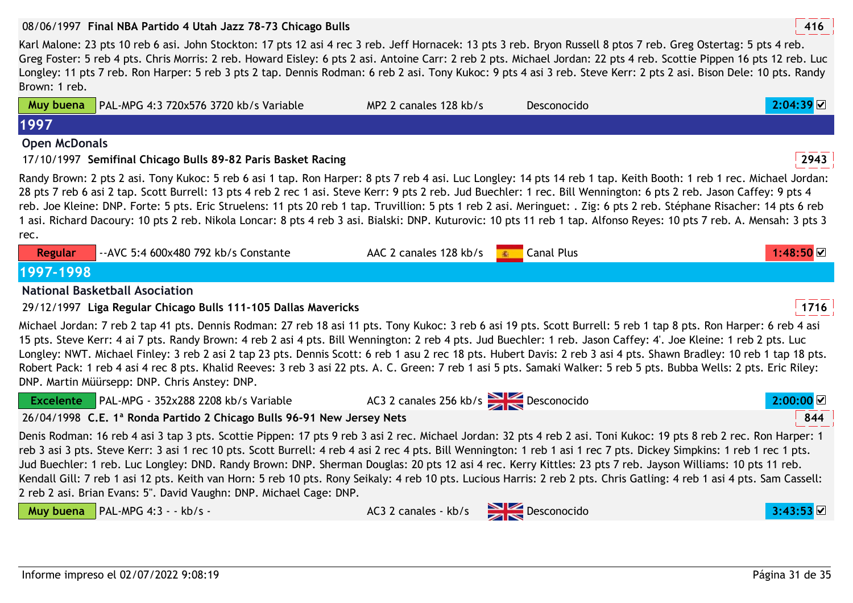#### 08/06/1997 **<sup>416</sup>Final NBA Partido 4 Utah Jazz 78-73 Chicago Bulls**

PAL-MPG 4:3 720x576 3720 kb/s Variable

**Muy buena**

**1997**

Karl Malone: 23 pts 10 reb 6 asi. John Stockton: 17 pts 12 asi 4 rec 3 reb. Jeff Hornacek: 13 pts 3 reb. Bryon Russell 8 ptos 7 reb. Greg Ostertag: 5 pts 4 reb. Greg Foster: 5 reb 4 pts. Chris Morris: 2 reb. Howard Eisley: 6 pts 2 asi. Antoine Carr: 2 reb 2 pts. Michael Jordan: 22 pts 4 reb. Scottie Pippen 16 pts 12 reb. Luc Longley: 11 pts 7 reb. Ron Harper: 5 reb 3 pts 2 tap. Dennis Rodman: 6 reb 2 asi. Tony Kukoc: 9 pts 4 asi 3 reb. Steve Kerr: 2 pts 2 asi. Bison Dele: 10 pts. Randy Brown: 1 reb.

MP2 2 canales 128 kb/s Desconocido **2:04:39**

| <b>Open McDonals</b> |                                                                                                                                                                                                                                                                                                                                                                                                                                                                                                                                                                                                                                                                                                                                                                |                                          |                   |           |
|----------------------|----------------------------------------------------------------------------------------------------------------------------------------------------------------------------------------------------------------------------------------------------------------------------------------------------------------------------------------------------------------------------------------------------------------------------------------------------------------------------------------------------------------------------------------------------------------------------------------------------------------------------------------------------------------------------------------------------------------------------------------------------------------|------------------------------------------|-------------------|-----------|
|                      | 17/10/1997 Semifinal Chicago Bulls 89-82 Paris Basket Racing                                                                                                                                                                                                                                                                                                                                                                                                                                                                                                                                                                                                                                                                                                   |                                          |                   | 2943      |
|                      | Randy Brown: 2 pts 2 asi. Tony Kukoc: 5 reb 6 asi 1 tap. Ron Harper: 8 pts 7 reb 4 asi. Luc Longley: 14 pts 14 reb 1 tap. Keith Booth: 1 reb 1 rec. Michael Jordan:<br>28 pts 7 reb 6 asi 2 tap. Scott Burrell: 13 pts 4 reb 2 rec 1 asi. Steve Kerr: 9 pts 2 reb. Jud Buechler: 1 rec. Bill Wennington: 6 pts 2 reb. Jason Caffey: 9 pts 4<br>reb. Joe Kleine: DNP. Forte: 5 pts. Eric Struelens: 11 pts 20 reb 1 tap. Truvillion: 5 pts 1 reb 2 asi. Meringuet: . Zig: 6 pts 2 reb. Stéphane Risacher: 14 pts 6 reb<br>1 asi. Richard Dacoury: 10 pts 2 reb. Nikola Loncar: 8 pts 4 reb 3 asi. Bialski: DNP. Kuturovic: 10 pts 11 reb 1 tap. Alfonso Reyes: 10 pts 7 reb. A. Mensah: 3 pts 3                                                                 |                                          |                   |           |
| rec.                 |                                                                                                                                                                                                                                                                                                                                                                                                                                                                                                                                                                                                                                                                                                                                                                |                                          |                   |           |
| <b>Regular</b>       | -- AVC 5:4 600x480 792 kb/s Constante                                                                                                                                                                                                                                                                                                                                                                                                                                                                                                                                                                                                                                                                                                                          | AAC 2 canales 128 kb/s                   | <b>Canal Plus</b> | 1:48:50 ▽ |
| 1997-1998            |                                                                                                                                                                                                                                                                                                                                                                                                                                                                                                                                                                                                                                                                                                                                                                |                                          |                   |           |
|                      | <b>National Basketball Asociation</b>                                                                                                                                                                                                                                                                                                                                                                                                                                                                                                                                                                                                                                                                                                                          |                                          |                   |           |
|                      | 29/12/1997 Liga Regular Chicago Bulls 111-105 Dallas Mavericks                                                                                                                                                                                                                                                                                                                                                                                                                                                                                                                                                                                                                                                                                                 |                                          |                   | 1716      |
|                      | Michael Jordan: 7 reb 2 tap 41 pts. Dennis Rodman: 27 reb 18 asi 11 pts. Tony Kukoc: 3 reb 6 asi 19 pts. Scott Burrell: 5 reb 1 tap 8 pts. Ron Harper: 6 reb 4 asi<br>15 pts. Steve Kerr: 4 ai 7 pts. Randy Brown: 4 reb 2 asi 4 pts. Bill Wennington: 2 reb 4 pts. Jud Buechler: 1 reb. Jason Caffey: 4'. Joe Kleine: 1 reb 2 pts. Luc<br>Longley: NWT. Michael Finley: 3 reb 2 asi 2 tap 23 pts. Dennis Scott: 6 reb 1 asu 2 rec 18 pts. Hubert Davis: 2 reb 3 asi 4 pts. Shawn Bradley: 10 reb 1 tap 18 pts.<br>Robert Pack: 1 reb 4 asi 4 rec 8 pts. Khalid Reeves: 3 reb 3 asi 22 pts. A. C. Green: 7 reb 1 asi 5 pts. Samaki Walker: 5 reb 5 pts. Bubba Wells: 2 pts. Eric Riley:<br>DNP. Martin Müürsepp: DNP. Chris Anstey: DNP.                       |                                          |                   |           |
| <b>Excelente</b>     | PAL-MPG - 352x288 2208 kb/s Variable                                                                                                                                                                                                                                                                                                                                                                                                                                                                                                                                                                                                                                                                                                                           | AC3 2 canales 256 kb/s Desconocido       |                   | 2:00:00   |
|                      | 26/04/1998 C.E. 1ª Ronda Partido 2 Chicago Bulls 96-91 New Jersey Nets                                                                                                                                                                                                                                                                                                                                                                                                                                                                                                                                                                                                                                                                                         |                                          |                   | 844       |
|                      | Denis Rodman: 16 reb 4 asi 3 tap 3 pts. Scottie Pippen: 17 pts 9 reb 3 asi 2 rec. Michael Jordan: 32 pts 4 reb 2 asi. Toni Kukoc: 19 pts 8 reb 2 rec. Ron Harper: 1<br>reb 3 asi 3 pts. Steve Kerr: 3 asi 1 rec 10 pts. Scott Burrell: 4 reb 4 asi 2 rec 4 pts. Bill Wennington: 1 reb 1 asi 1 rec 7 pts. Dickey Simpkins: 1 reb 1 rec 1 pts.<br>Jud Buechler: 1 reb. Luc Longley: DND. Randy Brown: DNP. Sherman Douglas: 20 pts 12 asi 4 rec. Kerry Kittles: 23 pts 7 reb. Jayson Williams: 10 pts 11 reb.<br>Kendall Gill: 7 reb 1 asi 12 pts. Keith van Horn: 5 reb 10 pts. Rony Seikaly: 4 reb 10 pts. Lucious Harris: 2 reb 2 pts. Chris Gatling: 4 reb 1 asi 4 pts. Sam Cassell:<br>2 reb 2 asi. Brian Evans: 5". David Vaughn: DNP. Michael Cage: DNP. |                                          |                   |           |
| Muy buena            | $\overline{\big }$ PAL-MPG 4:3 - - kb/s -                                                                                                                                                                                                                                                                                                                                                                                                                                                                                                                                                                                                                                                                                                                      | $AC3$ 2 canales - kb/s $BC3$ Desconocido |                   |           |
|                      |                                                                                                                                                                                                                                                                                                                                                                                                                                                                                                                                                                                                                                                                                                                                                                |                                          |                   |           |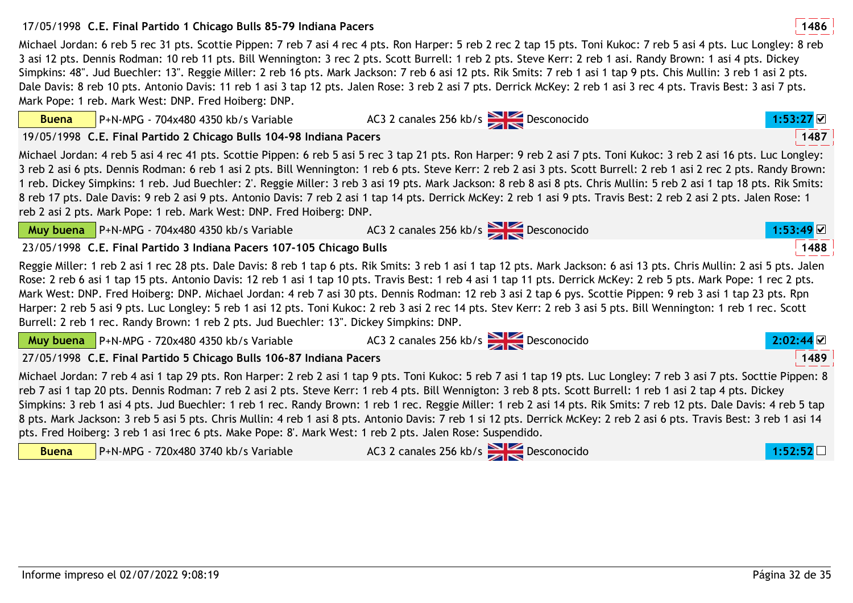#### 

**Buena**

| <b>Muy buena</b> $\vert$ P+N-MPG - 720x480 4350 kb/s Variable       | $AC3$ 2 canales 256 kb/s $256$ Desconocido                                                                                                                               | $2:02:44$ M |
|---------------------------------------------------------------------|--------------------------------------------------------------------------------------------------------------------------------------------------------------------------|-------------|
| 27/05/1998 C.E. Final Partido 5 Chicago Bulls 106-87 Indiana Pacers |                                                                                                                                                                          | 1489        |
|                                                                     | Michael Jordan: 7 reb 4 asi 1 tap 29 pts. Ron Harper: 2 reb 2 asi 1 tap 9 pts. Toni Kukoc: 5 reb 7 asi 1 tap 19 pts. Luc Longley: 7 reb 3 asi 7 pts. Socttie Pippen: 8   |             |
|                                                                     | reb 7 asi 1 tap 20 pts. Dennis Rodman: 7 reb 2 asi 2 pts. Steve Kerr: 1 reb 4 pts. Bill Wennigton: 3 reb 8 pts. Scott Burrell: 1 reb 1 asi 2 tap 4 pts. Dickey           |             |
|                                                                     | Simpkins: 3 reb 1 asi 4 pts. Jud Buechler: 1 reb 1 rec. Randy Brown: 1 reb 1 rec. Reggie Miller: 1 reb 2 asi 14 pts. Rik Smits: 7 reb 12 pts. Dale Davis: 4 reb 5 tap    |             |
|                                                                     | 8 pts. Mark Jackson: 3 reb 5 asi 5 pts. Chris Mullin: 4 reb 1 asi 8 pts. Antonio Davis: 7 reb 1 si 12 pts. Derrick McKey: 2 reb 2 asi 6 pts. Travis Best: 3 reb 1 asi 14 |             |

| Informe impreso el 02/07/2022 9:08:19 | Página 32 de 35 |
|---------------------------------------|-----------------|
|---------------------------------------|-----------------|

#### 17/05/1998 **<sup>1486</sup>C.E. Final Partido 1 Chicago Bulls 85-79 Indiana Pacers**

P+N-MPG - 704x480 4350 kb/s Variable

Michael Jordan: 6 reb 5 rec 31 pts. Scottie Pippen: 7 reb 7 asi 4 rec 4 pts. Ron Harper: 5 reb 2 rec 2 tap 15 pts. Toni Kukoc: 7 reb 5 asi 4 pts. Luc Longley: 8 reb 3 asi 12 pts. Dennis Rodman: 10 reb 11 pts. Bill Wennington: 3 rec 2 pts. Scott Burrell: 1 reb 2 pts. Steve Kerr: 2 reb 1 asi. Randy Brown: 1 asi 4 pts. Dickey Simpkins: 48". Jud Buechler: 13". Reggie Miller: 2 reb 16 pts. Mark Jackson: 7 reb 6 asi 12 pts. Rik Smits: 7 reb 1 asi 1 tap 9 pts. Chis Mullin: 3 reb 1 asi 2 pts. Dale Davis: 8 reb 10 pts. Antonio Davis: 11 reb 1 asi 3 tap 12 pts. Jalen Rose: 3 reb 2 asi 7 pts. Derrick McKey: 2 reb 1 asi 3 rec 4 pts. Travis Best: 3 asi 7 pts. Mark Pope: 1 reb. Mark West: DNP. Fred Hoiberg: DNP.

19/05/1998 **<sup>1487</sup>C.E. Final Partido 2 Chicago Bulls 104-98 Indiana Pacers**Michael Jordan: 4 reb 5 asi 4 rec 41 pts. Scottie Pippen: 6 reb 5 asi 5 rec 3 tap 21 pts. Ron Harper: 9 reb 2 asi 7 pts. Toni Kukoc: 3 reb 2 asi 16 pts. Luc Longley: 3 reb 2 asi 6 pts. Dennis Rodman: 6 reb 1 asi 2 pts. Bill Wennington: 1 reb 6 pts. Steve Kerr: 2 reb 2 asi 3 pts. Scott Burrell: 2 reb 1 asi 2 rec 2 pts. Randy Brown:

AC3 2 canales 256 kb/s **Desconocido 1:53:27 D** 

|              | 1 reb. Dickey Simpkins: 1 reb. Jud Buechler: 2'. Reggie Miller: 3 reb 3 asi 19 pts. Mark Jackson: 8 reb 8 asi 8 pts. Chris Mullin: 5 reb 2 asi 1 tap 18 pts. Rik Smits:<br>8 reb 17 pts. Dale Davis: 9 reb 2 asi 9 pts. Antonio Davis: 7 reb 2 asi 1 tap 14 pts. Derrick McKey: 2 reb 1 asi 9 pts. Travis Best: 2 reb 2 asi 2 pts. Jalen Rose: 1<br>reb 2 asi 2 pts. Mark Pope: 1 reb. Mark West: DNP. Fred Hoiberg: DNP.                                                                                                                                                                                                                                                                                                                                                                                  |                                    |           |      |
|--------------|------------------------------------------------------------------------------------------------------------------------------------------------------------------------------------------------------------------------------------------------------------------------------------------------------------------------------------------------------------------------------------------------------------------------------------------------------------------------------------------------------------------------------------------------------------------------------------------------------------------------------------------------------------------------------------------------------------------------------------------------------------------------------------------------------------|------------------------------------|-----------|------|
|              | <b>Muy buena</b> $\begin{array}{ l l l }\n\hline\n\end{array}$ P+N-MPG - 704x480 4350 kb/s Variable $\begin{array}{ l l }\n\hline\n\end{array}$ AC3 2 canales 256 kb/s $\begin{array}{ l l }\n\hline\n\end{array}$ Desconocido                                                                                                                                                                                                                                                                                                                                                                                                                                                                                                                                                                             |                                    | 1:53:49   |      |
|              | 23/05/1998 C.E. Final Partido 3 Indiana Pacers 107-105 Chicago Bulls                                                                                                                                                                                                                                                                                                                                                                                                                                                                                                                                                                                                                                                                                                                                       |                                    |           | 1488 |
|              | Reggie Miller: 1 reb 2 asi 1 rec 28 pts. Dale Davis: 8 reb 1 tap 6 pts. Rik Smits: 3 reb 1 asi 1 tap 12 pts. Mark Jackson: 6 asi 13 pts. Chris Mullin: 2 asi 5 pts. Jalen<br>Rose: 2 reb 6 asi 1 tap 15 pts. Antonio Davis: 12 reb 1 asi 1 tap 10 pts. Travis Best: 1 reb 4 asi 1 tap 11 pts. Derrick McKey: 2 reb 5 pts. Mark Pope: 1 rec 2 pts.<br>Mark West: DNP. Fred Hoiberg: DNP. Michael Jordan: 4 reb 7 asi 30 pts. Dennis Rodman: 12 reb 3 asi 2 tap 6 pys. Scottie Pippen: 9 reb 3 asi 1 tap 23 pts. Rpn<br>Harper: 2 reb 5 asi 9 pts. Luc Longley: 5 reb 1 asi 12 pts. Toni Kukoc: 2 reb 3 asi 2 rec 14 pts. Stev Kerr: 2 reb 3 asi 5 pts. Bill Wennington: 1 reb 1 rec. Scott<br>Burrell: 2 reb 1 rec. Randy Brown: 1 reb 2 pts. Jud Buechler: 13". Dickey Simpkins: DNP.                      |                                    |           |      |
|              | <b>Muy buena</b> $\left  P + N \right  MPG - 720 \times 480$ 4350 kb/s Variable $AC3$ 2 canales 256 kb/s $\left  \right $ Desconocido                                                                                                                                                                                                                                                                                                                                                                                                                                                                                                                                                                                                                                                                      |                                    | 2:02:44 ⊠ |      |
|              | 27/05/1998 C.E. Final Partido 5 Chicago Bulls 106-87 Indiana Pacers                                                                                                                                                                                                                                                                                                                                                                                                                                                                                                                                                                                                                                                                                                                                        |                                    |           | 1489 |
|              | Michael Jordan: 7 reb 4 asi 1 tap 29 pts. Ron Harper: 2 reb 2 asi 1 tap 9 pts. Toni Kukoc: 5 reb 7 asi 1 tap 19 pts. Luc Longley: 7 reb 3 asi 7 pts. Socttie Pippen: 8<br>reb 7 asi 1 tap 20 pts. Dennis Rodman: 7 reb 2 asi 2 pts. Steve Kerr: 1 reb 4 pts. Bill Wennigton: 3 reb 8 pts. Scott Burrell: 1 reb 1 asi 2 tap 4 pts. Dickey<br>Simpkins: 3 reb 1 asi 4 pts. Jud Buechler: 1 reb 1 rec. Randy Brown: 1 reb 1 rec. Reggie Miller: 1 reb 2 asi 14 pts. Rik Smits: 7 reb 12 pts. Dale Davis: 4 reb 5 tap<br>8 pts. Mark Jackson: 3 reb 5 asi 5 pts. Chris Mullin: 4 reb 1 asi 8 pts. Antonio Davis: 7 reb 1 si 12 pts. Derrick McKey: 2 reb 2 asi 6 pts. Travis Best: 3 reb 1 asi 14<br>pts. Fred Hoiberg: 3 reb 1 asi 1rec 6 pts. Make Pope: 8'. Mark West: 1 reb 2 pts. Jalen Rose: Suspendido. |                                    |           |      |
| <b>Buena</b> | P+N-MPG - 720x480 3740 kb/s Variable                                                                                                                                                                                                                                                                                                                                                                                                                                                                                                                                                                                                                                                                                                                                                                       | AC3 2 canales 256 kb/s Desconocido | 1:52:52   |      |
|              |                                                                                                                                                                                                                                                                                                                                                                                                                                                                                                                                                                                                                                                                                                                                                                                                            |                                    |           |      |

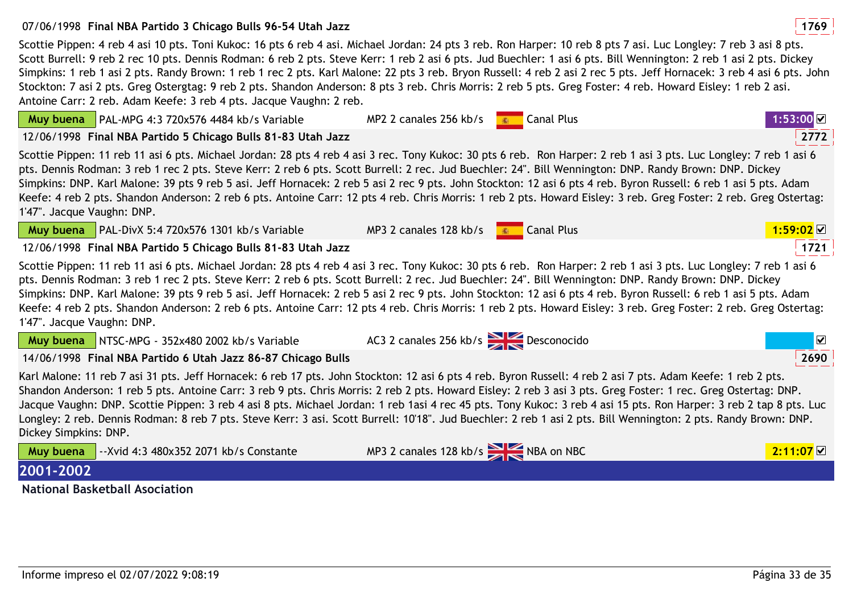# 07/06/1998 **<sup>1769</sup>Final NBA Partido 3 Chicago Bulls 96-54 Utah Jazz**

**Muy buena** PAL-MPG 4:3 720x576 4484 kb/s Variable

Scottie Pippen: 4 reb 4 asi 10 pts. Toni Kukoc: 16 pts 6 reb 4 asi. Michael Jordan: 24 pts 3 reb. Ron Harper: 10 reb 8 pts 7 asi. Luc Longley: 7 reb 3 asi 8 pts. Scott Burrell: 9 reb 2 rec 10 pts. Dennis Rodman: 6 reb 2 pts. Steve Kerr: 1 reb 2 asi 6 pts. Jud Buechler: 1 asi 6 pts. Bill Wennington: 2 reb 1 asi 2 pts. Dickey Simpkins: 1 reb 1 asi 2 pts. Randy Brown: 1 reb 1 rec 2 pts. Karl Malone: 22 pts 3 reb. Bryon Russell: 4 reb 2 asi 2 rec 5 pts. Jeff Hornacek: 3 reb 4 asi 6 pts. John Stockton: 7 asi 2 pts. Greg Ostergtag: 9 reb 2 pts. Shandon Anderson: 8 pts 3 reb. Chris Morris: 2 reb 5 pts. Greg Foster: 4 reb. Howard Eisley: 1 reb 2 asi. Antoine Carr: 2 reb. Adam Keefe: 3 reb 4 pts. Jacque Vaughn: 2 reb.

MP2 2 canales 256 kb/s **13:000 Canal Plus** 

| 12/06/1998 Final NBA Partido 5 Chicago Bulls 81-83 Utah Jazz                                                                                                                                                                                                                                                                                                                                                                                                                                                                                                                                                                                                                                           | 2772                  |
|--------------------------------------------------------------------------------------------------------------------------------------------------------------------------------------------------------------------------------------------------------------------------------------------------------------------------------------------------------------------------------------------------------------------------------------------------------------------------------------------------------------------------------------------------------------------------------------------------------------------------------------------------------------------------------------------------------|-----------------------|
| Scottie Pippen: 11 reb 11 asi 6 pts. Michael Jordan: 28 pts 4 reb 4 asi 3 rec. Tony Kukoc: 30 pts 6 reb. Ron Harper: 2 reb 1 asi 3 pts. Luc Longley: 7 reb 1 asi 6<br>pts. Dennis Rodman: 3 reb 1 rec 2 pts. Steve Kerr: 2 reb 6 pts. Scott Burrell: 2 rec. Jud Buechler: 24". Bill Wennington: DNP. Randy Brown: DNP. Dickey<br>Simpkins: DNP. Karl Malone: 39 pts 9 reb 5 asi. Jeff Hornacek: 2 reb 5 asi 2 rec 9 pts. John Stockton: 12 asi 6 pts 4 reb. Byron Russell: 6 reb 1 asi 5 pts. Adam<br>Keefe: 4 reb 2 pts. Shandon Anderson: 2 reb 6 pts. Antoine Carr: 12 pts 4 reb. Chris Morris: 1 reb 2 pts. Howard Eisley: 3 reb. Greg Foster: 2 reb. Greg Ostertag:<br>1'47". Jacque Vaughn: DNP. |                       |
| <b>Canal Plus</b><br>Muy buena   PAL-DivX 5:4 720x576 1301 kb/s Variable<br>MP3 2 canales 128 kb/s                                                                                                                                                                                                                                                                                                                                                                                                                                                                                                                                                                                                     | $1:59:02$ $\boxtimes$ |
| 12/06/1998 Final NBA Partido 5 Chicago Bulls 81-83 Utah Jazz                                                                                                                                                                                                                                                                                                                                                                                                                                                                                                                                                                                                                                           | 1721                  |
| Scottie Pippen: 11 reb 11 asi 6 pts. Michael Jordan: 28 pts 4 reb 4 asi 3 rec. Tony Kukoc: 30 pts 6 reb. Ron Harper: 2 reb 1 asi 3 pts. Luc Longley: 7 reb 1 asi 6<br>pts. Dennis Rodman: 3 reb 1 rec 2 pts. Steve Kerr: 2 reb 6 pts. Scott Burrell: 2 rec. Jud Buechler: 24". Bill Wennington: DNP. Randy Brown: DNP. Dickey<br>Simpkins: DNP. Karl Malone: 39 pts 9 reb 5 asi. Jeff Hornacek: 2 reb 5 asi 2 rec 9 pts. John Stockton: 12 asi 6 pts 4 reb. Byron Russell: 6 reb 1 asi 5 pts. Adam<br>Keefe: 4 reb 2 pts. Shandon Anderson: 2 reb 6 pts. Antoine Carr: 12 pts 4 reb. Chris Morris: 1 reb 2 pts. Howard Eisley: 3 reb. Greg Foster: 2 reb. Greg Ostertag:<br>1'47". Jacque Vaughn: DNP. |                       |
| AC3 2 canales 256 kb/s $\geq$ Desconocido<br>Muy buena   NTSC-MPG - 352x480 2002 kb/s Variable                                                                                                                                                                                                                                                                                                                                                                                                                                                                                                                                                                                                         | ☑                     |
| 14/06/1998 Final NBA Partido 6 Utah Jazz 86-87 Chicago Bulls                                                                                                                                                                                                                                                                                                                                                                                                                                                                                                                                                                                                                                           | 2690                  |
| Karl Malone: 11 reb 7 asi 31 pts. Jeff Hornacek: 6 reb 17 pts. John Stockton: 12 asi 6 pts 4 reb. Byron Russell: 4 reb 2 asi 7 pts. Adam Keefe: 1 reb 2 pts.<br>Shandon Anderson: 1 reb 5 pts. Antoine Carr: 3 reb 9 pts. Chris Morris: 2 reb 2 pts. Howard Eisley: 2 reb 3 asi 3 pts. Greg Foster: 1 rec. Greg Ostertag: DNP.<br>Jacque Vaughn: DNP. Scottie Pippen: 3 reb 4 asi 8 pts. Michael Jordan: 1 reb 1asi 4 rec 45 pts. Tony Kukoc: 3 reb 4 asi 15 pts. Ron Harper: 3 reb 2 tap 8 pts. Luc<br>Longley: 2 reb. Dennis Rodman: 8 reb 7 pts. Steve Kerr: 3 asi. Scott Burrell: 10'18". Jud Buechler: 2 reb 1 asi 2 pts. Bill Wennington: 2 pts. Randy Brown: DNP.<br>Dickey Simpkins: DNP.      |                       |
| MP3 2 canales 128 kb/s<br>NBA on NBC<br>Muy buena<br>--Xvid 4:3 480x352 2071 kb/s Constante                                                                                                                                                                                                                                                                                                                                                                                                                                                                                                                                                                                                            | 2:11:07               |
| 2001-2002                                                                                                                                                                                                                                                                                                                                                                                                                                                                                                                                                                                                                                                                                              |                       |

**National Basketball Asociation**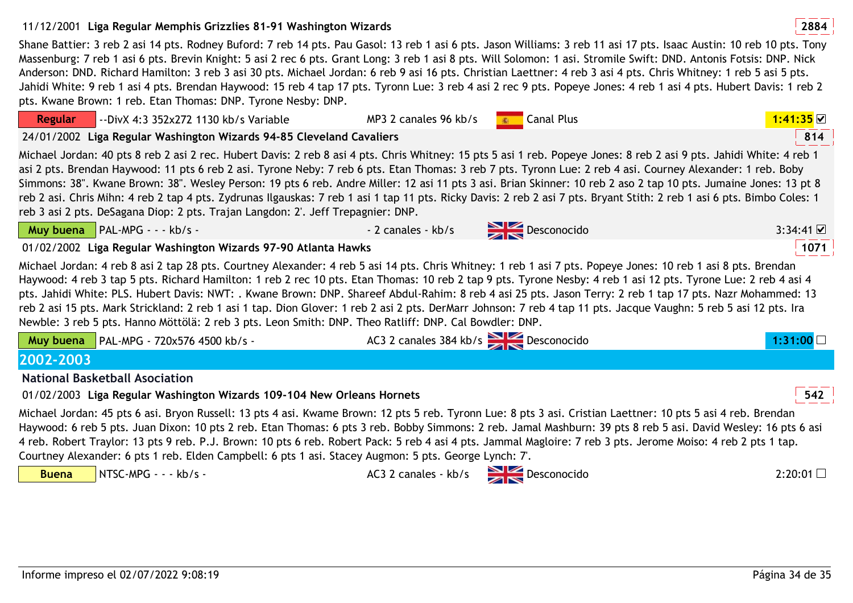# 11/12/2001 **<sup>2884</sup>Liga Regular Memphis Grizzlies 81-91 Washington Wizards**

Shane Battier: 3 reb 2 asi 14 pts. Rodney Buford: 7 reb 14 pts. Pau Gasol: 13 reb 1 asi 6 pts. Jason Williams: 3 reb 11 asi 17 pts. Isaac Austin: 10 reb 10 pts. Tony Massenburg: 7 reb 1 asi 6 pts. Brevin Knight: 5 asi 2 rec 6 pts. Grant Long: 3 reb 1 asi 8 pts. Will Solomon: 1 asi. Stromile Swift: DND. Antonis Fotsis: DNP. Nick Anderson: DND. Richard Hamilton: 3 reb 3 asi 30 pts. Michael Jordan: 6 reb 9 asi 16 pts. Christian Laettner: 4 reb 3 asi 4 pts. Chris Whitney: 1 reb 5 asi 5 pts. Jahidi White: 9 reb 1 asi 4 pts. Brendan Haywood: 15 reb 4 tap 17 pts. Tyronn Lue: 3 reb 4 asi 2 rec 9 pts. Popeye Jones: 4 reb 1 asi 4 pts. Hubert Davis: 1 reb 2 pts. Kwane Brown: 1 reb. Etan Thomas: DNP. Tyrone Nesby: DNP.

**Regular** --DivX 4:3 352x272 1130 kb/s VariableMP3 2 canales 96 kb/s Book Canal Plus **1:41:35** M 814 24/01/2002 **<sup>814</sup>Liga Regular Washington Wizards 94-85 Cleveland Cavaliers** Michael Jordan: 40 pts 8 reb 2 asi 2 rec. Hubert Davis: 2 reb 8 asi 4 pts. Chris Whitney: 15 pts 5 asi 1 reb. Popeye Jones: 8 reb 2 asi 9 pts. Jahidi White: 4 reb 1 asi 2 pts. Brendan Haywood: 11 pts 6 reb 2 asi. Tyrone Neby: 7 reb 6 pts. Etan Thomas: 3 reb 7 pts. Tyronn Lue: 2 reb 4 asi. Courney Alexander: 1 reb. Boby Simmons: 38". Kwane Brown: 38". Wesley Person: 19 pts 6 reb. Andre Miller: 12 asi 11 pts 3 asi. Brian Skinner: 10 reb 2 aso 2 tap 10 pts. Jumaine Jones: 13 pt 8 reb 2 asi. Chris Mihn: 4 reb 2 tap 4 pts. Zydrunas Ilgauskas: 7 reb 1 asi 1 tap 11 pts. Ricky Davis: 2 reb 2 asi 7 pts. Bryant Stith: 2 reb 1 asi 6 pts. Bimbo Coles: 1 reb 3 asi 2 pts. DeSagana Diop: 2 pts. Trajan Langdon: 2'. Jeff Trepagnier: DNP.**Muy buena** PAL-MPG - - - kb/s -- 2 canales - kb/s  $\overrightarrow{p}$  Desconocido o 3:34:41 01/02/2002 **<sup>1071</sup>Liga Regular Washington Wizards 97-90 Atlanta Hawks**Michael Jordan: 4 reb 8 asi 2 tap 28 pts. Courtney Alexander: 4 reb 5 asi 14 pts. Chris Whitney: 1 reb 1 asi 7 pts. Popeye Jones: 10 reb 1 asi 8 pts. Brendan Haywood: 4 reb 3 tap 5 pts. Richard Hamilton: 1 reb 2 rec 10 pts. Etan Thomas: 10 reb 2 tap 9 pts. Tyrone Nesby: 4 reb 1 asi 12 pts. Tyrone Lue: 2 reb 4 asi 4 pts. Jahidi White: PLS. Hubert Davis: NWT: . Kwane Brown: DNP. Shareef Abdul-Rahim: 8 reb 4 asi 25 pts. Jason Terry: 2 reb 1 tap 17 pts. Nazr Mohammed: 13 reb 2 asi 15 pts. Mark Strickland: 2 reb 1 asi 1 tap. Dion Glover: 1 reb 2 asi 2 pts. DerMarr Johnson: 7 reb 4 tap 11 pts. Jacque Vaughn: 5 reb 5 asi 12 pts. Ira Newble: 3 reb 5 pts. Hanno Möttölä: 2 reb 3 pts. Leon Smith: DNP. Theo Ratliff: DNP. Cal Bowdler: DNP.**Muy buena**PAL-MPG - 720x576 4500 kb/s - AC3 2 canales 384 kb/s Desconocido **1:31:002002-2003 National Basketball Asociation** 01/02/2003 **<sup>542</sup>Liga Regular Washington Wizards 109-104 New Orleans Hornets**Michael Jordan: 45 pts 6 asi. Bryon Russell: 13 pts 4 asi. Kwame Brown: 12 pts 5 reb. Tyronn Lue: 8 pts 3 asi. Cristian Laettner: 10 pts 5 asi 4 reb. Brendan Haywood: 6 reb 5 pts. Juan Dixon: 10 pts 2 reb. Etan Thomas: 6 pts 3 reb. Bobby Simmons: 2 reb. Jamal Mashburn: 39 pts 8 reb 5 asi. David Wesley: 16 pts 6 asi

4 reb. Robert Traylor: 13 pts 9 reb. P.J. Brown: 10 pts 6 reb. Robert Pack: 5 reb 4 asi 4 pts. Jammal Magloire: 7 reb 3 pts. Jerome Moiso: 4 reb 2 pts 1 tap. Courtney Alexander: 6 pts 1 reb. Elden Campbell: 6 pts 1 asi. Stacey Augmon: 5 pts. George Lynch: 7'.